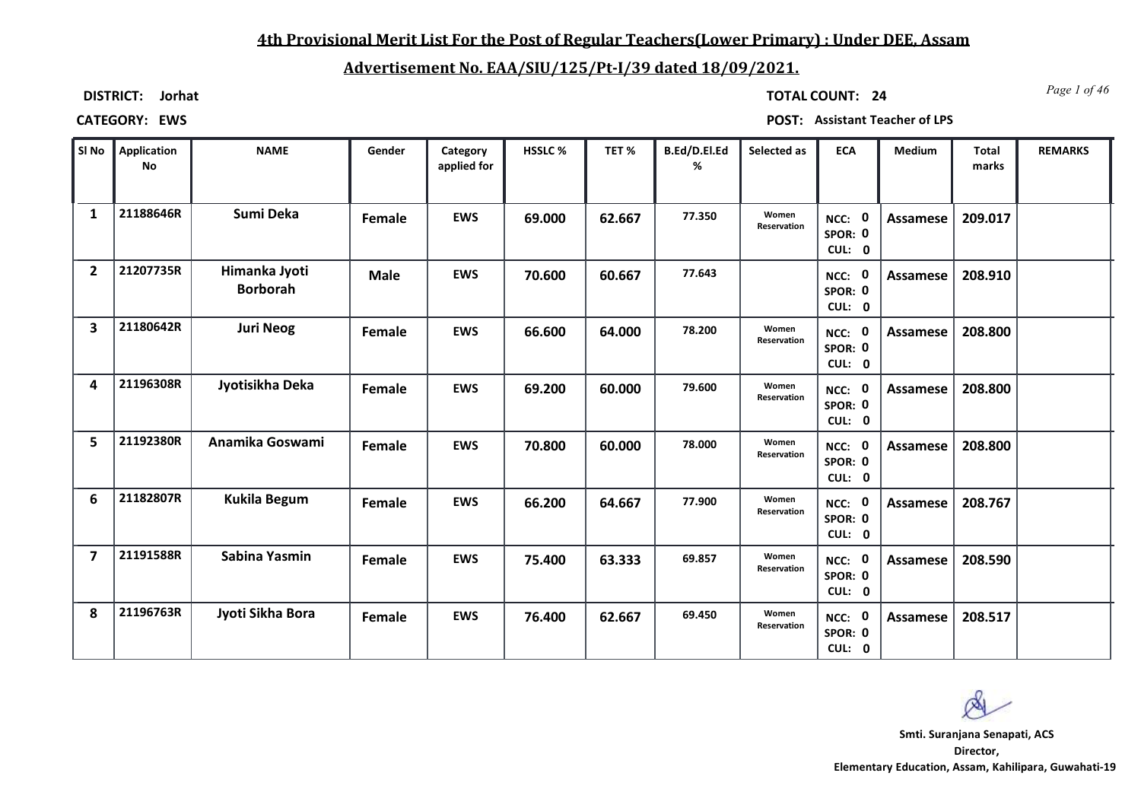## **4th Provisional Merit List For the Post of Regular Teachers(Lower Primary) : Under DEE, Assam**

# **Advertisement No. EAA/SIU/125/Pt-I/39 dated 18/09/2021.**

**DISTRICT: Jorhat**

*Page 1 of 46* **TOTAL COUNT: 24**

| SI No          | Application<br><b>No</b> | <b>NAME</b>                      | Gender      | Category<br>applied for | HSSLC% | TET%   | B.Ed/D.El.Ed<br>% | Selected as          | <b>ECA</b>                  | Medium          | <b>Total</b><br>marks | <b>REMARKS</b> |
|----------------|--------------------------|----------------------------------|-------------|-------------------------|--------|--------|-------------------|----------------------|-----------------------------|-----------------|-----------------------|----------------|
| $\mathbf{1}$   | 21188646R                | Sumi Deka                        | Female      | <b>EWS</b>              | 69.000 | 62.667 | 77.350            | Women<br>Reservation | NCC: 0<br>SPOR: 0<br>CUL: 0 | Assamese        | 209.017               |                |
| $\overline{2}$ | 21207735R                | Himanka Jyoti<br><b>Borborah</b> | <b>Male</b> | <b>EWS</b>              | 70.600 | 60.667 | 77.643            |                      | NCC: 0<br>SPOR: 0<br>CUL: 0 | Assamese        | 208.910               |                |
| 3              | 21180642R                | <b>Juri Neog</b>                 | Female      | <b>EWS</b>              | 66.600 | 64.000 | 78.200            | Women<br>Reservation | NCC: 0<br>SPOR: 0<br>CUL: 0 | Assamese        | 208.800               |                |
| 4              | 21196308R                | Jyotisikha Deka                  | Female      | <b>EWS</b>              | 69.200 | 60.000 | 79.600            | Women<br>Reservation | NCC: 0<br>SPOR: 0<br>CUL: 0 | Assamese        | 208.800               |                |
| 5              | 21192380R                | Anamika Goswami                  | Female      | <b>EWS</b>              | 70.800 | 60.000 | 78.000            | Women<br>Reservation | NCC: 0<br>SPOR: 0<br>CUL: 0 | Assamese        | 208.800               |                |
| 6              | 21182807R                | <b>Kukila Begum</b>              | Female      | <b>EWS</b>              | 66.200 | 64.667 | 77.900            | Women<br>Reservation | NCC: 0<br>SPOR: 0<br>CUL: 0 | <b>Assamese</b> | 208.767               |                |
| 7              | 21191588R                | Sabina Yasmin                    | Female      | <b>EWS</b>              | 75.400 | 63.333 | 69.857            | Women<br>Reservation | NCC: 0<br>SPOR: 0<br>CUL: 0 | Assamese        | 208.590               |                |
| 8              | 21196763R                | Jyoti Sikha Bora                 | Female      | <b>EWS</b>              | 76.400 | 62.667 | 69.450            | Women<br>Reservation | NCC: 0<br>SPOR: 0<br>CUL: 0 | Assamese        | 208.517               |                |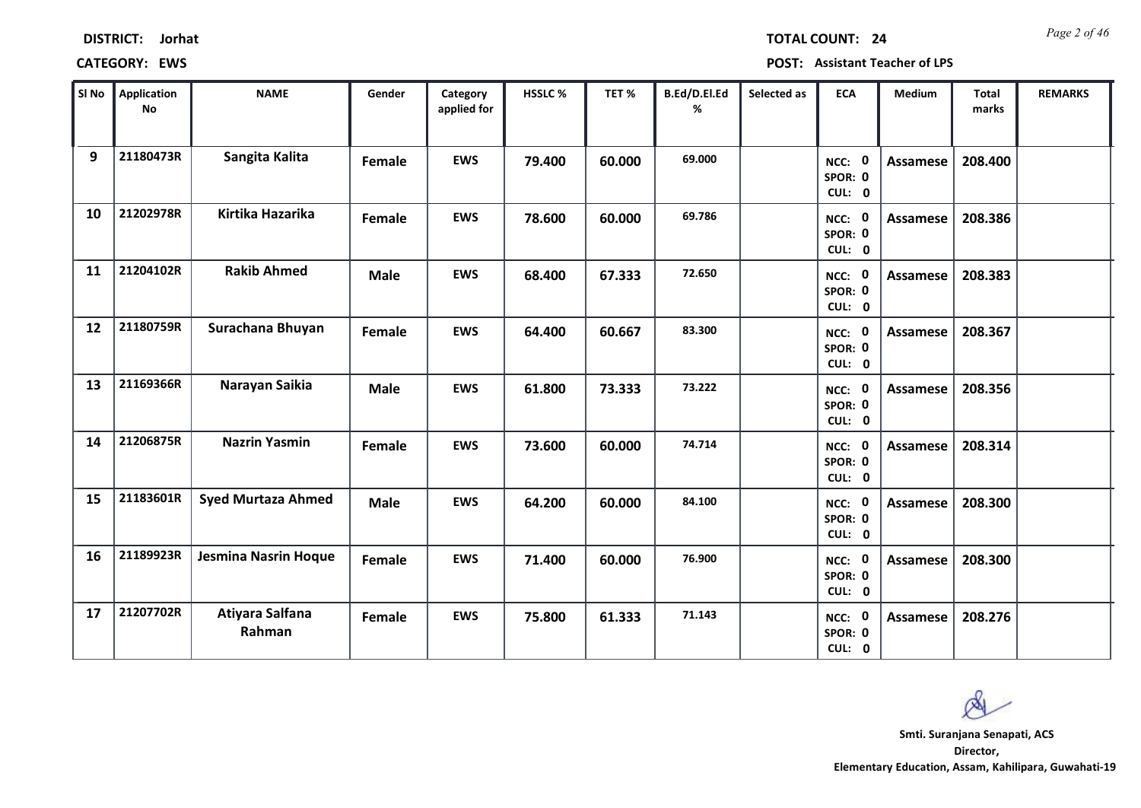| <b>DISTRICT:</b> | Jorhat |
|------------------|--------|
|------------------|--------|

*Page 2 of 46* **TOTAL COUNT: 24**

| SI No | <b>Application</b><br><b>No</b> | <b>NAME</b>                 | Gender      | Category<br>applied for | HSSLC % | TET%   | B.Ed/D.El.Ed<br>% | Selected as | <b>ECA</b>                  | Medium          | <b>Total</b><br>marks | <b>REMARKS</b> |
|-------|---------------------------------|-----------------------------|-------------|-------------------------|---------|--------|-------------------|-------------|-----------------------------|-----------------|-----------------------|----------------|
| 9     | 21180473R                       | Sangita Kalita              | Female      | <b>EWS</b>              | 79.400  | 60.000 | 69.000            |             | NCC: 0<br>SPOR: 0<br>CUL: 0 | <b>Assamese</b> | 208.400               |                |
| 10    | 21202978R                       | Kirtika Hazarika            | Female      | <b>EWS</b>              | 78.600  | 60.000 | 69.786            |             | NCC: 0<br>SPOR: 0<br>CUL: 0 | <b>Assamese</b> | 208.386               |                |
| 11    | 21204102R                       | <b>Rakib Ahmed</b>          | <b>Male</b> | <b>EWS</b>              | 68.400  | 67.333 | 72.650            |             | NCC: 0<br>SPOR: 0<br>CUL: 0 | <b>Assamese</b> | 208.383               |                |
| 12    | 21180759R                       | Surachana Bhuyan            | Female      | <b>EWS</b>              | 64.400  | 60.667 | 83.300            |             | NCC: 0<br>SPOR: 0<br>CUL: 0 | <b>Assamese</b> | 208.367               |                |
| 13    | 21169366R                       | Narayan Saikia              | <b>Male</b> | <b>EWS</b>              | 61.800  | 73.333 | 73.222            |             | NCC: 0<br>SPOR: 0<br>CUL: 0 | <b>Assamese</b> | 208.356               |                |
| 14    | 21206875R                       | <b>Nazrin Yasmin</b>        | Female      | <b>EWS</b>              | 73.600  | 60.000 | 74.714            |             | NCC: 0<br>SPOR: 0<br>CUL: 0 | <b>Assamese</b> | 208.314               |                |
| 15    | 21183601R                       | <b>Syed Murtaza Ahmed</b>   | <b>Male</b> | <b>EWS</b>              | 64.200  | 60.000 | 84.100            |             | NCC: 0<br>SPOR: 0<br>CUL: 0 | <b>Assamese</b> | 208.300               |                |
| 16    | 21189923R                       | <b>Jesmina Nasrin Hoque</b> | Female      | <b>EWS</b>              | 71.400  | 60.000 | 76.900            |             | NCC: 0<br>SPOR: 0<br>CUL: 0 | <b>Assamese</b> | 208.300               |                |
| 17    | 21207702R                       | Atiyara Salfana<br>Rahman   | Female      | <b>EWS</b>              | 75.800  | 61.333 | 71.143            |             | NCC: 0<br>SPOR: 0<br>CUL: 0 | Assamese        | 208.276               |                |

 $\infty$ **Smti. Suranjana Senapati, ACS**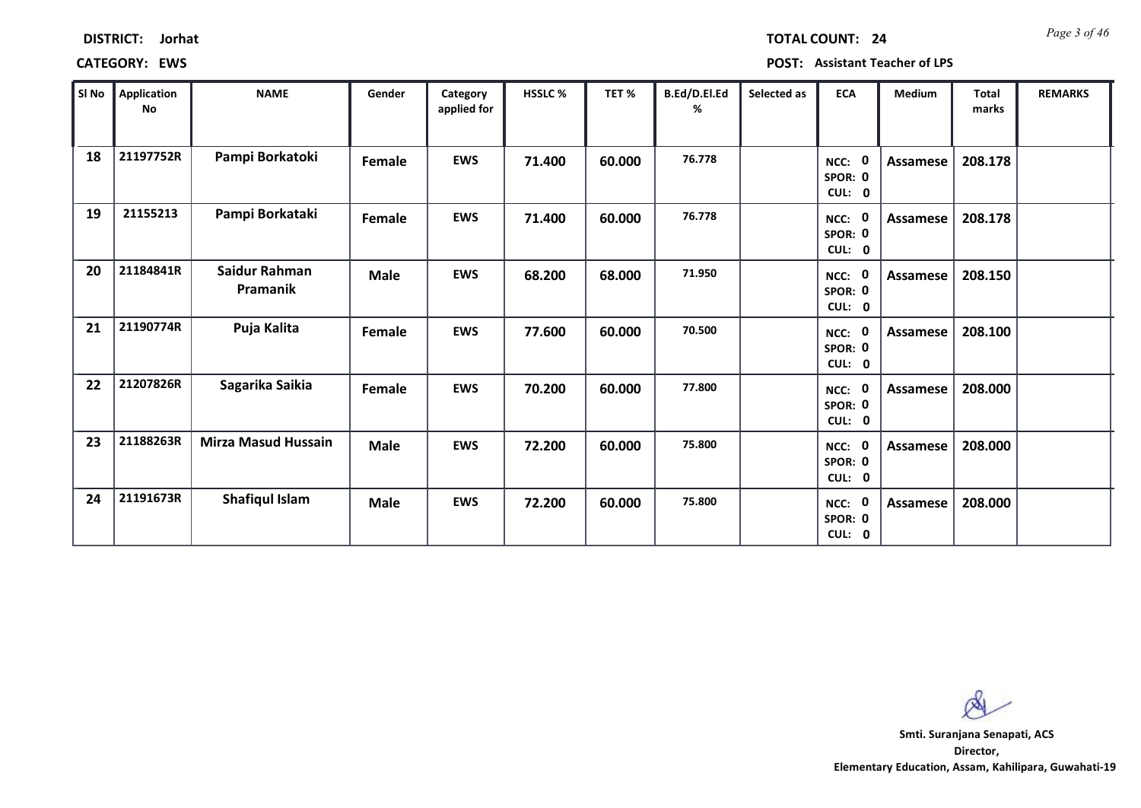| <b>DISTRICT:</b> | Jorhat |
|------------------|--------|
|------------------|--------|

# **CATEGORY: EWS POST: Assistant Teacher of LPS**

| SI No | Application<br>No | <b>NAME</b>                | Gender      | Category<br>applied for | HSSLC% | TET %  | B.Ed/D.El.Ed<br>% | Selected as | <b>ECA</b>                               | Medium          | <b>Total</b><br>marks | <b>REMARKS</b> |
|-------|-------------------|----------------------------|-------------|-------------------------|--------|--------|-------------------|-------------|------------------------------------------|-----------------|-----------------------|----------------|
| 18    | 21197752R         | Pampi Borkatoki            | Female      | <b>EWS</b>              | 71.400 | 60.000 | 76.778            |             | 0<br>NCC:<br>SPOR: 0<br>CUL: 0           | Assamese        | 208.178               |                |
| 19    | 21155213          | Pampi Borkataki            | Female      | <b>EWS</b>              | 71.400 | 60.000 | 76.778            |             | $\mathbf 0$<br>NCC:<br>SPOR: 0<br>CUL: 0 | <b>Assamese</b> | 208.178               |                |
| 20    | 21184841R         | Saidur Rahman<br>Pramanik  | <b>Male</b> | <b>EWS</b>              | 68.200 | 68.000 | 71.950            |             | NCC: 0<br>SPOR: 0<br>CUL: 0              | <b>Assamese</b> | 208.150               |                |
| 21    | 21190774R         | Puja Kalita                | Female      | <b>EWS</b>              | 77.600 | 60.000 | 70.500            |             | $\mathbf 0$<br>NCC:<br>SPOR: 0<br>CUL: 0 | <b>Assamese</b> | 208.100               |                |
| 22    | 21207826R         | Sagarika Saikia            | Female      | <b>EWS</b>              | 70.200 | 60.000 | 77.800            |             | $\mathbf 0$<br>NCC:<br>SPOR: 0<br>CUL: 0 | <b>Assamese</b> | 208.000               |                |
| 23    | 21188263R         | <b>Mirza Masud Hussain</b> | <b>Male</b> | <b>EWS</b>              | 72.200 | 60.000 | 75.800            |             | $\mathbf 0$<br>NCC:<br>SPOR: 0<br>CUL: 0 | Assamese        | 208.000               |                |
| 24    | 21191673R         | Shafiqul Islam             | <b>Male</b> | <b>EWS</b>              | 72.200 | 60.000 | 75.800            |             | $\mathbf 0$<br>NCC:<br>SPOR: 0<br>CUL: 0 | <b>Assamese</b> | 208.000               |                |

 $\infty$ 

**Director, Elementary Education, Assam, Kahilipara, Guwahati-19 Smti. Suranjana Senapati, ACS**

*Page 3 of 46* **TOTAL COUNT: 24**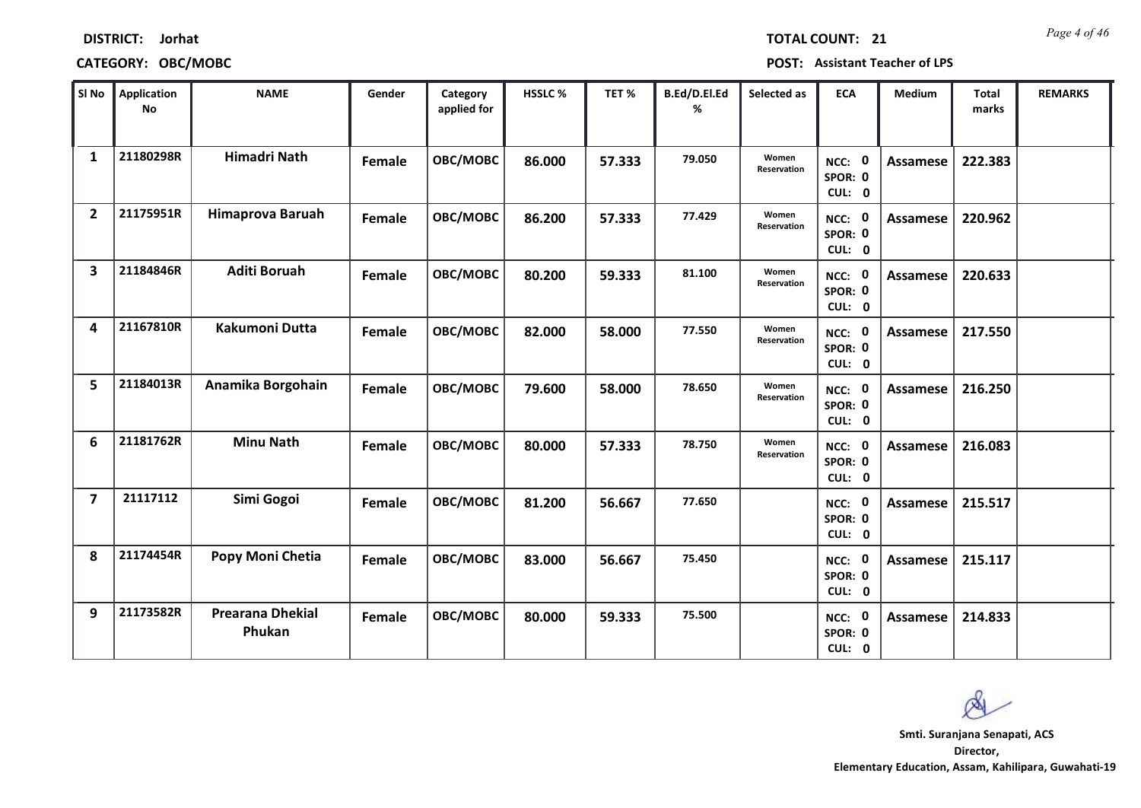| SI No                   | <b>Application</b><br>No | <b>NAME</b>                       | Gender        | Category<br>applied for | HSSLC% | TET %  | B.Ed/D.El.Ed<br>% | Selected as          | <b>ECA</b>                  | Medium          | <b>Total</b><br>marks | <b>REMARKS</b> |
|-------------------------|--------------------------|-----------------------------------|---------------|-------------------------|--------|--------|-------------------|----------------------|-----------------------------|-----------------|-----------------------|----------------|
| $\mathbf{1}$            | 21180298R                | <b>Himadri Nath</b>               | <b>Female</b> | OBC/MOBC                | 86.000 | 57.333 | 79.050            | Women<br>Reservation | NCC: 0<br>SPOR: 0<br>CUL: 0 | <b>Assamese</b> | 222.383               |                |
| $\overline{2}$          | 21175951R                | Himaprova Baruah                  | Female        | OBC/MOBC                | 86.200 | 57.333 | 77.429            | Women<br>Reservation | NCC: 0<br>SPOR: 0<br>CUL: 0 | Assamese        | 220.962               |                |
| $\overline{\mathbf{3}}$ | 21184846R                | <b>Aditi Boruah</b>               | Female        | OBC/MOBC                | 80.200 | 59.333 | 81.100            | Women<br>Reservation | NCC: 0<br>SPOR: 0<br>CUL: 0 | <b>Assamese</b> | 220.633               |                |
| 4                       | 21167810R                | <b>Kakumoni Dutta</b>             | Female        | OBC/MOBC                | 82.000 | 58.000 | 77.550            | Women<br>Reservation | NCC: 0<br>SPOR: 0<br>CUL: 0 | <b>Assamese</b> | 217.550               |                |
| 5                       | 21184013R                | Anamika Borgohain                 | Female        | OBC/MOBC                | 79.600 | 58.000 | 78.650            | Women<br>Reservation | NCC: 0<br>SPOR: 0<br>CUL: 0 | <b>Assamese</b> | 216.250               |                |
| 6                       | 21181762R                | <b>Minu Nath</b>                  | Female        | OBC/MOBC                | 80.000 | 57.333 | 78.750            | Women<br>Reservation | NCC: 0<br>SPOR: 0<br>CUL: 0 | <b>Assamese</b> | 216.083               |                |
| $\overline{\mathbf{z}}$ | 21117112                 | Simi Gogoi                        | Female        | OBC/MOBC                | 81.200 | 56.667 | 77.650            |                      | NCC: 0<br>SPOR: 0<br>CUL: 0 | <b>Assamese</b> | 215.517               |                |
| 8                       | 21174454R                | Popy Moni Chetia                  | Female        | OBC/MOBC                | 83.000 | 56.667 | 75.450            |                      | NCC: 0<br>SPOR: 0<br>CUL: 0 | <b>Assamese</b> | 215.117               |                |
| 9                       | 21173582R                | <b>Prearana Dhekial</b><br>Phukan | Female        | OBC/MOBC                | 80.000 | 59.333 | 75.500            |                      | NCC: 0<br>SPOR: 0<br>CUL: 0 | <b>Assamese</b> | 214.833               |                |

**CATEGORY: OBC/MOBC POST: Assistant Teacher of LPS**

# **DISTRICT: Jorhat**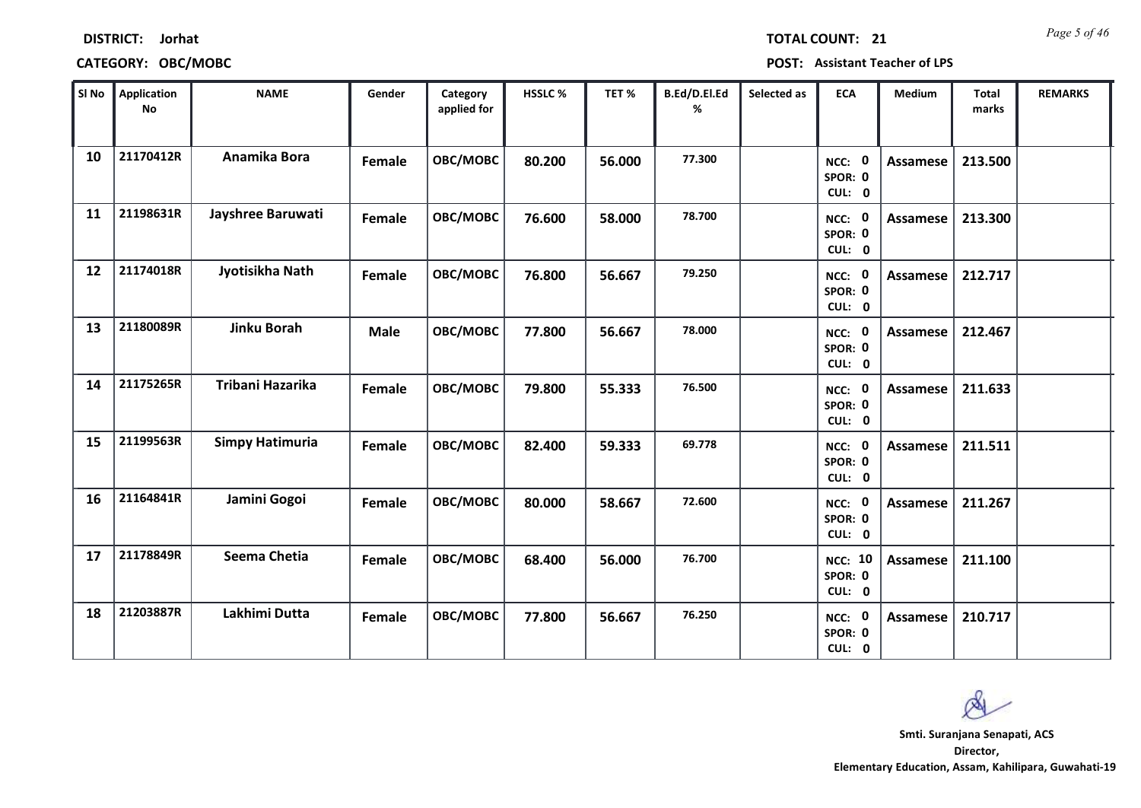| SI No | Application<br><b>No</b> | <b>NAME</b>            | Gender      | Category<br>applied for | HSSLC% | TET%   | B.Ed/D.El.Ed<br>% | Selected as | <b>ECA</b>                               | Medium          | <b>Total</b><br>marks | <b>REMARKS</b> |
|-------|--------------------------|------------------------|-------------|-------------------------|--------|--------|-------------------|-------------|------------------------------------------|-----------------|-----------------------|----------------|
| 10    | 21170412R                | Anamika Bora           | Female      | OBC/MOBC                | 80.200 | 56.000 | 77.300            |             | $\mathbf 0$<br>NCC:<br>SPOR: 0<br>CUL: 0 | <b>Assamese</b> | 213.500               |                |
| 11    | 21198631R                | Jayshree Baruwati      | Female      | OBC/MOBC                | 76.600 | 58.000 | 78.700            |             | NCC: 0<br>SPOR: 0<br>CUL: 0              | Assamese        | 213.300               |                |
| 12    | 21174018R                | Jyotisikha Nath        | Female      | OBC/MOBC                | 76.800 | 56.667 | 79.250            |             | NCC: 0<br>SPOR: 0<br>CUL: 0              | Assamese        | 212.717               |                |
| 13    | 21180089R                | <b>Jinku Borah</b>     | <b>Male</b> | OBC/MOBC                | 77.800 | 56.667 | 78.000            |             | <b>NCC: 0</b><br>SPOR: 0<br>CUL: 0       | Assamese        | 212.467               |                |
| 14    | 21175265R                | Tribani Hazarika       | Female      | OBC/MOBC                | 79.800 | 55.333 | 76.500            |             | <b>NCC: 0</b><br>SPOR: 0<br>CUL: 0       | <b>Assamese</b> | 211.633               |                |
| 15    | 21199563R                | <b>Simpy Hatimuria</b> | Female      | OBC/MOBC                | 82.400 | 59.333 | 69.778            |             | NCC: 0<br>SPOR: 0<br>CUL: 0              | Assamese        | 211.511               |                |
| 16    | 21164841R                | Jamini Gogoi           | Female      | OBC/MOBC                | 80.000 | 58.667 | 72.600            |             | NCC: 0<br>SPOR: 0<br>CUL: 0              | <b>Assamese</b> | 211.267               |                |
| 17    | 21178849R                | Seema Chetia           | Female      | OBC/MOBC                | 68.400 | 56.000 | 76.700            |             | <b>NCC: 10</b><br>SPOR: 0<br>CUL: 0      | <b>Assamese</b> | 211.100               |                |
| 18    | 21203887R                | Lakhimi Dutta          | Female      | OBC/MOBC                | 77.800 | 56.667 | 76.250            |             | NCC: 0<br>SPOR: 0<br>CUL: 0              | <b>Assamese</b> | 210.717               |                |

**DISTRICT: Jorhat**

**CATEGORY: OBC/MOBC POST: Assistant Teacher of LPS**

*Page 5 of 46* **TOTAL COUNT: 21**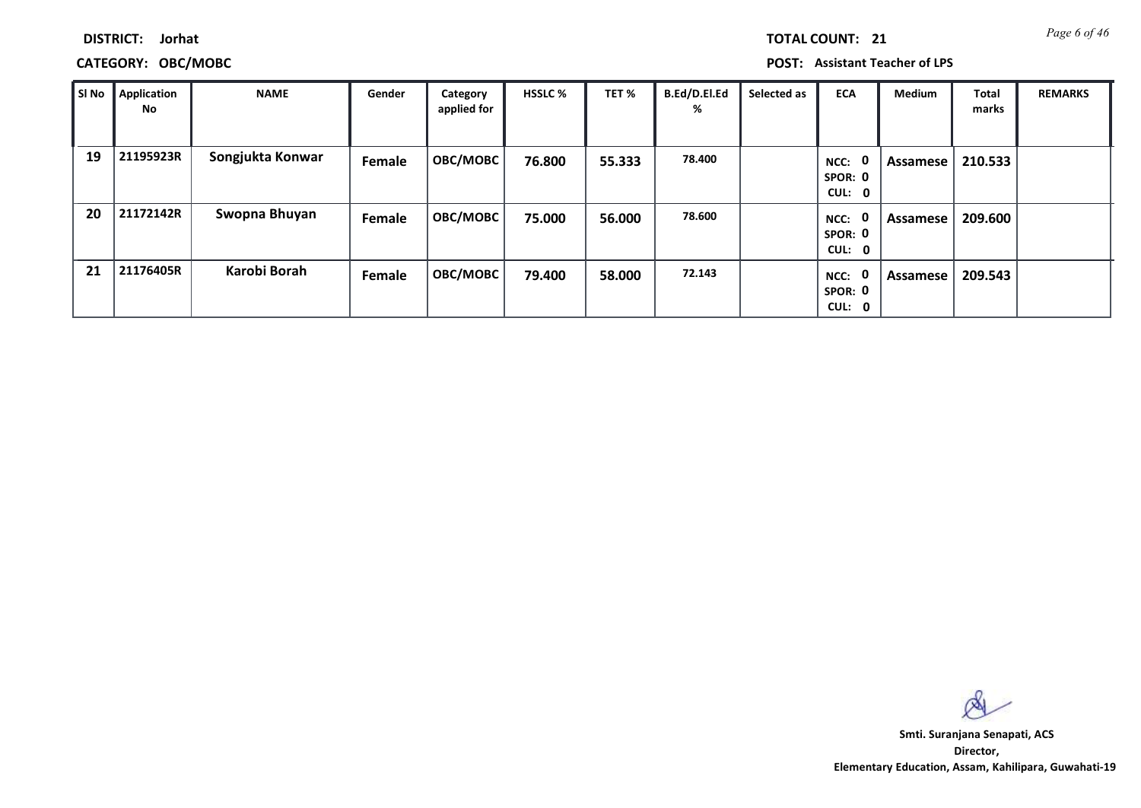**DISTRICT: Jorhat**

**CATEGORY: OBC/MOBC POST: Assistant Teacher of LPS**

| SI No | <b>Application</b><br>No | <b>NAME</b>      | Gender | Category<br>applied for | <b>HSSLC %</b> | TET %  | B.Ed/D.El.Ed<br>% | Selected as | <b>ECA</b>                               | <b>Medium</b> | <b>Total</b><br>marks | <b>REMARKS</b> |
|-------|--------------------------|------------------|--------|-------------------------|----------------|--------|-------------------|-------------|------------------------------------------|---------------|-----------------------|----------------|
| 19    | 21195923R                | Songjukta Konwar | Female | OBC/MOBC                | 76.800         | 55.333 | 78.400            |             | 0<br>NCC:<br>SPOR: 0<br>CUL: 0           | Assamese      | 210.533               |                |
| 20    | 21172142R                | Swopna Bhuyan    | Female | OBC/MOBC                | 75.000         | 56.000 | 78.600            |             | $\mathbf 0$<br>NCC:<br>SPOR: 0<br>CUL: 0 | Assamese      | 209.600               |                |
| 21    | 21176405R                | Karobi Borah     | Female | OBC/MOBC                | 79.400         | 58.000 | 72.143            |             | $\mathbf 0$<br>NCC:<br>SPOR: 0<br>CUL: 0 | Assamese      | 209.543               |                |

 $\infty$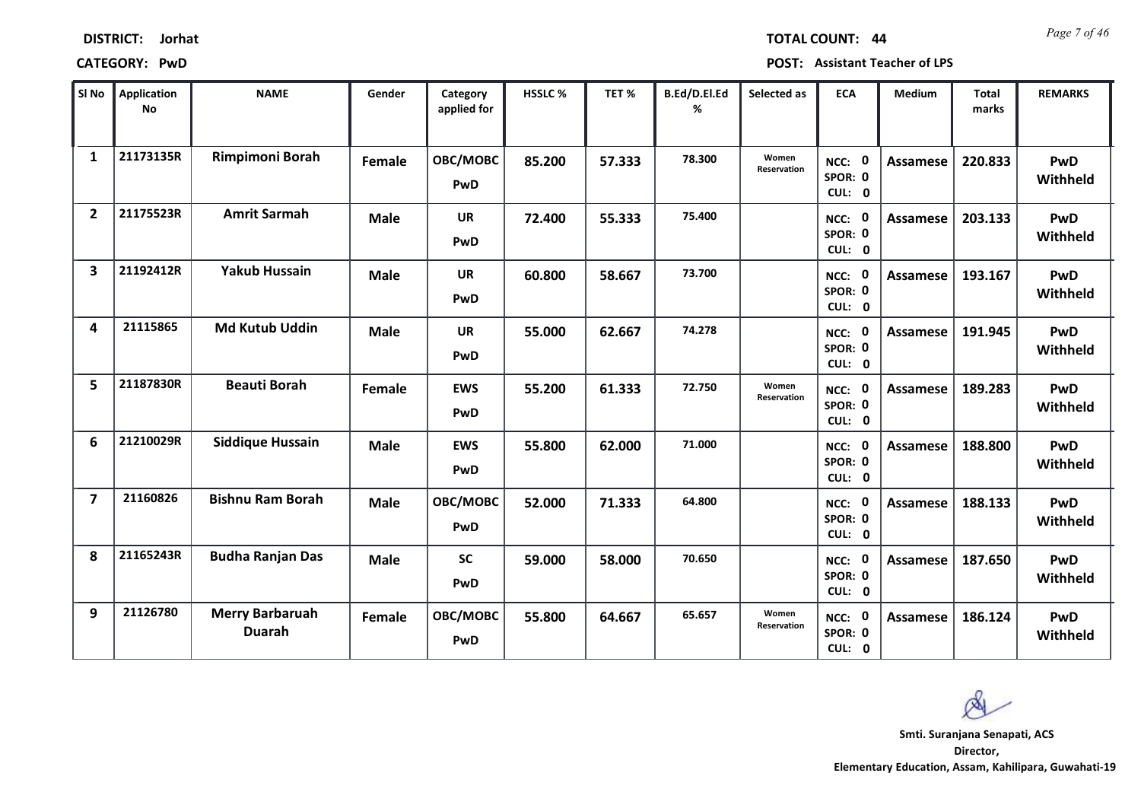| <b>DISTRICT:</b> | Jorhat |
|------------------|--------|
|------------------|--------|

*Page 7 of 46* **TOTAL COUNT: 44**

**CATEGORY: PwD POST: Assistant Teacher of LPS**

| SI No                   | <b>Application</b><br><b>No</b> | <b>NAME</b>                             | Gender      | Category<br>applied for | HSSLC % | TET %  | B.Ed/D.El.Ed<br>% | Selected as                 | <b>ECA</b>                  | <b>Medium</b>   | <b>Total</b><br>marks | <b>REMARKS</b>  |
|-------------------------|---------------------------------|-----------------------------------------|-------------|-------------------------|---------|--------|-------------------|-----------------------------|-----------------------------|-----------------|-----------------------|-----------------|
| $\mathbf{1}$            | 21173135R                       | Rimpimoni Borah                         | Female      | OBC/MOBC<br>PwD         | 85.200  | 57.333 | 78.300            | Women<br>Reservation        | NCC: 0<br>SPOR: 0<br>CUL: 0 | <b>Assamese</b> | 220.833               | PwD<br>Withheld |
| $\overline{2}$          | 21175523R                       | <b>Amrit Sarmah</b>                     | <b>Male</b> | <b>UR</b><br>PwD        | 72.400  | 55.333 | 75.400            |                             | NCC: 0<br>SPOR: 0<br>CUL: 0 | <b>Assamese</b> | 203.133               | PwD<br>Withheld |
| $\overline{\mathbf{3}}$ | 21192412R                       | <b>Yakub Hussain</b>                    | <b>Male</b> | <b>UR</b><br>PwD        | 60.800  | 58.667 | 73.700            |                             | NCC: 0<br>SPOR: 0<br>CUL: 0 | Assamese        | 193.167               | PwD<br>Withheld |
| 4                       | 21115865                        | <b>Md Kutub Uddin</b>                   | <b>Male</b> | <b>UR</b><br>PwD        | 55.000  | 62.667 | 74.278            |                             | NCC: 0<br>SPOR: 0<br>CUL: 0 | <b>Assamese</b> | 191.945               | PwD<br>Withheld |
| 5                       | 21187830R                       | <b>Beauti Borah</b>                     | Female      | <b>EWS</b><br>PwD       | 55.200  | 61.333 | 72.750            | Women<br><b>Reservation</b> | NCC: 0<br>SPOR: 0<br>CUL: 0 | <b>Assamese</b> | 189.283               | PwD<br>Withheld |
| 6                       | 21210029R                       | <b>Siddique Hussain</b>                 | <b>Male</b> | <b>EWS</b><br>PwD       | 55.800  | 62.000 | 71.000            |                             | NCC: 0<br>SPOR: 0<br>CUL: 0 | <b>Assamese</b> | 188.800               | PwD<br>Withheld |
| $\overline{\mathbf{z}}$ | 21160826                        | <b>Bishnu Ram Borah</b>                 | <b>Male</b> | OBC/MOBC<br>PwD         | 52.000  | 71.333 | 64.800            |                             | NCC: 0<br>SPOR: 0<br>CUL: 0 | <b>Assamese</b> | 188.133               | PwD<br>Withheld |
| 8                       | 21165243R                       | <b>Budha Ranjan Das</b>                 | <b>Male</b> | <b>SC</b><br>PwD        | 59.000  | 58.000 | 70.650            |                             | NCC: 0<br>SPOR: 0<br>CUL: 0 | Assamese        | 187.650               | PwD<br>Withheld |
| 9                       | 21126780                        | <b>Merry Barbaruah</b><br><b>Duarah</b> | Female      | OBC/MOBC<br>PwD         | 55.800  | 64.667 | 65.657            | Women<br>Reservation        | NCC: 0<br>SPOR: 0<br>CUL: 0 | Assamese        | 186.124               | PwD<br>Withheld |

Ø **Smti. Suranjana Senapati, ACS**

**Director, Elementary Education, Assam, Kahilipara, Guwahati-19**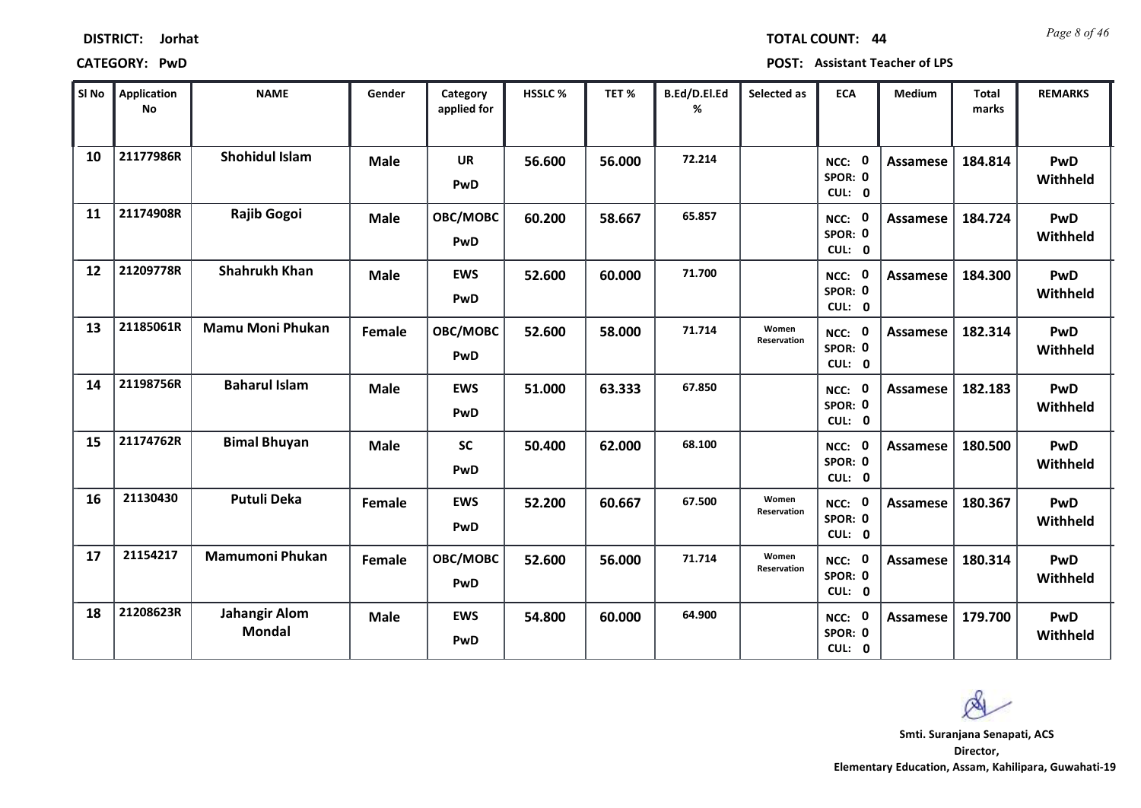| <b>DISTRICT:</b> | Jorhat |
|------------------|--------|
|------------------|--------|

*Page 8 of 46* **TOTAL COUNT: 44**

**CATEGORY: PwD POST: Assistant Teacher of LPS**

| SI <sub>No</sub> | Application<br>No | <b>NAME</b>                           | Gender      | Category<br>applied for | <b>HSSLC %</b> | TET %  | B.Ed/D.El.Ed<br>% | Selected as                 | <b>ECA</b>                     | Medium          | <b>Total</b><br>marks | <b>REMARKS</b>         |
|------------------|-------------------|---------------------------------------|-------------|-------------------------|----------------|--------|-------------------|-----------------------------|--------------------------------|-----------------|-----------------------|------------------------|
| 10               | 21177986R         | <b>Shohidul Islam</b>                 | <b>Male</b> | <b>UR</b><br>PwD        | 56.600         | 56.000 | 72.214            |                             | NCC: 0<br>SPOR: 0<br>CUL: 0    | Assamese        | 184.814               | <b>PwD</b><br>Withheld |
| 11               | 21174908R         | Rajib Gogoi                           | <b>Male</b> | OBC/MOBC<br>PwD         | 60.200         | 58.667 | 65.857            |                             | NCC: 0<br>SPOR: 0<br>CUL: 0    | <b>Assamese</b> | 184.724               | PwD<br>Withheld        |
| 12               | 21209778R         | <b>Shahrukh Khan</b>                  | <b>Male</b> | <b>EWS</b><br>PwD       | 52.600         | 60.000 | 71.700            |                             | NCC: 0<br>SPOR: 0<br>CUL: 0    | <b>Assamese</b> | 184.300               | <b>PwD</b><br>Withheld |
| 13               | 21185061R         | <b>Mamu Moni Phukan</b>               | Female      | OBC/MOBC<br>PwD         | 52.600         | 58.000 | 71.714            | Women<br><b>Reservation</b> | 0<br>NCC:<br>SPOR: 0<br>CUL: 0 | <b>Assamese</b> | 182.314               | <b>PwD</b><br>Withheld |
| 14               | 21198756R         | <b>Baharul Islam</b>                  | <b>Male</b> | <b>EWS</b><br>PwD       | 51.000         | 63.333 | 67.850            |                             | NCC: 0<br>SPOR: 0<br>CUL: 0    | <b>Assamese</b> | 182.183               | <b>PwD</b><br>Withheld |
| 15               | 21174762R         | <b>Bimal Bhuyan</b>                   | <b>Male</b> | <b>SC</b><br>PwD        | 50.400         | 62.000 | 68.100            |                             | NCC: 0<br>SPOR: 0<br>CUL: 0    | <b>Assamese</b> | 180.500               | <b>PwD</b><br>Withheld |
| 16               | 21130430          | <b>Putuli Deka</b>                    | Female      | <b>EWS</b><br>PwD       | 52.200         | 60.667 | 67.500            | Women<br><b>Reservation</b> | NCC: 0<br>SPOR: 0<br>CUL: 0    | <b>Assamese</b> | 180.367               | PwD<br>Withheld        |
| 17               | 21154217          | <b>Mamumoni Phukan</b>                | Female      | OBC/MOBC<br>PwD         | 52.600         | 56.000 | 71.714            | Women<br>Reservation        | NCC: 0<br>SPOR: 0<br>CUL: 0    | <b>Assamese</b> | 180.314               | PwD<br>Withheld        |
| 18               | 21208623R         | <b>Jahangir Alom</b><br><b>Mondal</b> | <b>Male</b> | <b>EWS</b><br>PwD       | 54.800         | 60.000 | 64.900            |                             | NCC: 0<br>SPOR: 0<br>CUL: 0    | <b>Assamese</b> | 179.700               | <b>PwD</b><br>Withheld |

**Director, Smti. Suranjana Senapati, ACS**

 $\infty$ 

**Elementary Education, Assam, Kahilipara, Guwahati-19**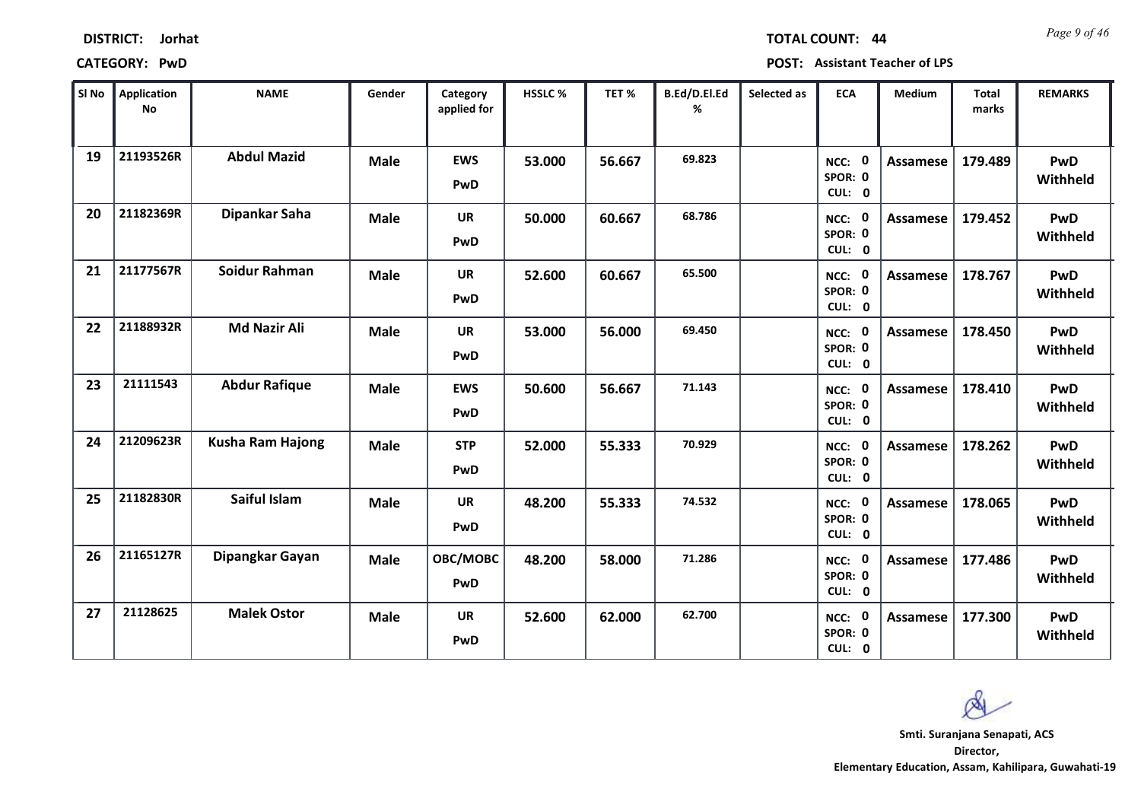| <b>DISTRICT:</b> | Jorhat |
|------------------|--------|
|------------------|--------|

*Page 9 of 46* **TOTAL COUNT: 44**

| SI No | <b>Application</b><br><b>No</b> | <b>NAME</b>             | Gender      | Category<br>applied for | HSSLC % | TET %  | B.Ed/D.El.Ed<br>% | Selected as | <b>ECA</b>                  | <b>Medium</b>   | <b>Total</b><br>marks | <b>REMARKS</b>  |
|-------|---------------------------------|-------------------------|-------------|-------------------------|---------|--------|-------------------|-------------|-----------------------------|-----------------|-----------------------|-----------------|
| 19    | 21193526R                       | <b>Abdul Mazid</b>      | <b>Male</b> | <b>EWS</b><br>PwD       | 53.000  | 56.667 | 69.823            |             | NCC: 0<br>SPOR: 0<br>CUL: 0 | Assamese        | 179.489               | PwD<br>Withheld |
| 20    | 21182369R                       | Dipankar Saha           | <b>Male</b> | <b>UR</b><br>PwD        | 50.000  | 60.667 | 68.786            |             | NCC: 0<br>SPOR: 0<br>CUL: 0 | Assamese        | 179.452               | PwD<br>Withheld |
| 21    | 21177567R                       | Soidur Rahman           | <b>Male</b> | <b>UR</b><br>PwD        | 52.600  | 60.667 | 65.500            |             | NCC: 0<br>SPOR: 0<br>CUL: 0 | Assamese        | 178.767               | PwD<br>Withheld |
| 22    | 21188932R                       | <b>Md Nazir Ali</b>     | <b>Male</b> | <b>UR</b><br>PwD        | 53.000  | 56.000 | 69.450            |             | NCC: 0<br>SPOR: 0<br>CUL: 0 | Assamese        | 178.450               | PwD<br>Withheld |
| 23    | 21111543                        | <b>Abdur Rafique</b>    | <b>Male</b> | <b>EWS</b><br>PwD       | 50.600  | 56.667 | 71.143            |             | NCC: 0<br>SPOR: 0<br>CUL: 0 | Assamese        | 178.410               | PwD<br>Withheld |
| 24    | 21209623R                       | <b>Kusha Ram Hajong</b> | <b>Male</b> | <b>STP</b><br>PwD       | 52.000  | 55.333 | 70.929            |             | NCC: 0<br>SPOR: 0<br>CUL: 0 | <b>Assamese</b> | 178.262               | PwD<br>Withheld |
| 25    | 21182830R                       | Saiful Islam            | <b>Male</b> | <b>UR</b><br>PwD        | 48.200  | 55.333 | 74.532            |             | NCC: 0<br>SPOR: 0<br>CUL: 0 | Assamese        | 178.065               | PwD<br>Withheld |
| 26    | 21165127R                       | Dipangkar Gayan         | <b>Male</b> | OBC/MOBC<br>PwD         | 48.200  | 58.000 | 71.286            |             | NCC: 0<br>SPOR: 0<br>CUL: 0 | <b>Assamese</b> | 177.486               | PwD<br>Withheld |
| 27    | 21128625                        | <b>Malek Ostor</b>      | <b>Male</b> | UR<br>PwD               | 52.600  | 62.000 | 62.700            |             | NCC: 0<br>SPOR: 0<br>CUL: 0 | Assamese        | 177.300               | PwD<br>Withheld |

Ø **Smti. Suranjana Senapati, ACSDirector,**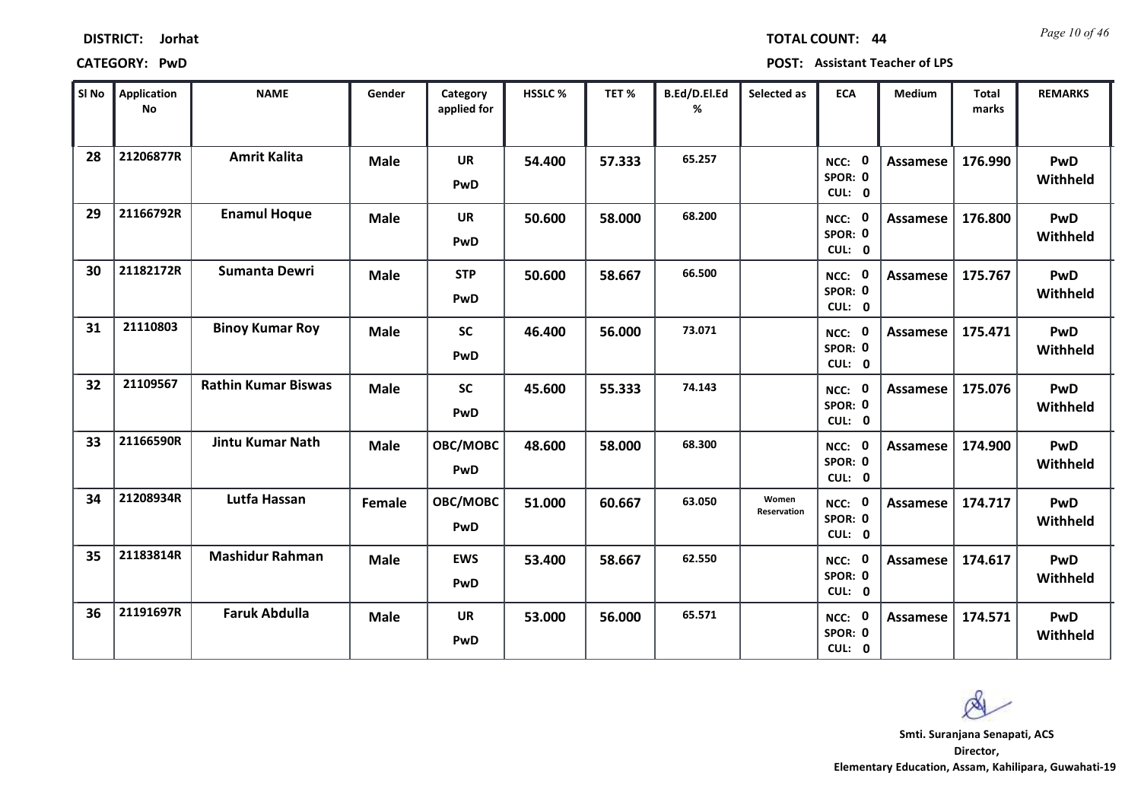| <b>DISTRICT:</b> | Jorhat |
|------------------|--------|
|------------------|--------|

*Page 10 of 46* **TOTAL COUNT: 44**

**CATEGORY: PwD POST: Assistant Teacher of LPS**

| SI No | <b>Application</b><br><b>No</b> | <b>NAME</b>                | Gender      | Category<br>applied for | HSSLC % | TET %  | B.Ed/D.El.Ed<br>% | Selected as          | <b>ECA</b>                       | <b>Medium</b>   | <b>Total</b><br>marks | <b>REMARKS</b>         |
|-------|---------------------------------|----------------------------|-------------|-------------------------|---------|--------|-------------------|----------------------|----------------------------------|-----------------|-----------------------|------------------------|
| 28    | 21206877R                       | <b>Amrit Kalita</b>        | <b>Male</b> | <b>UR</b><br>PwD        | 54.400  | 57.333 | 65.257            |                      | NCC: 0<br>SPOR: 0<br>CUL: 0      | <b>Assamese</b> | 176.990               | PwD<br>Withheld        |
| 29    | 21166792R                       | <b>Enamul Hoque</b>        | <b>Male</b> | <b>UR</b><br>PwD        | 50.600  | 58.000 | 68.200            |                      | NCC: 0<br>SPOR: 0<br>CUL: 0      | <b>Assamese</b> | 176.800               | PwD<br>Withheld        |
| 30    | 21182172R                       | <b>Sumanta Dewri</b>       | <b>Male</b> | <b>STP</b><br>PwD       | 50.600  | 58.667 | 66.500            |                      | NCC: 0<br>SPOR: 0<br>CUL: 0      | Assamese        | 175.767               | <b>PwD</b><br>Withheld |
| 31    | 21110803                        | <b>Binoy Kumar Roy</b>     | <b>Male</b> | <b>SC</b><br>PwD        | 46.400  | 56.000 | 73.071            |                      | - 0<br>NCC:<br>SPOR: 0<br>CUL: 0 | Assamese        | 175.471               | PwD<br>Withheld        |
| 32    | 21109567                        | <b>Rathin Kumar Biswas</b> | <b>Male</b> | <b>SC</b><br>PwD        | 45.600  | 55.333 | 74.143            |                      | NCC: 0<br>SPOR: 0<br>CUL: 0      | Assamese        | 175.076               | PwD<br>Withheld        |
| 33    | 21166590R                       | <b>Jintu Kumar Nath</b>    | <b>Male</b> | OBC/MOBC<br>PwD         | 48.600  | 58.000 | 68.300            |                      | NCC: 0<br>SPOR: 0<br>CUL: 0      | Assamese        | 174.900               | PwD<br>Withheld        |
| 34    | 21208934R                       | Lutfa Hassan               | Female      | OBC/MOBC<br>PwD         | 51.000  | 60.667 | 63.050            | Women<br>Reservation | NCC: 0<br>SPOR: 0<br>CUL: 0      | <b>Assamese</b> | 174.717               | PwD<br>Withheld        |
| 35    | 21183814R                       | <b>Mashidur Rahman</b>     | <b>Male</b> | <b>EWS</b><br>PwD       | 53.400  | 58.667 | 62.550            |                      | NCC: 0<br>SPOR: 0<br>CUL: 0      | Assamese        | 174.617               | PwD<br>Withheld        |
| 36    | 21191697R                       | <b>Faruk Abdulla</b>       | <b>Male</b> | <b>UR</b><br>PwD        | 53.000  | 56.000 | 65.571            |                      | NCC: 0<br>SPOR: 0<br>CUL: 0      | Assamese        | 174.571               | PwD<br>Withheld        |

Ø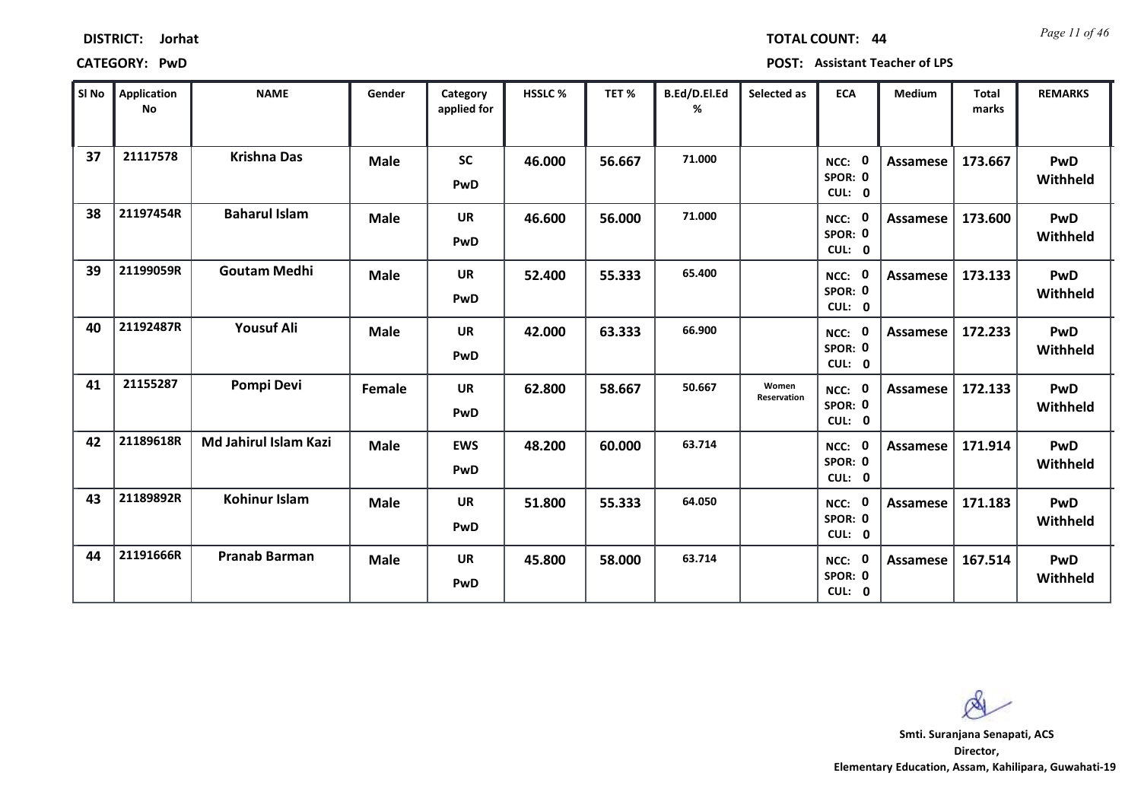*Page 11 of 46* **TOTAL COUNT: 44**

**CATEGORY: PwD POST: Assistant Teacher of LPS**

| SI No | Application<br><b>No</b> | <b>NAME</b>                  | Gender      | Category<br>applied for | <b>HSSLC %</b> | TET %  | B.Ed/D.El.Ed<br>% | Selected as          | <b>ECA</b>                               | <b>Medium</b>   | <b>Total</b><br>marks | <b>REMARKS</b>         |
|-------|--------------------------|------------------------------|-------------|-------------------------|----------------|--------|-------------------|----------------------|------------------------------------------|-----------------|-----------------------|------------------------|
| 37    | 21117578                 | <b>Krishna Das</b>           | <b>Male</b> | <b>SC</b><br>PwD        | 46.000         | 56.667 | 71.000            |                      | $\mathbf 0$<br>NCC:<br>SPOR: 0<br>CUL: 0 | <b>Assamese</b> | 173.667               | <b>PwD</b><br>Withheld |
| 38    | 21197454R                | <b>Baharul Islam</b>         | <b>Male</b> | <b>UR</b><br>PwD        | 46.600         | 56.000 | 71.000            |                      | NCC: 0<br>SPOR: 0<br>CUL: 0              | Assamese        | 173.600               | PwD<br>Withheld        |
| 39    | 21199059R                | <b>Goutam Medhi</b>          | <b>Male</b> | <b>UR</b><br>PwD        | 52.400         | 55.333 | 65.400            |                      | NCC: 0<br>SPOR: 0<br>CUL: 0              | <b>Assamese</b> | 173.133               | PwD<br>Withheld        |
| 40    | 21192487R                | <b>Yousuf Ali</b>            | <b>Male</b> | <b>UR</b><br>PwD        | 42.000         | 63.333 | 66.900            |                      | 0<br>$NCC$ :<br>SPOR: 0<br>CUL: 0        | <b>Assamese</b> | 172.233               | <b>PwD</b><br>Withheld |
| 41    | 21155287                 | Pompi Devi                   | Female      | <b>UR</b><br>PwD        | 62.800         | 58.667 | 50.667            | Women<br>Reservation | NCC: 0<br>SPOR: 0<br>CUL: 0              | <b>Assamese</b> | 172.133               | PwD<br>Withheld        |
| 42    | 21189618R                | <b>Md Jahirul Islam Kazi</b> | <b>Male</b> | <b>EWS</b><br>PwD       | 48.200         | 60.000 | 63.714            |                      | - 0<br>NCC:<br>SPOR: 0<br>CUL: 0         | <b>Assamese</b> | 171.914               | <b>PwD</b><br>Withheld |
| 43    | 21189892R                | <b>Kohinur Islam</b>         | <b>Male</b> | <b>UR</b><br>PwD        | 51.800         | 55.333 | 64.050            |                      | 0<br>$NCC$ :<br>SPOR: 0<br>CUL: 0        | <b>Assamese</b> | 171.183               | <b>PwD</b><br>Withheld |
| 44    | 21191666R                | <b>Pranab Barman</b>         | <b>Male</b> | <b>UR</b><br>PwD        | 45.800         | 58.000 | 63.714            |                      | 0<br>NCC:<br>SPOR: 0<br>CUL: 0           | Assamese        | 167.514               | PwD<br>Withheld        |

 $\infty$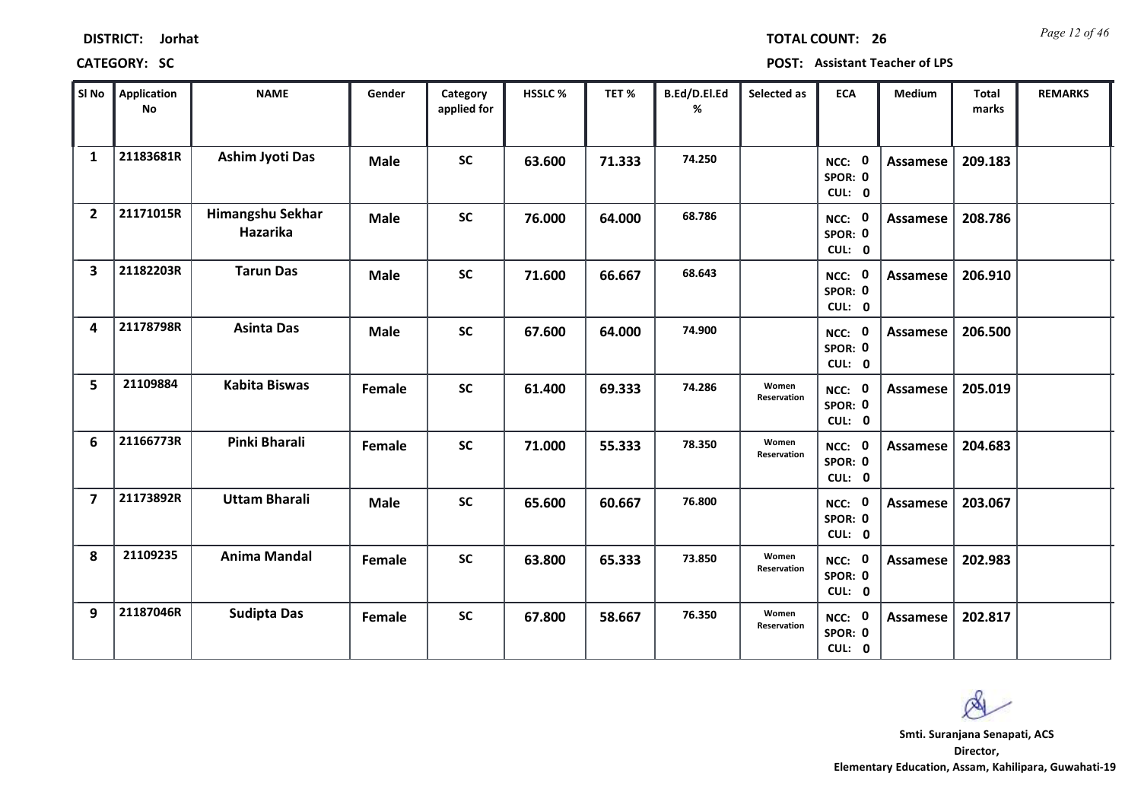*Page 12 of 46* **TOTAL COUNT: 26**

| SI No                   | <b>Application</b><br>No | <b>NAME</b>                  | Gender      | Category<br>applied for | <b>HSSLC%</b> | TET%   | B.Ed/D.El.Ed<br>% | Selected as          | <b>ECA</b>                  | <b>Medium</b>   | <b>Total</b><br>marks | <b>REMARKS</b> |
|-------------------------|--------------------------|------------------------------|-------------|-------------------------|---------------|--------|-------------------|----------------------|-----------------------------|-----------------|-----------------------|----------------|
| $\mathbf{1}$            | 21183681R                | <b>Ashim Jyoti Das</b>       | <b>Male</b> | <b>SC</b>               | 63.600        | 71.333 | 74.250            |                      | NCC: 0<br>SPOR: 0<br>CUL: 0 | <b>Assamese</b> | 209.183               |                |
| $\overline{2}$          | 21171015R                | Himangshu Sekhar<br>Hazarika | <b>Male</b> | <b>SC</b>               | 76.000        | 64.000 | 68.786            |                      | NCC: 0<br>SPOR: 0<br>CUL: 0 | Assamese        | 208.786               |                |
| 3                       | 21182203R                | <b>Tarun Das</b>             | <b>Male</b> | <b>SC</b>               | 71.600        | 66.667 | 68.643            |                      | NCC: 0<br>SPOR: 0<br>CUL: 0 | <b>Assamese</b> | 206.910               |                |
| 4                       | 21178798R                | <b>Asinta Das</b>            | <b>Male</b> | <b>SC</b>               | 67.600        | 64.000 | 74.900            |                      | NCC: 0<br>SPOR: 0<br>CUL: 0 | Assamese        | 206.500               |                |
| 5                       | 21109884                 | <b>Kabita Biswas</b>         | Female      | <b>SC</b>               | 61.400        | 69.333 | 74.286            | Women<br>Reservation | NCC: 0<br>SPOR: 0<br>CUL: 0 | <b>Assamese</b> | 205.019               |                |
| 6                       | 21166773R                | Pinki Bharali                | Female      | SC                      | 71.000        | 55.333 | 78.350            | Women<br>Reservation | NCC: 0<br>SPOR: 0<br>CUL: 0 | <b>Assamese</b> | 204.683               |                |
| $\overline{\mathbf{z}}$ | 21173892R                | <b>Uttam Bharali</b>         | <b>Male</b> | <b>SC</b>               | 65.600        | 60.667 | 76.800            |                      | NCC: 0<br>SPOR: 0<br>CUL: 0 | Assamese        | 203.067               |                |
| 8                       | 21109235                 | <b>Anima Mandal</b>          | Female      | <b>SC</b>               | 63.800        | 65.333 | 73.850            | Women<br>Reservation | NCC: 0<br>SPOR: 0<br>CUL: 0 | <b>Assamese</b> | 202.983               |                |
| 9                       | 21187046R                | <b>Sudipta Das</b>           | Female      | <b>SC</b>               | 67.800        | 58.667 | 76.350            | Women<br>Reservation | NCC: 0<br>SPOR: 0<br>CUL: 0 | Assamese        | 202.817               |                |

 $\infty$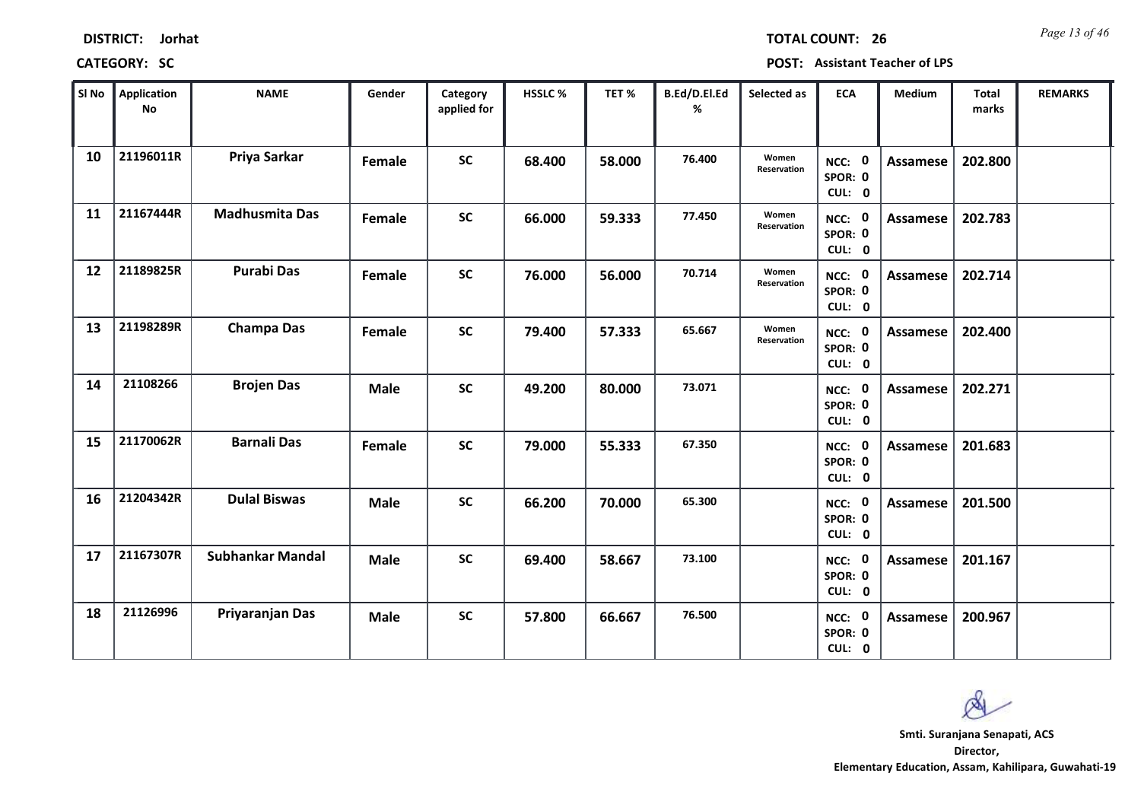*Page 13 of 46* **TOTAL COUNT: 26**

| SI No | <b>Application</b><br>No | <b>NAME</b>             | Gender      | Category<br>applied for | <b>HSSLC%</b> | TET %  | B.Ed/D.El.Ed<br>% | Selected as          | <b>ECA</b>                  | <b>Medium</b>   | <b>Total</b><br>marks | <b>REMARKS</b> |
|-------|--------------------------|-------------------------|-------------|-------------------------|---------------|--------|-------------------|----------------------|-----------------------------|-----------------|-----------------------|----------------|
| 10    | 21196011R                | Priya Sarkar            | Female      | <b>SC</b>               | 68.400        | 58.000 | 76.400            | Women<br>Reservation | NCC: 0<br>SPOR: 0<br>CUL: 0 | <b>Assamese</b> | 202.800               |                |
| 11    | 21167444R                | <b>Madhusmita Das</b>   | Female      | <b>SC</b>               | 66.000        | 59.333 | 77.450            | Women<br>Reservation | NCC: 0<br>SPOR: 0<br>CUL: 0 | Assamese        | 202.783               |                |
| 12    | 21189825R                | <b>Purabi Das</b>       | Female      | <b>SC</b>               | 76.000        | 56.000 | 70.714            | Women<br>Reservation | NCC: 0<br>SPOR: 0<br>CUL: 0 | <b>Assamese</b> | 202.714               |                |
| 13    | 21198289R                | <b>Champa Das</b>       | Female      | <b>SC</b>               | 79.400        | 57.333 | 65.667            | Women<br>Reservation | NCC: 0<br>SPOR: 0<br>CUL: 0 | Assamese        | 202.400               |                |
| 14    | 21108266                 | <b>Brojen Das</b>       | <b>Male</b> | <b>SC</b>               | 49.200        | 80.000 | 73.071            |                      | NCC: 0<br>SPOR: 0<br>CUL: 0 | Assamese        | 202.271               |                |
| 15    | 21170062R                | <b>Barnali Das</b>      | Female      | <b>SC</b>               | 79.000        | 55.333 | 67.350            |                      | NCC: 0<br>SPOR: 0<br>CUL: 0 | Assamese        | 201.683               |                |
| 16    | 21204342R                | <b>Dulal Biswas</b>     | <b>Male</b> | <b>SC</b>               | 66.200        | 70.000 | 65.300            |                      | NCC: 0<br>SPOR: 0<br>CUL: 0 | Assamese        | 201.500               |                |
| 17    | 21167307R                | <b>Subhankar Mandal</b> | <b>Male</b> | <b>SC</b>               | 69.400        | 58.667 | 73.100            |                      | NCC: 0<br>SPOR: 0<br>CUL: 0 | <b>Assamese</b> | 201.167               |                |
| 18    | 21126996                 | Priyaranjan Das         | <b>Male</b> | <b>SC</b>               | 57.800        | 66.667 | 76.500            |                      | NCC: 0<br>SPOR: 0<br>CUL: 0 | Assamese        | 200.967               |                |

 $\infty$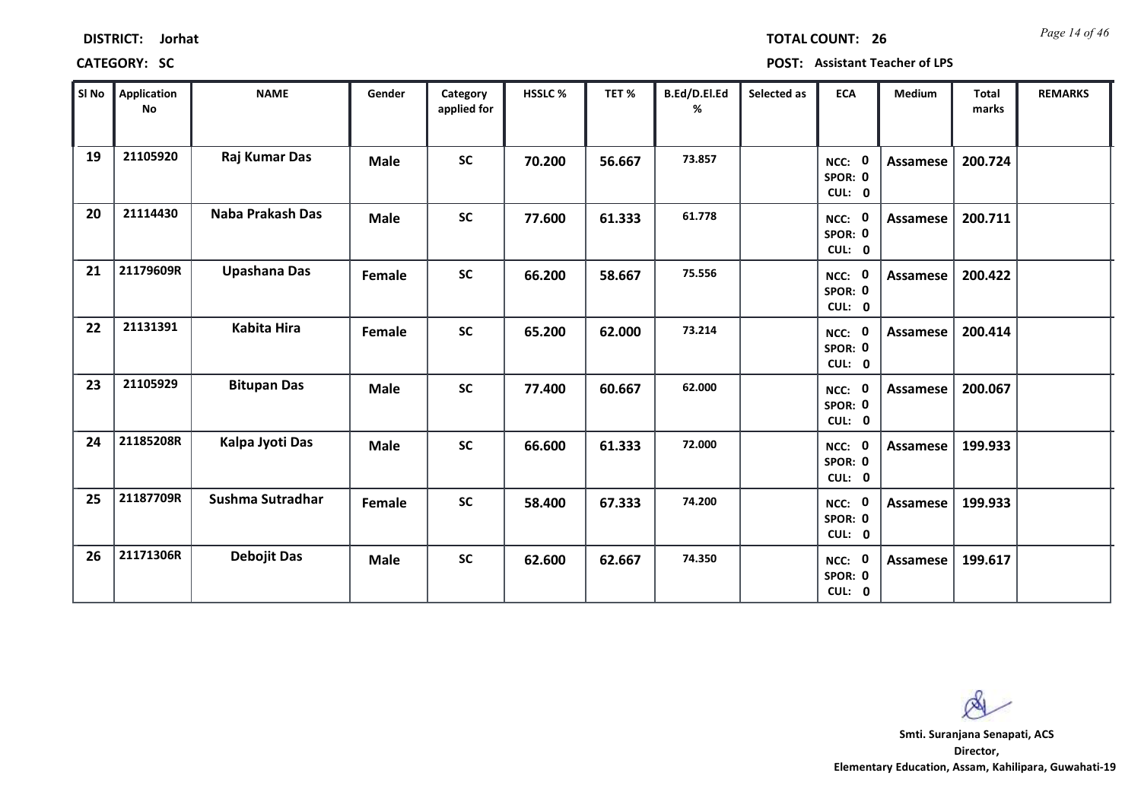| <b>DISTRICT:</b> | Jorhat |
|------------------|--------|
|------------------|--------|

*Page 14 of 46* **TOTAL COUNT: 26**

**CATEGORY: SC POST: Assistant Teacher of LPS**

| SI No | <b>Application</b><br>No | <b>NAME</b>         | Gender      | Category<br>applied for | <b>HSSLC %</b> | TET %  | B.Ed/D.El.Ed<br>% | Selected as | <b>ECA</b>                  | <b>Medium</b>   | <b>Total</b><br>marks | <b>REMARKS</b> |
|-------|--------------------------|---------------------|-------------|-------------------------|----------------|--------|-------------------|-------------|-----------------------------|-----------------|-----------------------|----------------|
| 19    | 21105920                 | Raj Kumar Das       | <b>Male</b> | <b>SC</b>               | 70.200         | 56.667 | 73.857            |             | NCC: 0<br>SPOR: 0<br>CUL: 0 | <b>Assamese</b> | 200.724               |                |
| 20    | 21114430                 | Naba Prakash Das    | <b>Male</b> | <b>SC</b>               | 77.600         | 61.333 | 61.778            |             | NCC: 0<br>SPOR: 0<br>CUL: 0 | Assamese        | 200.711               |                |
| 21    | 21179609R                | <b>Upashana Das</b> | Female      | <b>SC</b>               | 66.200         | 58.667 | 75.556            |             | NCC: 0<br>SPOR: 0<br>CUL: 0 | Assamese        | 200.422               |                |
| 22    | 21131391                 | <b>Kabita Hira</b>  | Female      | <b>SC</b>               | 65.200         | 62.000 | 73.214            |             | NCC: 0<br>SPOR: 0<br>CUL: 0 | Assamese        | 200.414               |                |
| 23    | 21105929                 | <b>Bitupan Das</b>  | <b>Male</b> | <b>SC</b>               | 77.400         | 60.667 | 62.000            |             | NCC: 0<br>SPOR: 0<br>CUL: 0 | Assamese        | 200.067               |                |
| 24    | 21185208R                | Kalpa Jyoti Das     | <b>Male</b> | <b>SC</b>               | 66.600         | 61.333 | 72.000            |             | NCC: 0<br>SPOR: 0<br>CUL: 0 | Assamese        | 199.933               |                |
| 25    | 21187709R                | Sushma Sutradhar    | Female      | <b>SC</b>               | 58.400         | 67.333 | 74.200            |             | NCC: 0<br>SPOR: 0<br>CUL: 0 | Assamese        | 199.933               |                |
| 26    | 21171306R                | <b>Debojit Das</b>  | <b>Male</b> | <b>SC</b>               | 62.600         | 62.667 | 74.350            |             | NCC: 0<br>SPOR: 0<br>CUL: 0 | Assamese        | 199.617               |                |

 $\infty$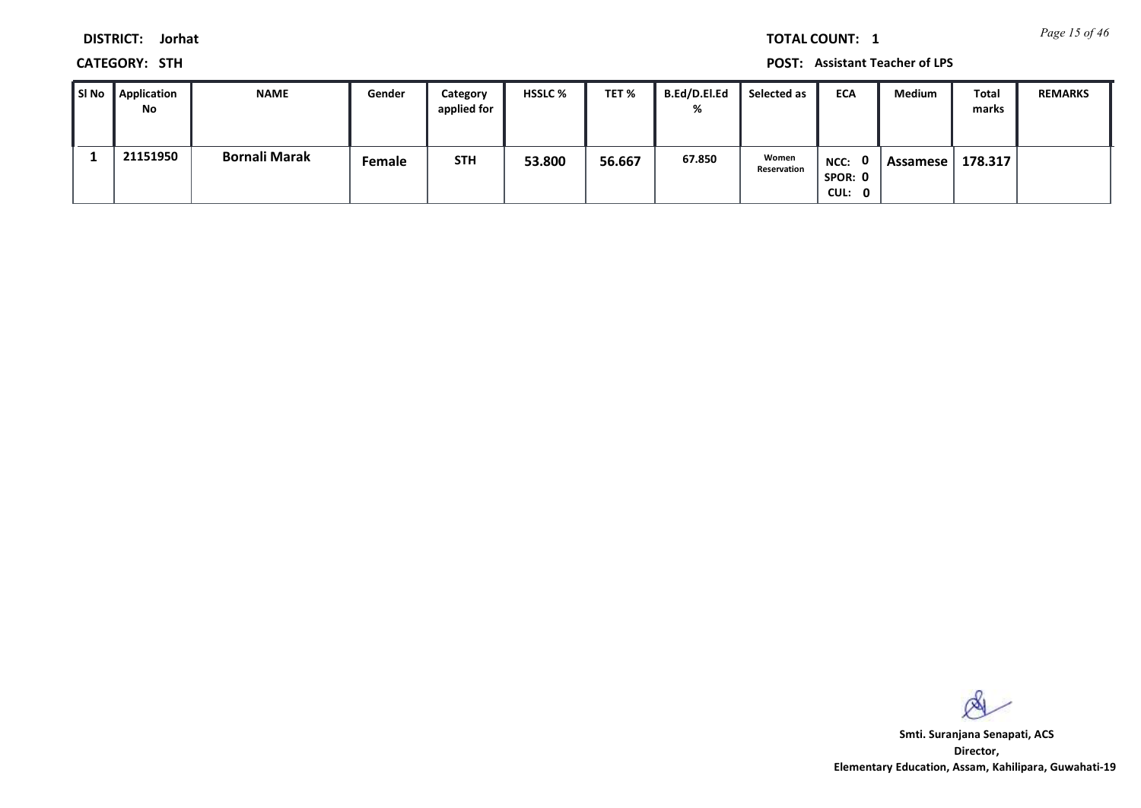*Page 15 of 46* **TOTAL COUNT: 1**

**DISTRICT: Jorhat**

**CATEGORY: STH POST: Assistant Teacher of LPS**

| ∥ SI No | Application<br>No | NAME                 | Gender | Category<br>applied for | <b>HSSLC %</b> | TET %  | B.Ed/D.El.Ed<br>% | Selected as          | <b>ECA</b>                  | Medium   | Total<br>marks | <b>REMARKS</b> |
|---------|-------------------|----------------------|--------|-------------------------|----------------|--------|-------------------|----------------------|-----------------------------|----------|----------------|----------------|
|         | 21151950          | <b>Bornali Marak</b> | Female | <b>STH</b>              | 53.800         | 56.667 | 67.850            | Women<br>Reservation | NCC: 0<br>SPOR: 0<br>CUL: 0 | Assamese | 178.317        |                |

 $\infty$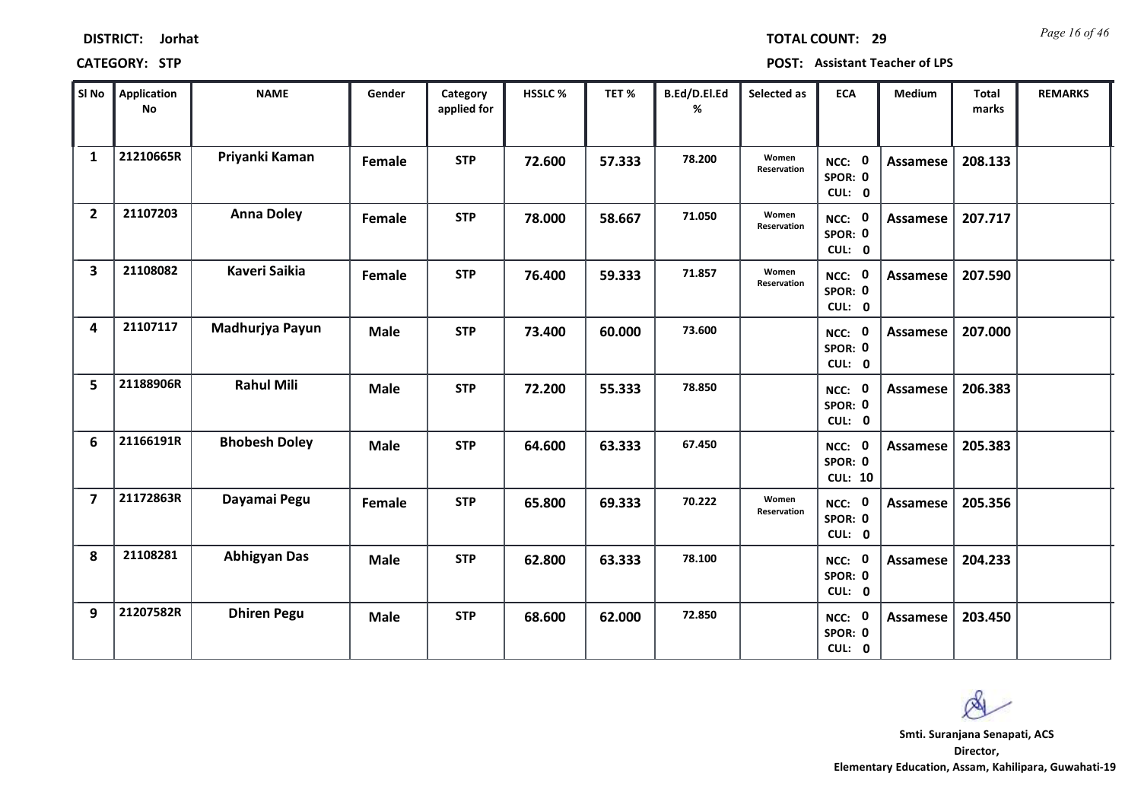| <b>DISTRICT:</b> | Jorhat |
|------------------|--------|
|------------------|--------|

*Page 16 of 46* **TOTAL COUNT: 29**

| SI No                   | Application<br>No | <b>NAME</b>          | Gender      | Category<br>applied for | HSSLC% | TET%   | B.Ed/D.El.Ed<br>% | Selected as          | <b>ECA</b>                          | <b>Medium</b>   | <b>Total</b><br>marks | <b>REMARKS</b> |
|-------------------------|-------------------|----------------------|-------------|-------------------------|--------|--------|-------------------|----------------------|-------------------------------------|-----------------|-----------------------|----------------|
| $\mathbf{1}$            | 21210665R         | Priyanki Kaman       | Female      | <b>STP</b>              | 72.600 | 57.333 | 78.200            | Women<br>Reservation | NCC: 0<br>SPOR: 0<br>CUL: 0         | Assamese        | 208.133               |                |
| $\overline{2}$          | 21107203          | <b>Anna Doley</b>    | Female      | <b>STP</b>              | 78.000 | 58.667 | 71.050            | Women<br>Reservation | NCC: 0<br>SPOR: 0<br>CUL: 0         | Assamese        | 207.717               |                |
| $\overline{\mathbf{3}}$ | 21108082          | <b>Kaveri Saikia</b> | Female      | <b>STP</b>              | 76.400 | 59.333 | 71.857            | Women<br>Reservation | NCC: 0<br>SPOR: 0<br>CUL: 0         | Assamese        | 207.590               |                |
| 4                       | 21107117          | Madhurjya Payun      | <b>Male</b> | <b>STP</b>              | 73.400 | 60.000 | 73.600            |                      | NCC: 0<br>SPOR: 0<br>CUL: 0         | Assamese        | 207.000               |                |
| 5                       | 21188906R         | <b>Rahul Mili</b>    | <b>Male</b> | <b>STP</b>              | 72.200 | 55.333 | 78.850            |                      | NCC: 0<br>SPOR: 0<br>CUL: 0         | <b>Assamese</b> | 206.383               |                |
| 6                       | 21166191R         | <b>Bhobesh Doley</b> | <b>Male</b> | <b>STP</b>              | 64.600 | 63.333 | 67.450            |                      | NCC: 0<br>SPOR: 0<br><b>CUL: 10</b> | Assamese        | 205.383               |                |
| $\overline{7}$          | 21172863R         | Dayamai Pegu         | Female      | <b>STP</b>              | 65.800 | 69.333 | 70.222            | Women<br>Reservation | NCC: 0<br>SPOR: 0<br>CUL: 0         | <b>Assamese</b> | 205.356               |                |
| 8                       | 21108281          | <b>Abhigyan Das</b>  | <b>Male</b> | <b>STP</b>              | 62.800 | 63.333 | 78.100            |                      | NCC: 0<br>SPOR: 0<br>CUL: 0         | <b>Assamese</b> | 204.233               |                |
| 9                       | 21207582R         | <b>Dhiren Pegu</b>   | <b>Male</b> | <b>STP</b>              | 68.600 | 62.000 | 72.850            |                      | NCC: 0<br>SPOR: 0<br>CUL: 0         | Assamese        | 203.450               |                |

 $\infty$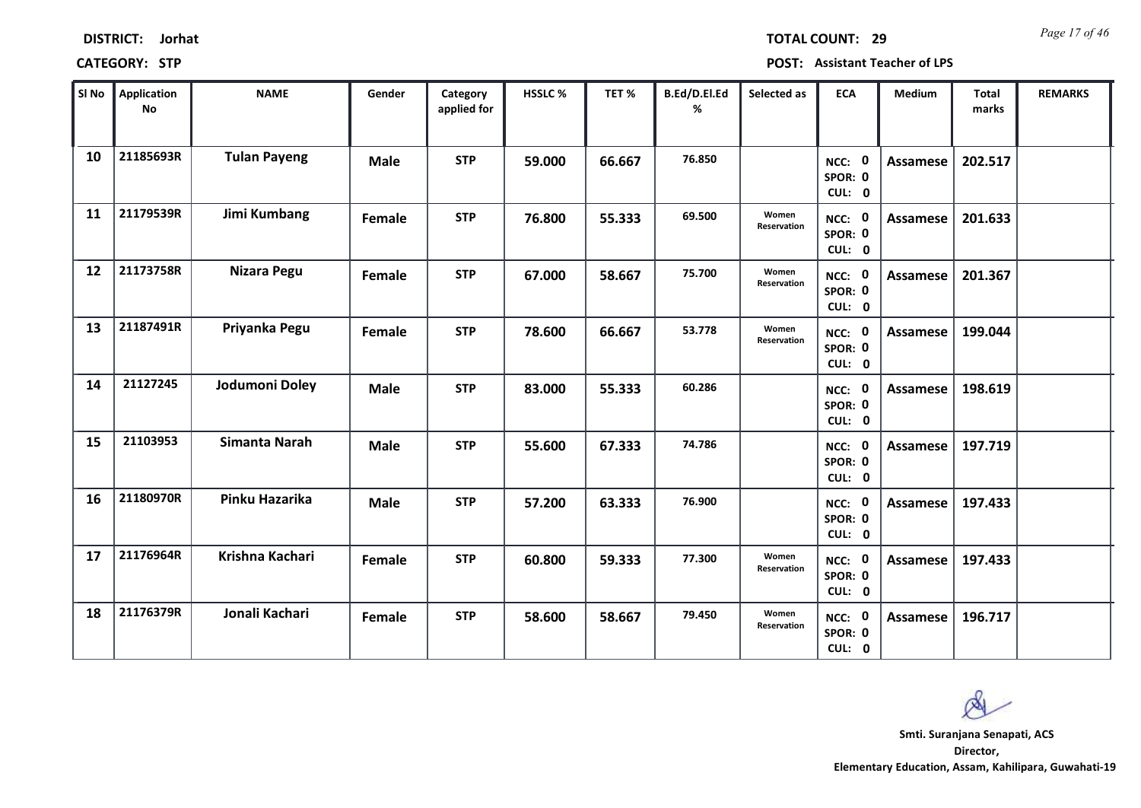|       | <b>CATEGORY: STP</b> | <b>POST: Assistant Teacher of LPS</b> |             |                         |                |        |                          |             |                           |          |                |                |
|-------|----------------------|---------------------------------------|-------------|-------------------------|----------------|--------|--------------------------|-------------|---------------------------|----------|----------------|----------------|
| SI No | Application<br>No    | NAME                                  | Gender      | Category<br>applied for | <b>HSSLC %</b> | TET %  | <b>B.Ed/D.El.Ed</b><br>% | Selected as | <b>ECA</b>                | Medium   | Total<br>marks | <b>REMARKS</b> |
| 10    | 21185693R            | <b>Tulan Payeng</b>                   | <b>Male</b> | <b>STP</b>              | 59.000         | 66.667 | 76.850                   |             | NCC:<br>SPOR: 0<br>CUL: 0 | Assamese | 202.517        |                |

**% marks 10 21185693R Tulan Payeng Male STP 59.000 66.667 76.850 0 Assamese 202.517 0 SPOR: 0 CUL: NCC: 21179539R Jimi Kumbang 11 Female STP 76.800 55.333 69.500 0 Assamese 201.633 0 SPOR: 0 CUL: NCC: Women Reservation 21173758R Nizara Pegu 12 Female STP 67.000 58.667 75.700 0 Assamese 201.367 0 SPOR: 0 CUL: NCC: Women Reservation 21187491R Priyanka Pegu 13 Female STP 78.600 66.667 53.778 0 Assamese 199.044 0 SPOR: 0 CUL: NCC: Women Reservation 14 21127245 Jodumoni Doley Male STP 83.000 55.333 60.286 0 Assamese 198.619 0 SPOR: 0 CUL: NCC: 15 21103953 Simanta Narah Male STP 55.600 67.333 74.786 0 Assamese 197.719 0 SPOR: 0 CUL: NCC: 16 21180970R Pinku Hazarika Male STP 57.200 63.333 76.900 0 Assamese 197.433 0 SPOR: 0 CUL: NCC: 21176964R Krishna Kachari 17 Female STP 60.800 59.333 77.300 0 Assamese 197.433 0 SPOR: 0 CUL: NCC: Women Reservation**

**21176379R Jonali Kachari 18 Female STP 58.600 58.667 79.450 0 Assamese 196.717**

**Director, Elementary Education, Assam, Kahilipara, Guwahati-19 Smti. Suranjana Senapati, ACS**

*Page 17 of 46* **TOTAL COUNT: 29**

**0 SPOR: 0 CUL:**

**NCC:**

**Women Reservation**

## **DISTRICT: Jorhat**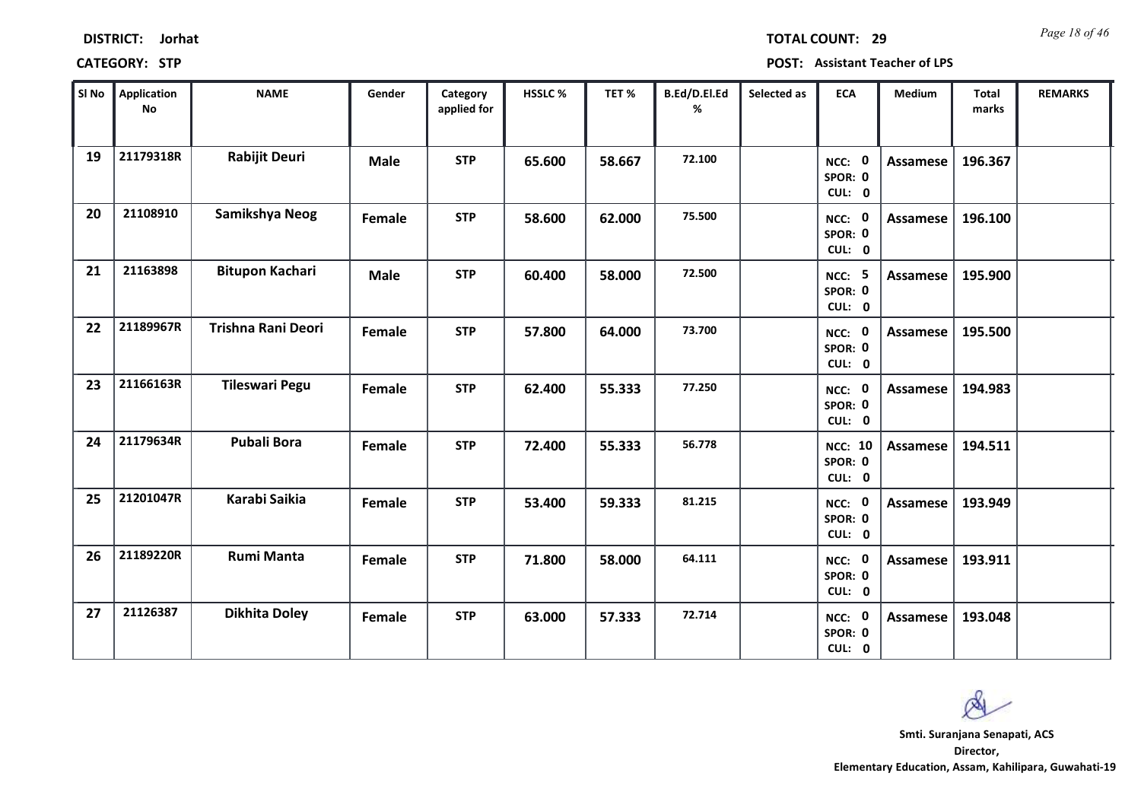|    | SI No $\parallel$ Application<br><b>No</b> | <b>NAME</b>            | Gender      | Category<br>applied for | HSSLC% | TET %  | B.Ed/D.El.Ed<br>% | Selected as | <b>ECA</b>                          | Medium          | <b>Total</b><br>marks | <b>REMARKS</b> |
|----|--------------------------------------------|------------------------|-------------|-------------------------|--------|--------|-------------------|-------------|-------------------------------------|-----------------|-----------------------|----------------|
| 19 | 21179318R                                  | <b>Rabijit Deuri</b>   | <b>Male</b> | <b>STP</b>              | 65.600 | 58.667 | 72.100            |             | NCC: 0<br>SPOR: 0<br>CUL: 0         | Assamese        | 196.367               |                |
| 20 | 21108910                                   | Samikshya Neog         | Female      | <b>STP</b>              | 58.600 | 62.000 | 75.500            |             | NCC: 0<br>SPOR: 0<br>CUL: 0         | Assamese        | 196.100               |                |
| 21 | 21163898                                   | <b>Bitupon Kachari</b> | <b>Male</b> | <b>STP</b>              | 60.400 | 58.000 | 72.500            |             | <b>NCC: 5</b><br>SPOR: 0<br>CUL: 0  | Assamese        | 195.900               |                |
| 22 | 21189967R                                  | Trishna Rani Deori     | Female      | <b>STP</b>              | 57.800 | 64.000 | 73.700            |             | NCC: 0<br>SPOR: 0<br>CUL: 0         | Assamese        | 195.500               |                |
| 23 | 21166163R                                  | <b>Tileswari Pegu</b>  | Female      | <b>STP</b>              | 62.400 | 55.333 | 77.250            |             | NCC: 0<br>SPOR: 0<br>CUL: 0         | Assamese        | 194.983               |                |
| 24 | 21179634R                                  | <b>Pubali Bora</b>     | Female      | <b>STP</b>              | 72.400 | 55.333 | 56.778            |             | <b>NCC: 10</b><br>SPOR: 0<br>CUL: 0 | Assamese        | 194.511               |                |
| 25 | 21201047R                                  | Karabi Saikia          | Female      | <b>STP</b>              | 53.400 | 59.333 | 81.215            |             | NCC: 0<br>SPOR: 0<br>CUL: 0         | Assamese        | 193.949               |                |
| 26 | 21189220R                                  | <b>Rumi Manta</b>      | Female      | <b>STP</b>              | 71.800 | 58.000 | 64.111            |             | NCC: 0<br>SPOR: 0<br>CUL: 0         | Assamese        | 193.911               |                |
| 27 | 21126387                                   | <b>Dikhita Doley</b>   | Female      | <b>STP</b>              | 63.000 | 57.333 | 72.714            |             | NCC: 0<br>SPOR: 0<br>CUL: 0         | <b>Assamese</b> | 193.048               |                |

# **DISTRICT: Jorhat CATEGORY: STP POST: Assistant Teacher of LPS**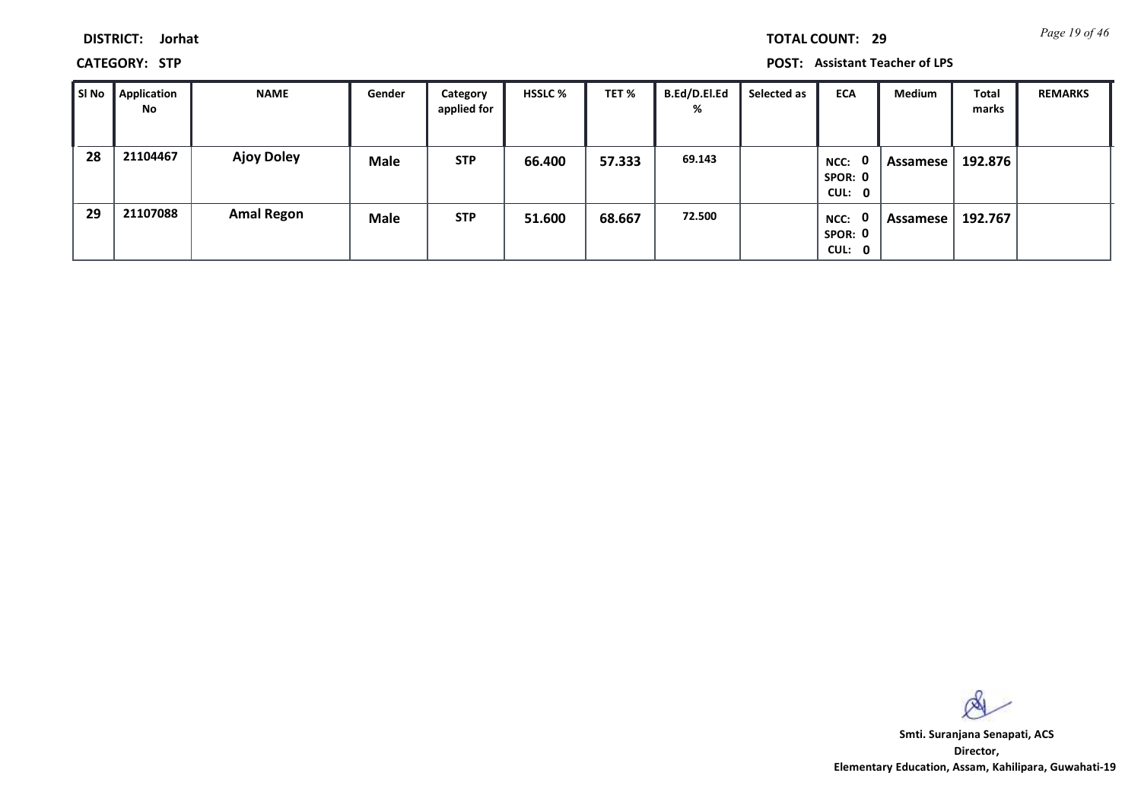**DISTRICT: Jorhat**

**CATEGORY: STP POST: Assistant Teacher of LPS**

| SI No | <b>Application</b><br>No | <b>NAME</b>       | Gender      | Category<br>applied for | <b>HSSLC %</b> | TET %  | <b>B.Ed/D.El.Ed</b><br>% | Selected as | <b>ECA</b>                          | <b>Medium</b> | Total<br>marks | <b>REMARKS</b> |
|-------|--------------------------|-------------------|-------------|-------------------------|----------------|--------|--------------------------|-------------|-------------------------------------|---------------|----------------|----------------|
| 28    | 21104467                 | <b>Ajoy Doley</b> | <b>Male</b> | <b>STP</b>              | 66.400         | 57.333 | 69.143                   |             | 0<br>NCC:<br>SPOR: 0<br>CUL: 0      | Assamese      | 192.876        |                |
| 29    | 21107088                 | <b>Amal Regon</b> | <b>Male</b> | <b>STP</b>              | 51.600         | 68.667 | 72.500                   |             | - 0<br>NCC:<br>SPOR: 0<br>CUL:<br>0 | Assamese      | 192.767        |                |

 $\infty$ 

**Director, Elementary Education, Assam, Kahilipara, Guwahati-19 Smti. Suranjana Senapati, ACS**

*Page 19 of 46* **TOTAL COUNT: 29**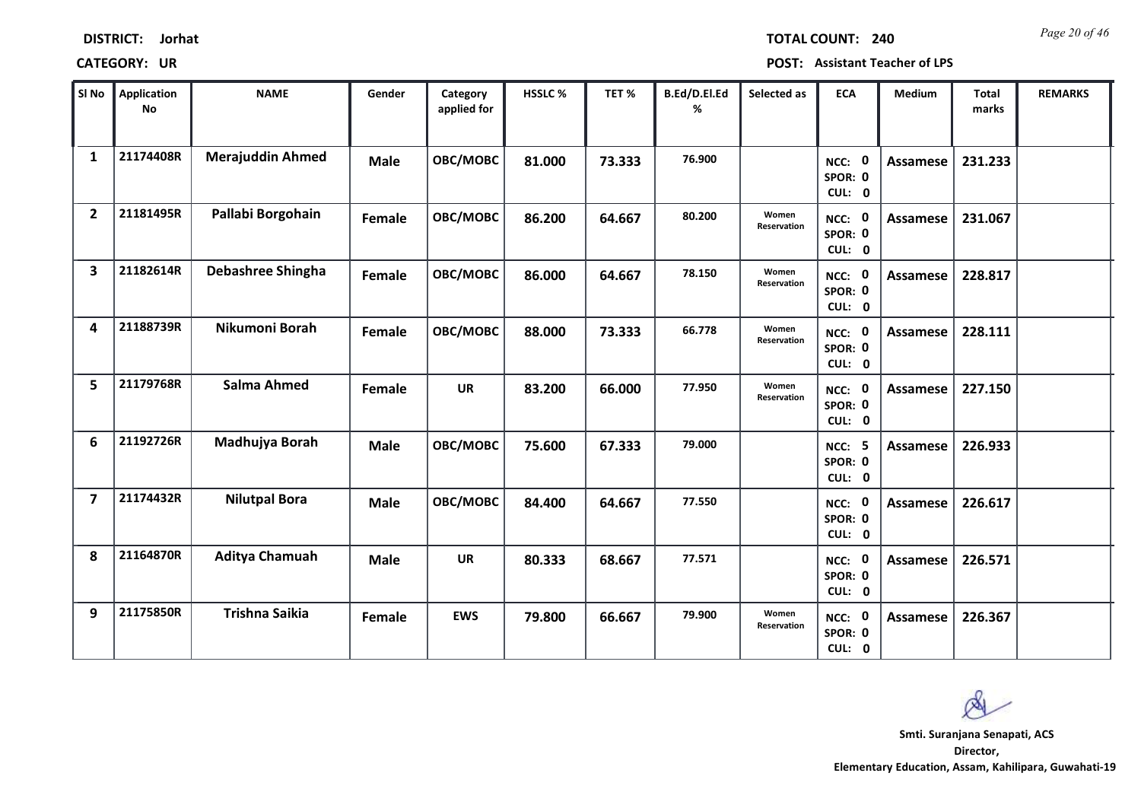| <b>DISTRICT:</b> | Jorhat |
|------------------|--------|
|------------------|--------|

*Page 20 of 46* **TOTAL COUNT: 240**

| SI No                   | Application<br>No | <b>NAME</b>             | Gender      | Category<br>applied for | <b>HSSLC%</b> | TET %  | B.Ed/D.El.Ed<br>% | Selected as          | <b>ECA</b>                         | <b>Medium</b>   | <b>Total</b><br>marks | <b>REMARKS</b> |
|-------------------------|-------------------|-------------------------|-------------|-------------------------|---------------|--------|-------------------|----------------------|------------------------------------|-----------------|-----------------------|----------------|
| $\mathbf{1}$            | 21174408R         | <b>Merajuddin Ahmed</b> | <b>Male</b> | OBC/MOBC                | 81.000        | 73.333 | 76.900            |                      | NCC: 0<br>SPOR: 0<br>CUL: 0        | Assamese        | 231.233               |                |
| $\overline{2}$          | 21181495R         | Pallabi Borgohain       | Female      | OBC/MOBC                | 86.200        | 64.667 | 80.200            | Women<br>Reservation | NCC: 0<br>SPOR: 0<br>CUL: 0        | Assamese        | 231.067               |                |
| $\overline{\mathbf{3}}$ | 21182614R         | Debashree Shingha       | Female      | OBC/MOBC                | 86.000        | 64.667 | 78.150            | Women<br>Reservation | NCC: 0<br>SPOR: 0<br>CUL: 0        | <b>Assamese</b> | 228.817               |                |
| 4                       | 21188739R         | Nikumoni Borah          | Female      | <b>OBC/MOBC</b>         | 88.000        | 73.333 | 66.778            | Women<br>Reservation | NCC: 0<br>SPOR: 0<br>CUL: 0        | Assamese        | 228.111               |                |
| 5                       | 21179768R         | Salma Ahmed             | Female      | <b>UR</b>               | 83.200        | 66.000 | 77.950            | Women<br>Reservation | NCC: 0<br>SPOR: 0<br>CUL: 0        | <b>Assamese</b> | 227.150               |                |
| 6                       | 21192726R         | Madhujya Borah          | <b>Male</b> | OBC/MOBC                | 75.600        | 67.333 | 79.000            |                      | <b>NCC: 5</b><br>SPOR: 0<br>CUL: 0 | Assamese        | 226.933               |                |
| $\overline{\mathbf{z}}$ | 21174432R         | <b>Nilutpal Bora</b>    | <b>Male</b> | OBC/MOBC                | 84.400        | 64.667 | 77.550            |                      | NCC: 0<br>SPOR: 0<br>CUL: 0        | Assamese        | 226.617               |                |
| 8                       | 21164870R         | Aditya Chamuah          | <b>Male</b> | <b>UR</b>               | 80.333        | 68.667 | 77.571            |                      | NCC: 0<br>SPOR: 0<br>CUL: 0        | <b>Assamese</b> | 226.571               |                |
| 9                       | 21175850R         | <b>Trishna Saikia</b>   | Female      | <b>EWS</b>              | 79.800        | 66.667 | 79.900            | Women<br>Reservation | NCC: 0<br>SPOR: 0<br>CUL: 0        | Assamese        | 226.367               |                |

 $\infty$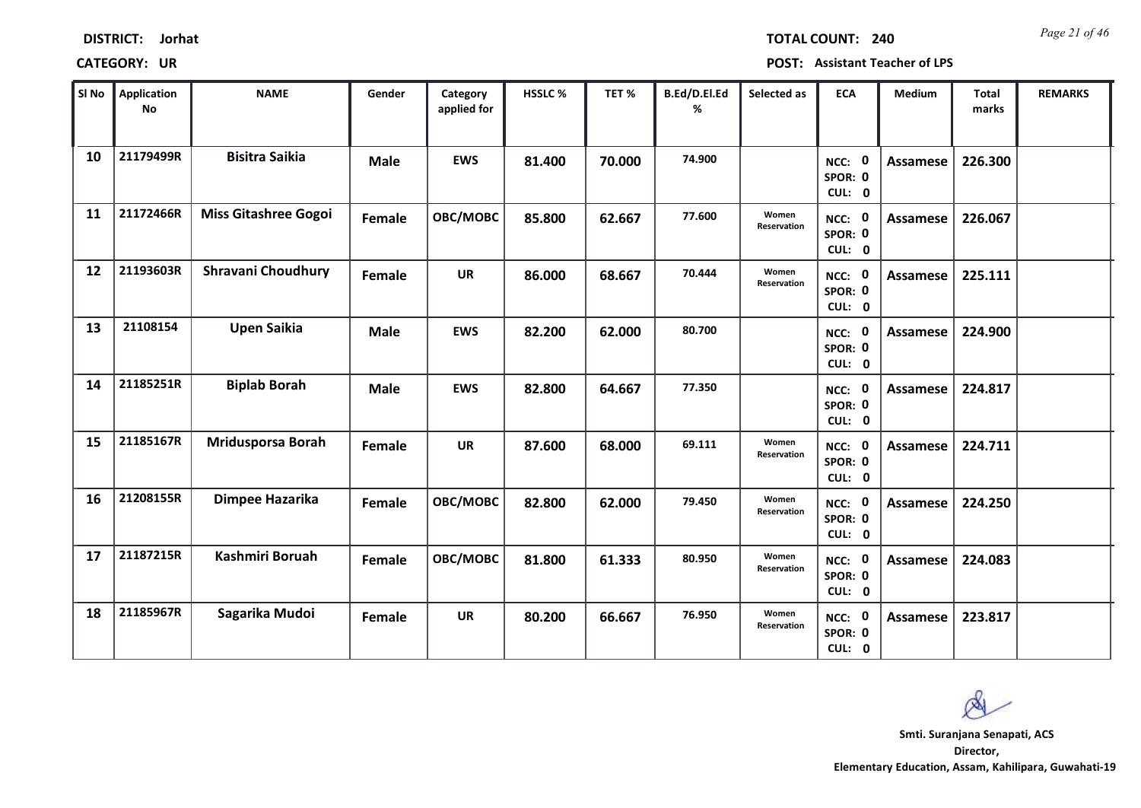| SI No | <b>Application</b><br>No | <b>NAME</b>                 | Gender      | Category<br>applied for | <b>HSSLC %</b> | TET %  | B.Ed/D.El.Ed<br>% | Selected as          | <b>ECA</b>                  | <b>Medium</b>   | <b>Total</b><br>marks | <b>REMARKS</b> |
|-------|--------------------------|-----------------------------|-------------|-------------------------|----------------|--------|-------------------|----------------------|-----------------------------|-----------------|-----------------------|----------------|
| 10    | 21179499R                | <b>Bisitra Saikia</b>       | <b>Male</b> | <b>EWS</b>              | 81.400         | 70.000 | 74.900            |                      | NCC: 0<br>SPOR: 0<br>CUL: 0 | <b>Assamese</b> | 226.300               |                |
| 11    | 21172466R                | <b>Miss Gitashree Gogoi</b> | Female      | OBC/MOBC                | 85.800         | 62.667 | 77.600            | Women<br>Reservation | NCC: 0<br>SPOR: 0<br>CUL: 0 | Assamese        | 226.067               |                |
| 12    | 21193603R                | <b>Shravani Choudhury</b>   | Female      | <b>UR</b>               | 86.000         | 68.667 | 70.444            | Women<br>Reservation | NCC: 0<br>SPOR: 0<br>CUL: 0 | Assamese        | 225.111               |                |
| 13    | 21108154                 | <b>Upen Saikia</b>          | <b>Male</b> | <b>EWS</b>              | 82.200         | 62.000 | 80.700            |                      | NCC: 0<br>SPOR: 0<br>CUL: 0 | Assamese        | 224.900               |                |
| 14    | 21185251R                | <b>Biplab Borah</b>         | <b>Male</b> | <b>EWS</b>              | 82.800         | 64.667 | 77.350            |                      | NCC: 0<br>SPOR: 0<br>CUL: 0 | <b>Assamese</b> | 224.817               |                |
| 15    | 21185167R                | <b>Mridusporsa Borah</b>    | Female      | <b>UR</b>               | 87.600         | 68.000 | 69.111            | Women<br>Reservation | NCC: 0<br>SPOR: 0<br>CUL: 0 | Assamese        | 224.711               |                |
| 16    | 21208155R                | Dimpee Hazarika             | Female      | OBC/MOBC                | 82.800         | 62.000 | 79.450            | Women<br>Reservation | NCC: 0<br>SPOR: 0<br>CUL: 0 | <b>Assamese</b> | 224.250               |                |
| 17    | 21187215R                | <b>Kashmiri Boruah</b>      | Female      | OBC/MOBC                | 81.800         | 61.333 | 80.950            | Women<br>Reservation | NCC: 0<br>SPOR: 0<br>CUL: 0 | <b>Assamese</b> | 224.083               |                |
| 18    | 21185967R                | Sagarika Mudoi              | Female      | <b>UR</b>               | 80.200         | 66.667 | 76.950            | Women<br>Reservation | NCC: 0<br>SPOR: 0<br>CUL: 0 | Assamese        | 223.817               |                |

 $\infty$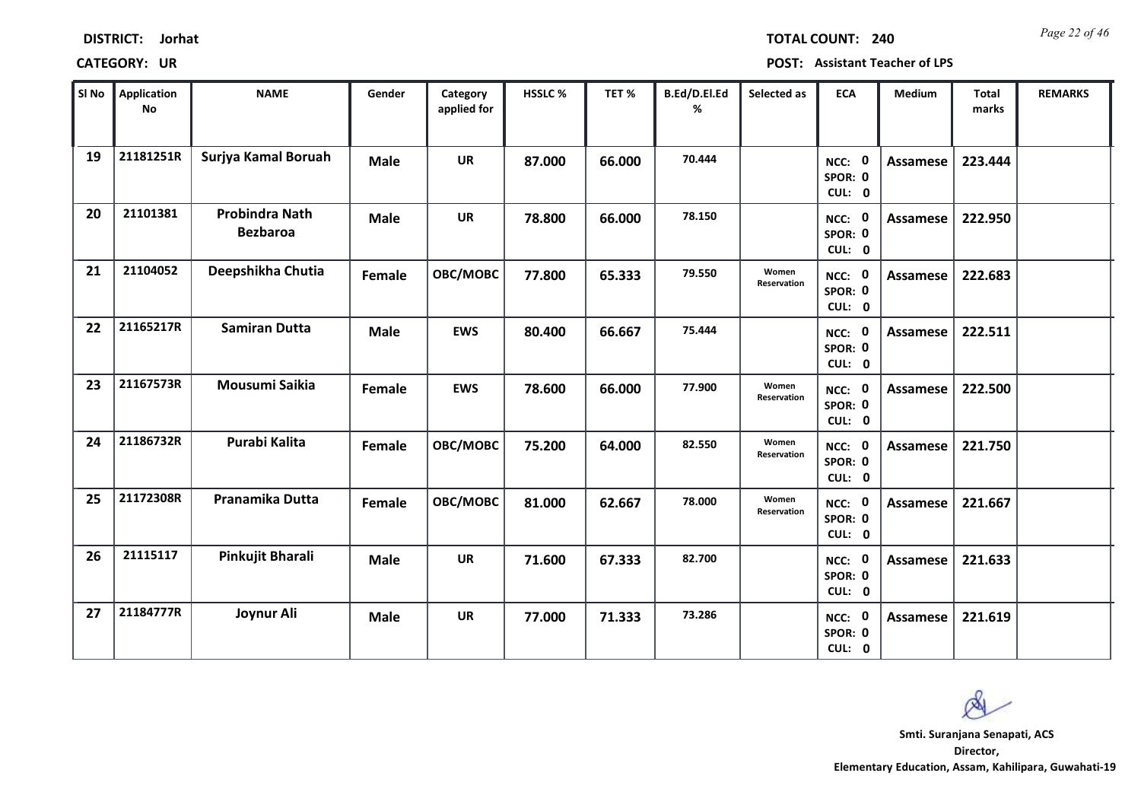| <b>DISTRICT:</b> | Jorhat |
|------------------|--------|
|------------------|--------|

*Page 22 of 46* **TOTAL COUNT: 240**

| SI No | <b>Application</b><br><b>No</b> | <b>NAME</b>                              | Gender        | Category<br>applied for | <b>HSSLC%</b> | TET %  | B.Ed/D.El.Ed<br>% | Selected as                 | <b>ECA</b>                  | Medium          | <b>Total</b><br>marks | <b>REMARKS</b> |
|-------|---------------------------------|------------------------------------------|---------------|-------------------------|---------------|--------|-------------------|-----------------------------|-----------------------------|-----------------|-----------------------|----------------|
| 19    | 21181251R                       | Surjya Kamal Boruah                      | <b>Male</b>   | <b>UR</b>               | 87.000        | 66.000 | 70.444            |                             | NCC: 0<br>SPOR: 0<br>CUL: 0 | Assamese        | 223.444               |                |
| 20    | 21101381                        | <b>Probindra Nath</b><br><b>Bezbaroa</b> | <b>Male</b>   | <b>UR</b>               | 78.800        | 66.000 | 78.150            |                             | NCC: 0<br>SPOR: 0<br>CUL: 0 | Assamese        | 222.950               |                |
| 21    | 21104052                        | Deepshikha Chutia                        | <b>Female</b> | OBC/MOBC                | 77.800        | 65.333 | 79.550            | Women<br>Reservation        | NCC: 0<br>SPOR: 0<br>CUL: 0 | <b>Assamese</b> | 222.683               |                |
| 22    | 21165217R                       | <b>Samiran Dutta</b>                     | <b>Male</b>   | <b>EWS</b>              | 80.400        | 66.667 | 75.444            |                             | NCC: 0<br>SPOR: 0<br>CUL: 0 | <b>Assamese</b> | 222.511               |                |
| 23    | 21167573R                       | Mousumi Saikia                           | Female        | <b>EWS</b>              | 78.600        | 66.000 | 77.900            | Women<br>Reservation        | NCC: 0<br>SPOR: 0<br>CUL: 0 | <b>Assamese</b> | 222.500               |                |
| 24    | 21186732R                       | Purabi Kalita                            | Female        | OBC/MOBC                | 75.200        | 64.000 | 82.550            | Women<br>Reservation        | NCC: 0<br>SPOR: 0<br>CUL: 0 | <b>Assamese</b> | 221.750               |                |
| 25    | 21172308R                       | Pranamika Dutta                          | Female        | <b>OBC/MOBC</b>         | 81.000        | 62.667 | 78.000            | Women<br><b>Reservation</b> | NCC: 0<br>SPOR: 0<br>CUL: 0 | <b>Assamese</b> | 221.667               |                |
| 26    | 21115117                        | Pinkujit Bharali                         | <b>Male</b>   | <b>UR</b>               | 71.600        | 67.333 | 82.700            |                             | NCC: 0<br>SPOR: 0<br>CUL: 0 | <b>Assamese</b> | 221.633               |                |
| 27    | 21184777R                       | Joynur Ali                               | <b>Male</b>   | UR                      | 77.000        | 71.333 | 73.286            |                             | NCC: 0<br>SPOR: 0<br>CUL: 0 | <b>Assamese</b> | 221.619               |                |

 $\infty$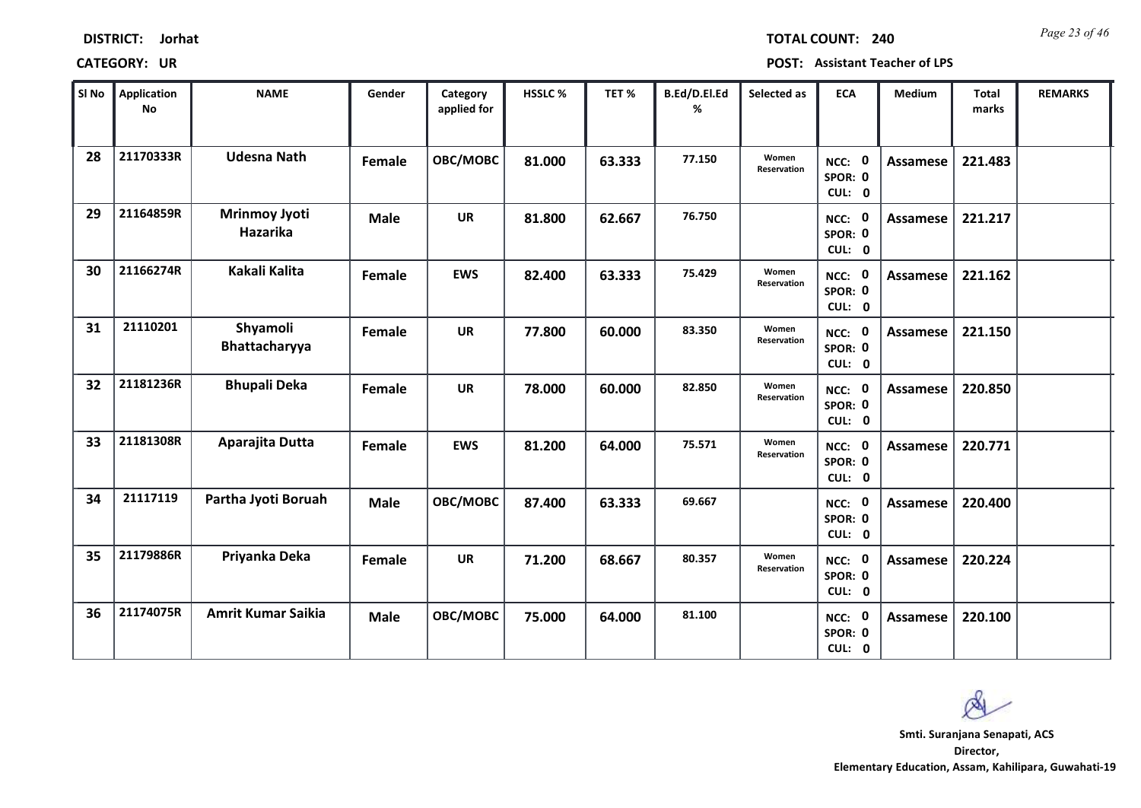| <b>DISTRICT:</b><br>Jorhat |
|----------------------------|
|----------------------------|

*Page 23 of 46* **TOTAL COUNT: 240**

| SI <sub>No</sub> | <b>Application</b><br><b>No</b> | <b>NAME</b>                             | Gender      | Category<br>applied for | HSSLC % | TET%   | B.Ed/D.El.Ed<br>% | Selected as          | <b>ECA</b>                                | Medium          | <b>Total</b><br>marks | <b>REMARKS</b> |
|------------------|---------------------------------|-----------------------------------------|-------------|-------------------------|---------|--------|-------------------|----------------------|-------------------------------------------|-----------------|-----------------------|----------------|
| 28               | 21170333R                       | <b>Udesna Nath</b>                      | Female      | OBC/MOBC                | 81.000  | 63.333 | 77.150            | Women<br>Reservation | NCC: 0<br>SPOR: 0<br>CUL: 0               | <b>Assamese</b> | 221.483               |                |
| 29               | 21164859R                       | <b>Mrinmoy Jyoti</b><br><b>Hazarika</b> | <b>Male</b> | <b>UR</b>               | 81.800  | 62.667 | 76.750            |                      | NCC: 0<br>SPOR: 0<br>CUL: 0               | Assamese        | 221.217               |                |
| 30               | 21166274R                       | Kakali Kalita                           | Female      | <b>EWS</b>              | 82.400  | 63.333 | 75.429            | Women<br>Reservation | NCC: 0<br>SPOR: 0<br>CUL: 0               | <b>Assamese</b> | 221.162               |                |
| 31               | 21110201                        | Shyamoli<br>Bhattacharyya               | Female      | <b>UR</b>               | 77.800  | 60.000 | 83.350            | Women<br>Reservation | NCC: 0<br>SPOR: 0<br>CUL: 0               | <b>Assamese</b> | 221.150               |                |
| 32               | 21181236R                       | <b>Bhupali Deka</b>                     | Female      | <b>UR</b>               | 78.000  | 60.000 | 82.850            | Women<br>Reservation | NCC: 0<br>SPOR: 0<br>CUL: 0               | <b>Assamese</b> | 220.850               |                |
| 33               | 21181308R                       | Aparajita Dutta                         | Female      | <b>EWS</b>              | 81.200  | 64.000 | 75.571            | Women<br>Reservation | NCC: 0<br>SPOR: 0<br>CUL: 0               | <b>Assamese</b> | 220.771               |                |
| 34               | 21117119                        | Partha Jyoti Boruah                     | <b>Male</b> | OBC/MOBC                | 87.400  | 63.333 | 69.667            |                      | NCC: 0<br>SPOR: 0<br>CUL: 0               | <b>Assamese</b> | 220.400               |                |
| 35               | 21179886R                       | Priyanka Deka                           | Female      | <b>UR</b>               | 71.200  | 68.667 | 80.357            | Women<br>Reservation | $\mathbf{0}$<br>NCC:<br>SPOR: 0<br>CUL: 0 | <b>Assamese</b> | 220.224               |                |
| 36               | 21174075R                       | <b>Amrit Kumar Saikia</b>               | <b>Male</b> | OBC/MOBC                | 75.000  | 64.000 | 81.100            |                      | NCC: 0<br>SPOR: 0<br>CUL: 0               | <b>Assamese</b> | 220.100               |                |

 $\infty$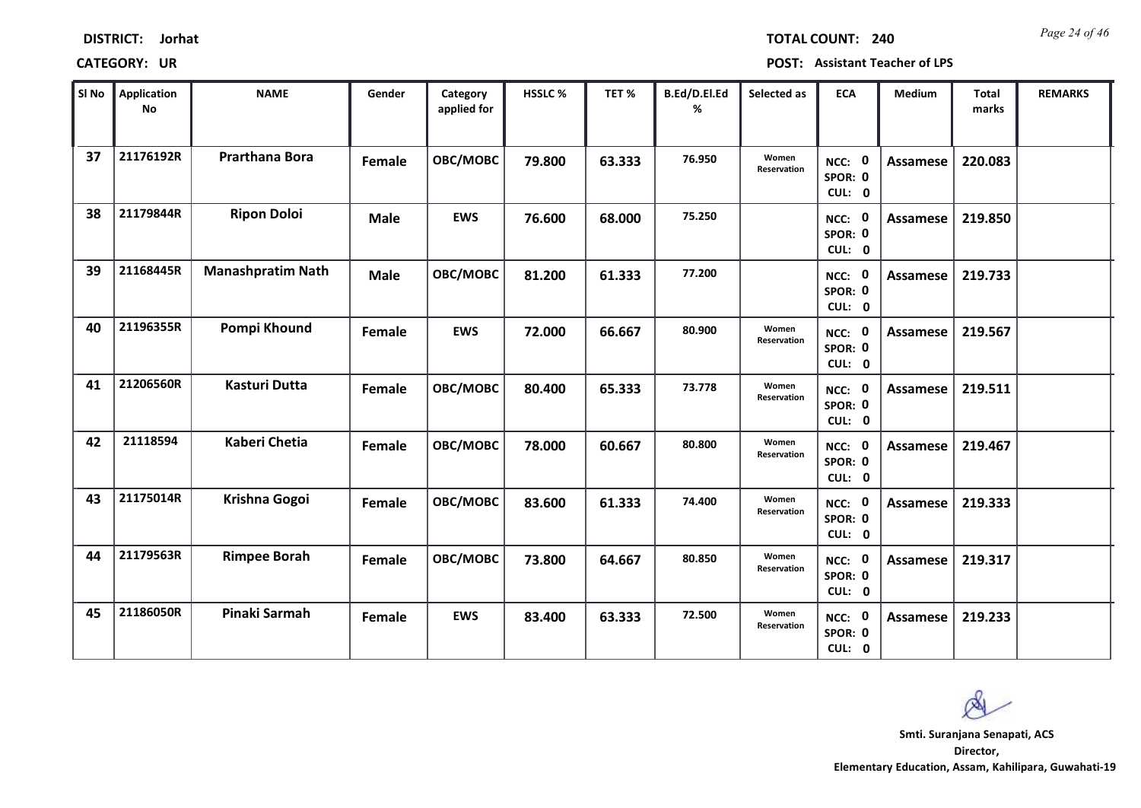| <b>DISTRICT:</b> | Jorhat |
|------------------|--------|
|------------------|--------|

*Page 24 of 46* **TOTAL COUNT: 240**

| SI No | Application<br><b>No</b> | <b>NAME</b>              | Gender      | Category<br>applied for | <b>HSSLC %</b> | TET %  | B.Ed/D.El.Ed<br>% | Selected as                 | <b>ECA</b>                       | Medium          | <b>Total</b><br>marks | <b>REMARKS</b> |
|-------|--------------------------|--------------------------|-------------|-------------------------|----------------|--------|-------------------|-----------------------------|----------------------------------|-----------------|-----------------------|----------------|
| 37    | 21176192R                | <b>Prarthana Bora</b>    | Female      | OBC/MOBC                | 79.800         | 63.333 | 76.950            | Women<br>Reservation        | NCC: 0<br>SPOR: 0<br>CUL: 0      | <b>Assamese</b> | 220.083               |                |
| 38    | 21179844R                | <b>Ripon Doloi</b>       | <b>Male</b> | <b>EWS</b>              | 76.600         | 68.000 | 75.250            |                             | NCC: 0<br>SPOR: 0<br>CUL: 0      | Assamese        | 219.850               |                |
| 39    | 21168445R                | <b>Manashpratim Nath</b> | <b>Male</b> | OBC/MOBC                | 81.200         | 61.333 | 77.200            |                             | NCC: 0<br>SPOR: 0<br>CUL: 0      | <b>Assamese</b> | 219.733               |                |
| 40    | 21196355R                | Pompi Khound             | Female      | <b>EWS</b>              | 72.000         | 66.667 | 80.900            | Women<br>Reservation        | - 0<br>NCC:<br>SPOR: 0<br>CUL: 0 | <b>Assamese</b> | 219.567               |                |
| 41    | 21206560R                | <b>Kasturi Dutta</b>     | Female      | OBC/MOBC                | 80.400         | 65.333 | 73.778            | Women<br>Reservation        | NCC: 0<br>SPOR: 0<br>CUL: 0      | <b>Assamese</b> | 219.511               |                |
| 42    | 21118594                 | <b>Kaberi Chetia</b>     | Female      | OBC/MOBC                | 78.000         | 60.667 | 80.800            | Women<br>Reservation        | NCC: 0<br>SPOR: 0<br>CUL: 0      | <b>Assamese</b> | 219.467               |                |
| 43    | 21175014R                | Krishna Gogoi            | Female      | <b>OBC/MOBC</b>         | 83.600         | 61.333 | 74.400            | Women<br><b>Reservation</b> | NCC: 0<br>SPOR: 0<br>CUL: 0      | <b>Assamese</b> | 219.333               |                |
| 44    | 21179563R                | <b>Rimpee Borah</b>      | Female      | OBC/MOBC                | 73.800         | 64.667 | 80.850            | Women<br>Reservation        | NCC: 0<br>SPOR: 0<br>CUL: 0      | <b>Assamese</b> | 219.317               |                |
| 45    | 21186050R                | Pinaki Sarmah            | Female      | <b>EWS</b>              | 83.400         | 63.333 | 72.500            | Women<br>Reservation        | NCC: 0<br>SPOR: 0<br>CUL: 0      | Assamese        | 219.233               |                |

 $\infty$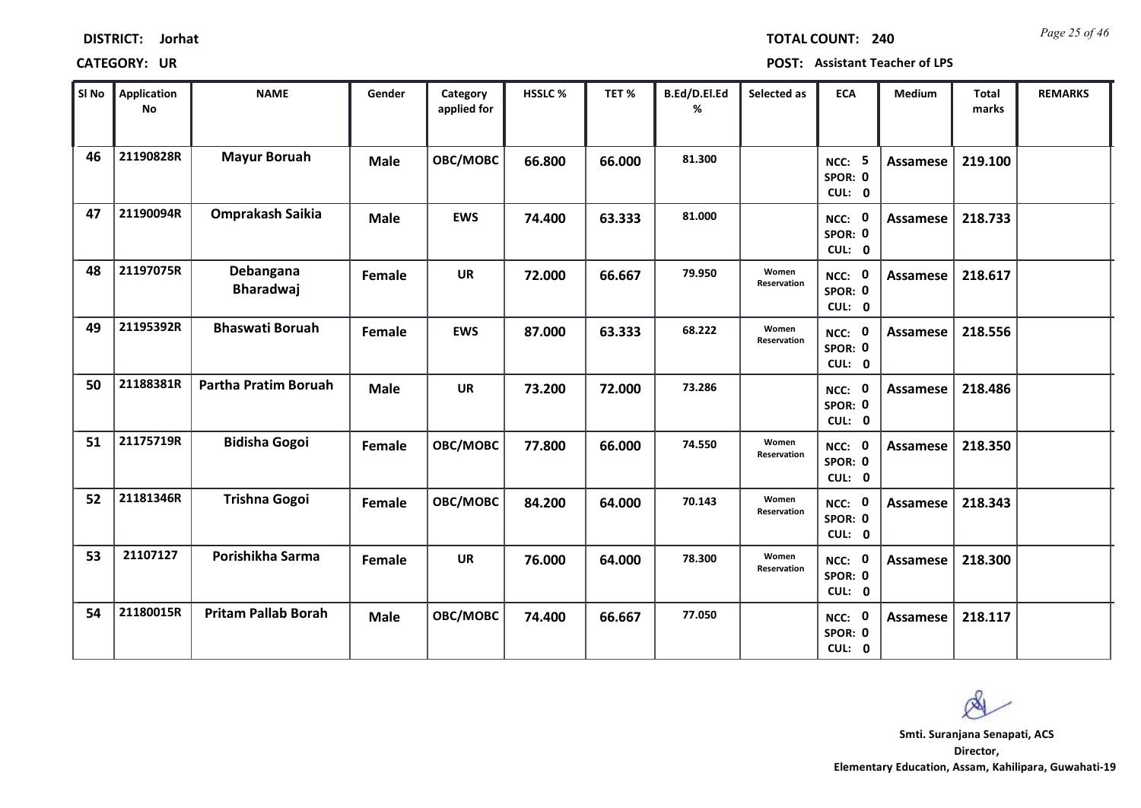| Sl No | Application<br><b>No</b> | <b>NAME</b>                   | Gender      | Category<br>applied for | <b>HSSLC %</b> | TET%   | B.Ed/D.El.Ed<br>% | Selected as          | <b>ECA</b>                               | Medium          | <b>Total</b><br>marks | <b>REMARKS</b> |
|-------|--------------------------|-------------------------------|-------------|-------------------------|----------------|--------|-------------------|----------------------|------------------------------------------|-----------------|-----------------------|----------------|
| 46    | 21190828R                | <b>Mayur Boruah</b>           | <b>Male</b> | OBC/MOBC                | 66.800         | 66.000 | 81.300            |                      | <b>NCC: 5</b><br>SPOR: 0<br>CUL: 0       | Assamese        | 219.100               |                |
| 47    | 21190094R                | Omprakash Saikia              | <b>Male</b> | <b>EWS</b>              | 74.400         | 63.333 | 81.000            |                      | $\mathbf 0$<br>NCC:<br>SPOR: 0<br>CUL: 0 | Assamese        | 218.733               |                |
| 48    | 21197075R                | Debangana<br><b>Bharadwaj</b> | Female      | <b>UR</b>               | 72.000         | 66.667 | 79.950            | Women<br>Reservation | $\mathbf 0$<br>NCC:<br>SPOR: 0<br>CUL: 0 | Assamese        | 218.617               |                |
| 49    | 21195392R                | <b>Bhaswati Boruah</b>        | Female      | <b>EWS</b>              | 87.000         | 63.333 | 68.222            | Women<br>Reservation | NCC: 0<br>SPOR: 0<br>CUL: 0              | Assamese        | 218.556               |                |
| 50    | 21188381R                | Partha Pratim Boruah          | <b>Male</b> | <b>UR</b>               | 73.200         | 72.000 | 73.286            |                      | NCC: 0<br>SPOR: 0<br>CUL: 0              | <b>Assamese</b> | 218.486               |                |
| 51    | 21175719R                | <b>Bidisha Gogoi</b>          | Female      | OBC/MOBC                | 77.800         | 66.000 | 74.550            | Women<br>Reservation | NCC: 0<br>SPOR: 0<br>CUL: 0              | <b>Assamese</b> | 218.350               |                |
| 52    | 21181346R                | <b>Trishna Gogoi</b>          | Female      | OBC/MOBC                | 84.200         | 64.000 | 70.143            | Women<br>Reservation | NCC: 0<br>SPOR: 0<br>CUL: 0              | Assamese        | 218.343               |                |
| 53    | 21107127                 | Porishikha Sarma              | Female      | <b>UR</b>               | 76.000         | 64.000 | 78.300            | Women<br>Reservation | NCC: 0<br>SPOR: 0<br>CUL: 0              | Assamese        | 218.300               |                |
| 54    | 21180015R                | <b>Pritam Pallab Borah</b>    | <b>Male</b> | OBC/MOBC                | 74.400         | 66.667 | 77.050            |                      | $\mathbf 0$<br>NCC:<br>SPOR: 0<br>CUL: 0 | Assamese        | 218.117               |                |

## **CATEGORY: UR POST: Assistant Teacher of LPS**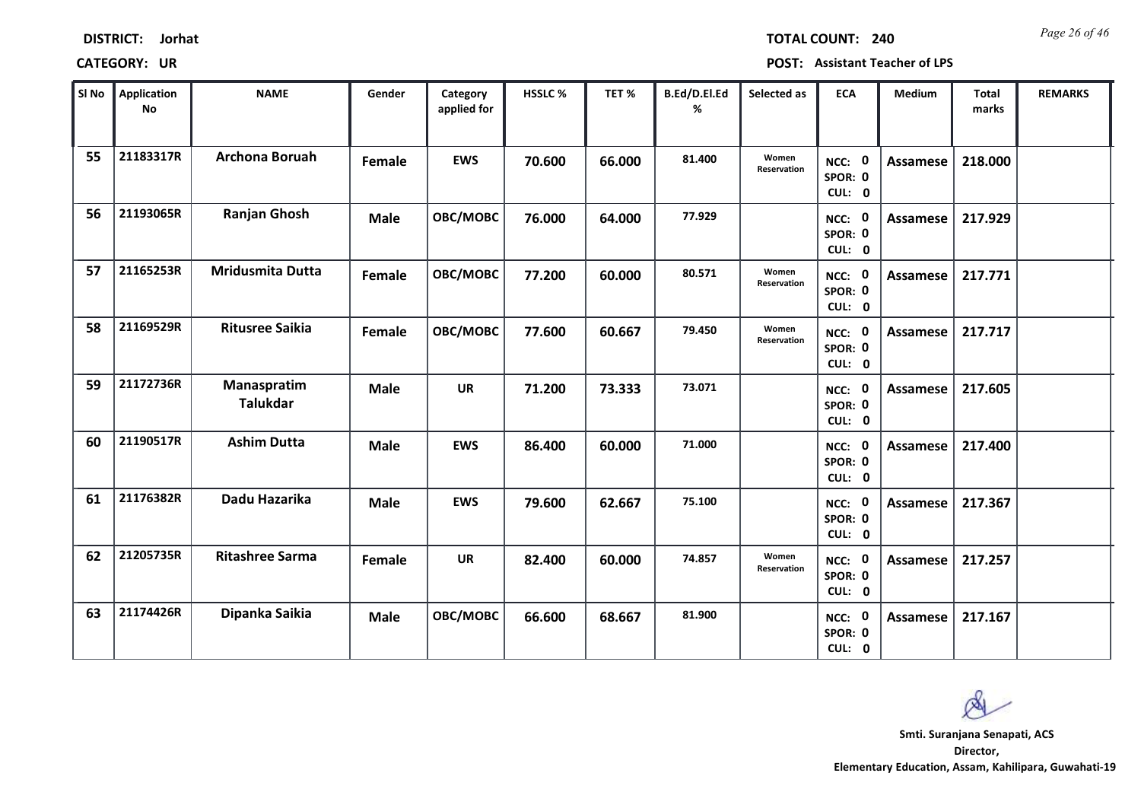| <b>DISTRICT:</b> | Jorhat |
|------------------|--------|
|------------------|--------|

*Page 26 of 46* **TOTAL COUNT: 240**

| SI No | Application<br><b>No</b> | <b>NAME</b>                    | Gender      | Category<br>applied for | HSSLC % | TET %  | B.Ed/D.El.Ed<br>% | Selected as          | <b>ECA</b>                  | <b>Medium</b>   | Total<br>marks | <b>REMARKS</b> |
|-------|--------------------------|--------------------------------|-------------|-------------------------|---------|--------|-------------------|----------------------|-----------------------------|-----------------|----------------|----------------|
| 55    | 21183317R                | <b>Archona Boruah</b>          | Female      | <b>EWS</b>              | 70.600  | 66.000 | 81.400            | Women<br>Reservation | NCC: 0<br>SPOR: 0<br>CUL: 0 | Assamese        | 218.000        |                |
| 56    | 21193065R                | <b>Ranjan Ghosh</b>            | <b>Male</b> | OBC/MOBC                | 76.000  | 64.000 | 77.929            |                      | NCC: 0<br>SPOR: 0<br>CUL: 0 | <b>Assamese</b> | 217.929        |                |
| 57    | 21165253R                | <b>Mridusmita Dutta</b>        | Female      | OBC/MOBC                | 77.200  | 60.000 | 80.571            | Women<br>Reservation | NCC: 0<br>SPOR: 0<br>CUL: 0 | Assamese        | 217.771        |                |
| 58    | 21169529R                | <b>Ritusree Saikia</b>         | Female      | OBC/MOBC                | 77.600  | 60.667 | 79.450            | Women<br>Reservation | NCC: 0<br>SPOR: 0<br>CUL: 0 | Assamese        | 217.717        |                |
| 59    | 21172736R                | Manaspratim<br><b>Talukdar</b> | <b>Male</b> | <b>UR</b>               | 71.200  | 73.333 | 73.071            |                      | NCC: 0<br>SPOR: 0<br>CUL: 0 | <b>Assamese</b> | 217.605        |                |
| 60    | 21190517R                | <b>Ashim Dutta</b>             | <b>Male</b> | <b>EWS</b>              | 86.400  | 60.000 | 71.000            |                      | NCC: 0<br>SPOR: 0<br>CUL: 0 | <b>Assamese</b> | 217.400        |                |
| 61    | 21176382R                | Dadu Hazarika                  | <b>Male</b> | <b>EWS</b>              | 79.600  | 62.667 | 75.100            |                      | NCC: 0<br>SPOR: 0<br>CUL: 0 | <b>Assamese</b> | 217.367        |                |
| 62    | 21205735R                | <b>Ritashree Sarma</b>         | Female      | <b>UR</b>               | 82.400  | 60.000 | 74.857            | Women<br>Reservation | NCC: 0<br>SPOR: 0<br>CUL: 0 | Assamese        | 217.257        |                |
| 63    | 21174426R                | Dipanka Saikia                 | <b>Male</b> | OBC/MOBC                | 66.600  | 68.667 | 81.900            |                      | NCC: 0<br>SPOR: 0<br>CUL: 0 | <b>Assamese</b> | 217.167        |                |

 $\infty$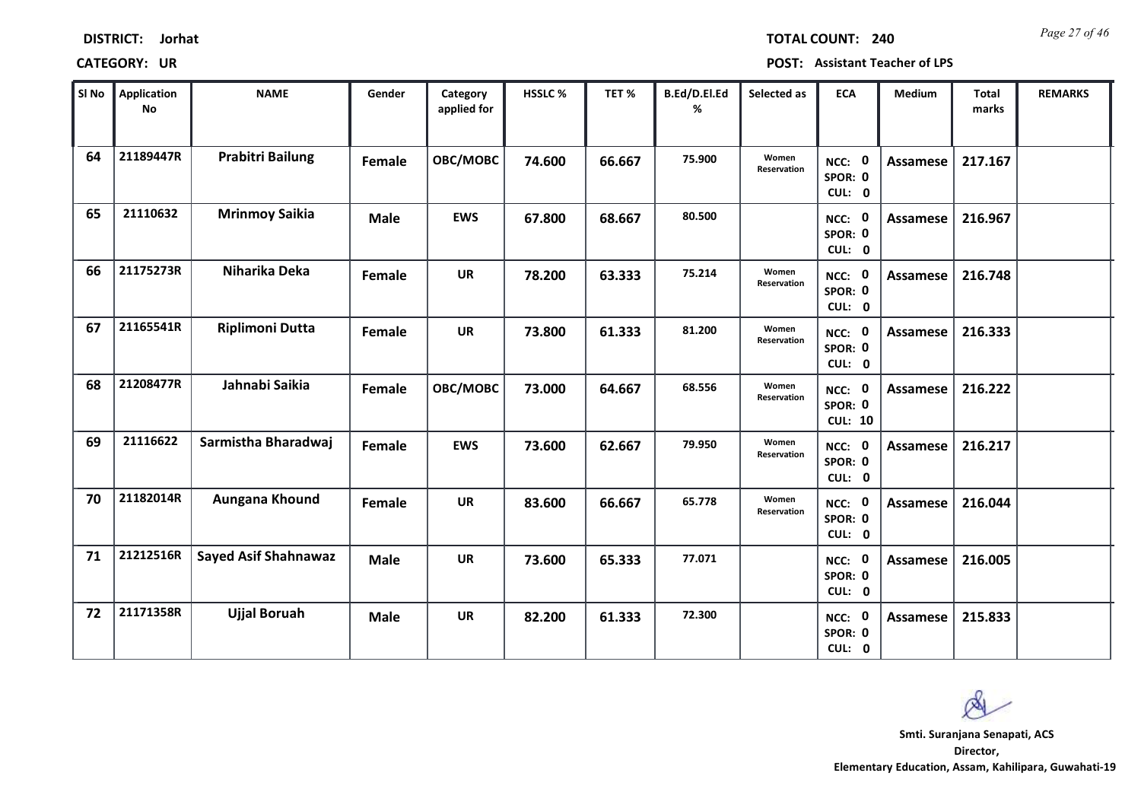| <b>DISTRICT:</b> | Jorhat |
|------------------|--------|
|------------------|--------|

*Page 27 of 46* **TOTAL COUNT: 240**

| SI No | <b>Application</b><br>No | <b>NAME</b>                 | Gender        | Category<br>applied for | <b>HSSLC%</b> | TET %  | B.Ed/D.El.Ed<br>% | Selected as          | <b>ECA</b>                          | <b>Medium</b>   | Total<br>marks | <b>REMARKS</b> |
|-------|--------------------------|-----------------------------|---------------|-------------------------|---------------|--------|-------------------|----------------------|-------------------------------------|-----------------|----------------|----------------|
| 64    | 21189447R                | <b>Prabitri Bailung</b>     | Female        | OBC/MOBC                | 74.600        | 66.667 | 75.900            | Women<br>Reservation | NCC: 0<br>SPOR: 0<br>CUL: 0         | <b>Assamese</b> | 217.167        |                |
| 65    | 21110632                 | <b>Mrinmoy Saikia</b>       | <b>Male</b>   | <b>EWS</b>              | 67.800        | 68.667 | 80.500            |                      | NCC: 0<br>SPOR: 0<br>CUL: 0         | Assamese        | 216.967        |                |
| 66    | 21175273R                | Niharika Deka               | Female        | <b>UR</b>               | 78.200        | 63.333 | 75.214            | Women<br>Reservation | NCC: 0<br>SPOR: 0<br>CUL: 0         | <b>Assamese</b> | 216.748        |                |
| 67    | 21165541R                | <b>Riplimoni Dutta</b>      | Female        | <b>UR</b>               | 73.800        | 61.333 | 81.200            | Women<br>Reservation | NCC: 0<br>SPOR: 0<br>CUL: 0         | Assamese        | 216.333        |                |
| 68    | 21208477R                | Jahnabi Saikia              | Female        | OBC/MOBC                | 73.000        | 64.667 | 68.556            | Women<br>Reservation | NCC: 0<br>SPOR: 0<br><b>CUL: 10</b> | Assamese        | 216.222        |                |
| 69    | 21116622                 | Sarmistha Bharadwaj         | Female        | <b>EWS</b>              | 73.600        | 62.667 | 79.950            | Women<br>Reservation | NCC: 0<br>SPOR: 0<br>CUL: 0         | <b>Assamese</b> | 216.217        |                |
| 70    | 21182014R                | Aungana Khound              | <b>Female</b> | <b>UR</b>               | 83.600        | 66.667 | 65.778            | Women<br>Reservation | NCC: 0<br>SPOR: 0<br>CUL: 0         | <b>Assamese</b> | 216.044        |                |
| 71    | 21212516R                | <b>Sayed Asif Shahnawaz</b> | <b>Male</b>   | <b>UR</b>               | 73.600        | 65.333 | 77.071            |                      | NCC: 0<br>SPOR: 0<br>CUL: 0         | <b>Assamese</b> | 216.005        |                |
| 72    | 21171358R                | <b>Ujjal Boruah</b>         | <b>Male</b>   | <b>UR</b>               | 82.200        | 61.333 | 72.300            |                      | NCC: 0<br>SPOR: 0<br>CUL: 0         | Assamese        | 215.833        |                |

 $\infty$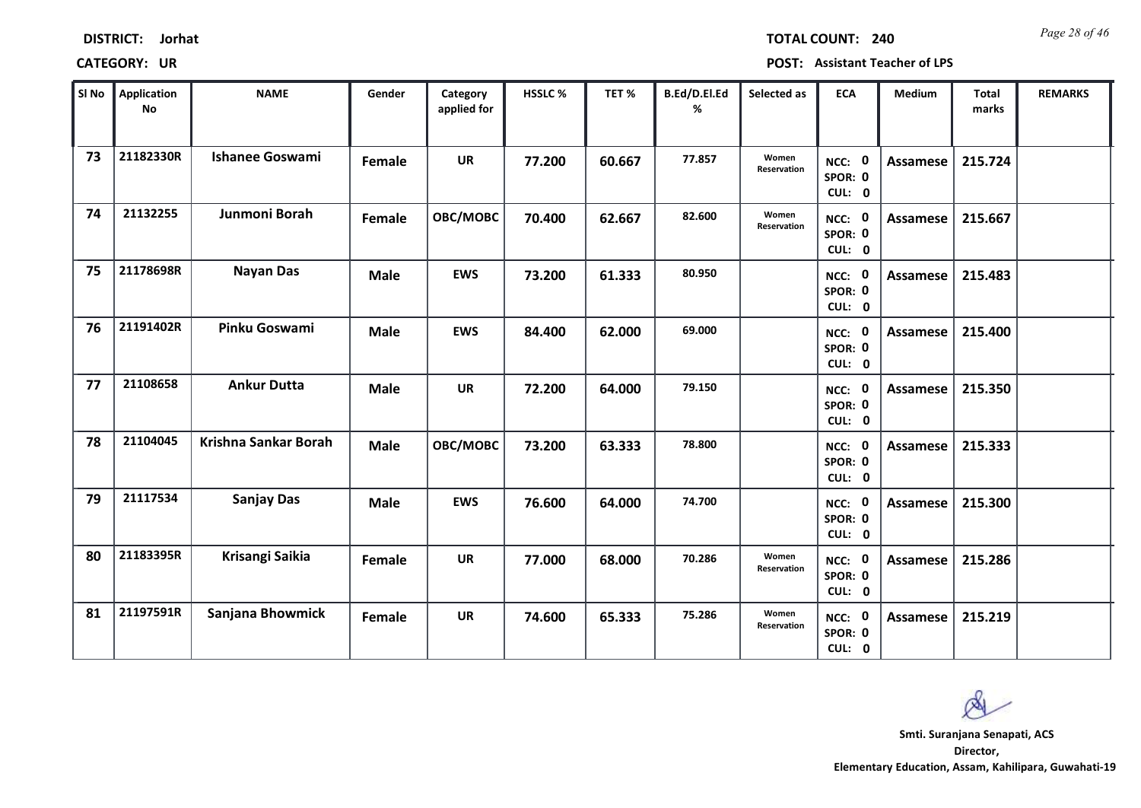| <b>DISTRICT:</b> | Jorhat |
|------------------|--------|
|------------------|--------|

*Page 28 of 46* **TOTAL COUNT: 240**

| SI No | <b>Application</b><br>No | <b>NAME</b>            | Gender      | Category<br>applied for | <b>HSSLC %</b> | TET %  | B.Ed/D.El.Ed<br>% | Selected as          | <b>ECA</b>                  | <b>Medium</b>   | <b>Total</b><br>marks | <b>REMARKS</b> |
|-------|--------------------------|------------------------|-------------|-------------------------|----------------|--------|-------------------|----------------------|-----------------------------|-----------------|-----------------------|----------------|
| 73    | 21182330R                | <b>Ishanee Goswami</b> | Female      | <b>UR</b>               | 77.200         | 60.667 | 77.857            | Women<br>Reservation | NCC: 0<br>SPOR: 0<br>CUL: 0 | <b>Assamese</b> | 215.724               |                |
| 74    | 21132255                 | Junmoni Borah          | Female      | OBC/MOBC                | 70.400         | 62.667 | 82.600            | Women<br>Reservation | NCC: 0<br>SPOR: 0<br>CUL: 0 | Assamese        | 215.667               |                |
| 75    | 21178698R                | <b>Nayan Das</b>       | <b>Male</b> | <b>EWS</b>              | 73.200         | 61.333 | 80.950            |                      | NCC: 0<br>SPOR: 0<br>CUL: 0 | Assamese        | 215.483               |                |
| 76    | 21191402R                | Pinku Goswami          | <b>Male</b> | <b>EWS</b>              | 84.400         | 62.000 | 69.000            |                      | NCC: 0<br>SPOR: 0<br>CUL: 0 | Assamese        | 215.400               |                |
| 77    | 21108658                 | <b>Ankur Dutta</b>     | <b>Male</b> | <b>UR</b>               | 72.200         | 64.000 | 79.150            |                      | NCC: 0<br>SPOR: 0<br>CUL: 0 | <b>Assamese</b> | 215.350               |                |
| 78    | 21104045                 | Krishna Sankar Borah   | <b>Male</b> | OBC/MOBC                | 73.200         | 63.333 | 78.800            |                      | NCC: 0<br>SPOR: 0<br>CUL: 0 | Assamese        | 215.333               |                |
| 79    | 21117534                 | <b>Sanjay Das</b>      | <b>Male</b> | <b>EWS</b>              | 76.600         | 64.000 | 74.700            |                      | NCC: 0<br>SPOR: 0<br>CUL: 0 | <b>Assamese</b> | 215.300               |                |
| 80    | 21183395R                | Krisangi Saikia        | Female      | <b>UR</b>               | 77.000         | 68.000 | 70.286            | Women<br>Reservation | NCC: 0<br>SPOR: 0<br>CUL: 0 | <b>Assamese</b> | 215.286               |                |
| 81    | 21197591R                | Sanjana Bhowmick       | Female      | <b>UR</b>               | 74.600         | 65.333 | 75.286            | Women<br>Reservation | NCC: 0<br>SPOR: 0<br>CUL: 0 | Assamese        | 215.219               |                |

 $\infty$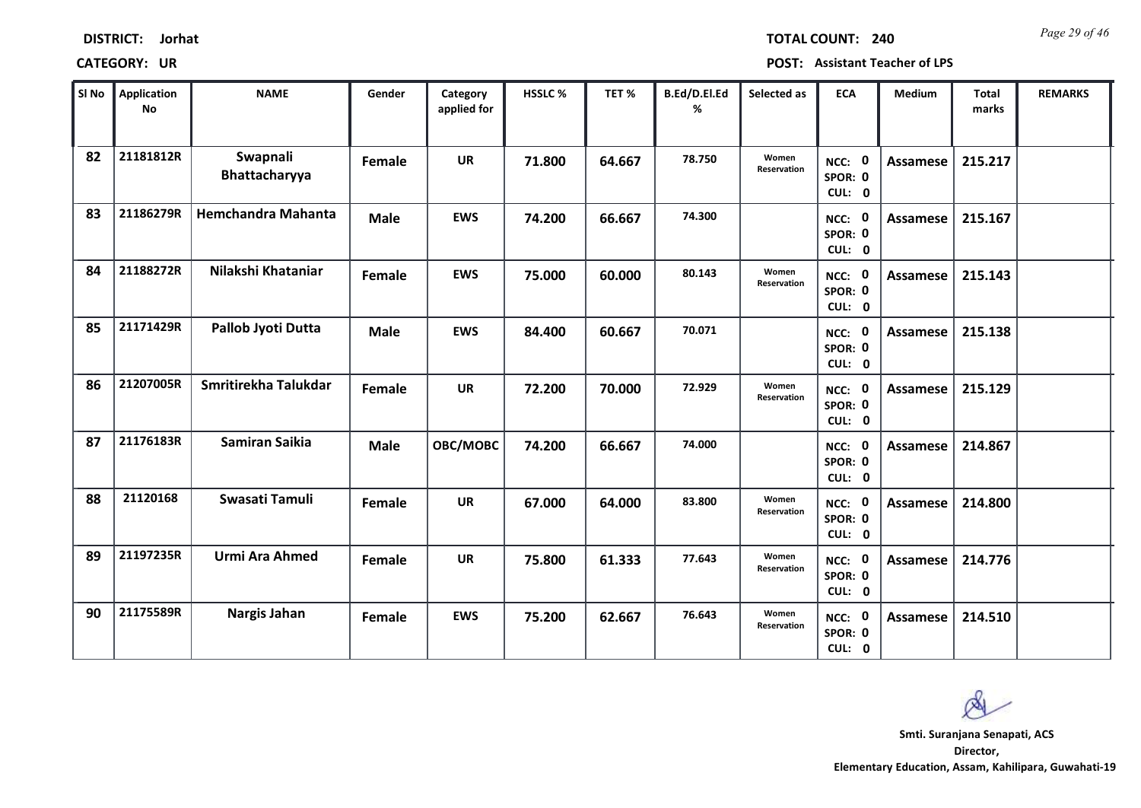| <b>DISTRICT:</b> | Jorhat |
|------------------|--------|
|------------------|--------|

*Page 29 of 46* **TOTAL COUNT: 240**

| SI No | <b>Application</b><br>No | <b>NAME</b>               | Gender      | Category<br>applied for | <b>HSSLC %</b> | TET %  | B.Ed/D.El.Ed<br>% | Selected as          | <b>ECA</b>                  | <b>Medium</b>   | <b>Total</b><br>marks | <b>REMARKS</b> |
|-------|--------------------------|---------------------------|-------------|-------------------------|----------------|--------|-------------------|----------------------|-----------------------------|-----------------|-----------------------|----------------|
| 82    | 21181812R                | Swapnali<br>Bhattacharyya | Female      | <b>UR</b>               | 71.800         | 64.667 | 78.750            | Women<br>Reservation | NCC: 0<br>SPOR: 0<br>CUL: 0 | <b>Assamese</b> | 215.217               |                |
| 83    | 21186279R                | <b>Hemchandra Mahanta</b> | <b>Male</b> | <b>EWS</b>              | 74.200         | 66.667 | 74.300            |                      | NCC: 0<br>SPOR: 0<br>CUL: 0 | Assamese        | 215.167               |                |
| 84    | 21188272R                | Nilakshi Khataniar        | Female      | <b>EWS</b>              | 75.000         | 60.000 | 80.143            | Women<br>Reservation | NCC: 0<br>SPOR: 0<br>CUL: 0 | Assamese        | 215.143               |                |
| 85    | 21171429R                | Pallob Jyoti Dutta        | <b>Male</b> | <b>EWS</b>              | 84.400         | 60.667 | 70.071            |                      | NCC: 0<br>SPOR: 0<br>CUL: 0 | Assamese        | 215.138               |                |
| 86    | 21207005R                | Smritirekha Talukdar      | Female      | <b>UR</b>               | 72.200         | 70.000 | 72.929            | Women<br>Reservation | NCC: 0<br>SPOR: 0<br>CUL: 0 | <b>Assamese</b> | 215.129               |                |
| 87    | 21176183R                | <b>Samiran Saikia</b>     | <b>Male</b> | OBC/MOBC                | 74.200         | 66.667 | 74.000            |                      | NCC: 0<br>SPOR: 0<br>CUL: 0 | Assamese        | 214.867               |                |
| 88    | 21120168                 | Swasati Tamuli            | Female      | <b>UR</b>               | 67.000         | 64.000 | 83.800            | Women<br>Reservation | NCC: 0<br>SPOR: 0<br>CUL: 0 | Assamese        | 214.800               |                |
| 89    | 21197235R                | Urmi Ara Ahmed            | Female      | <b>UR</b>               | 75.800         | 61.333 | 77.643            | Women<br>Reservation | NCC: 0<br>SPOR: 0<br>CUL: 0 | <b>Assamese</b> | 214.776               |                |
| 90    | 21175589R                | Nargis Jahan              | Female      | <b>EWS</b>              | 75.200         | 62.667 | 76.643            | Women<br>Reservation | NCC: 0<br>SPOR: 0<br>CUL: 0 | Assamese        | 214.510               |                |

 $\infty$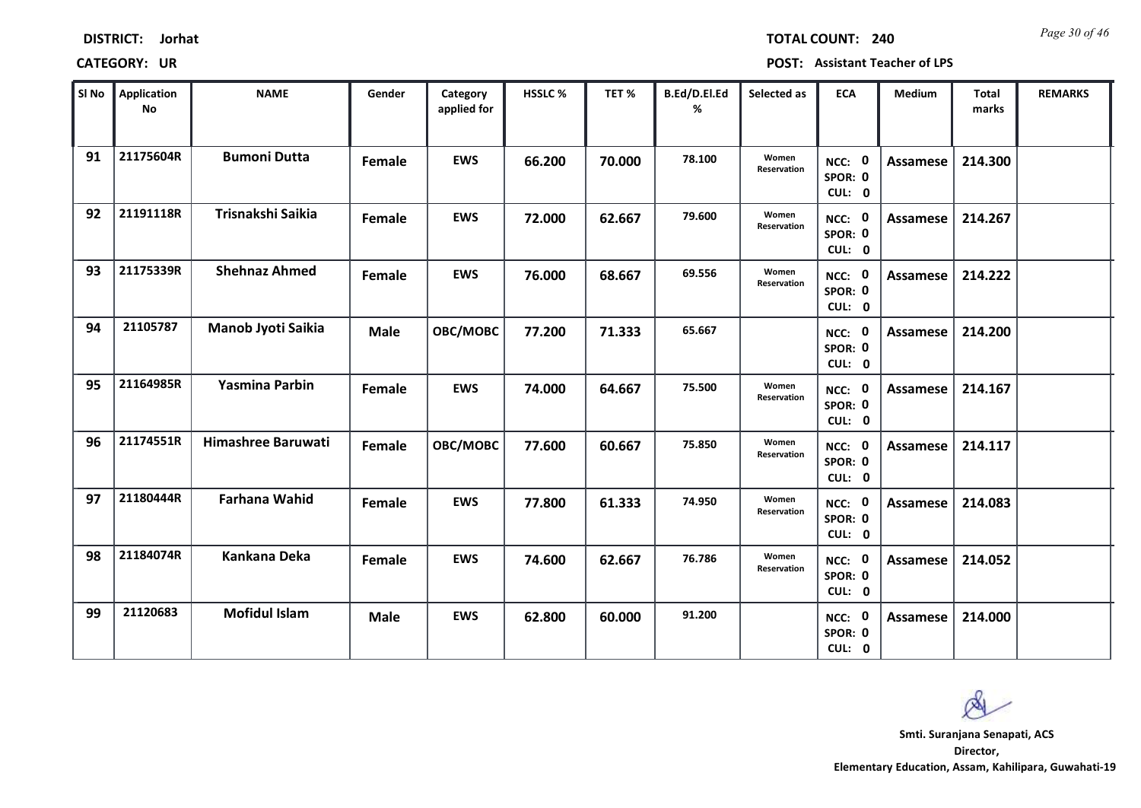| <b>DISTRICT:</b> | Jorhat |
|------------------|--------|
|------------------|--------|

*Page 30 of 46* **TOTAL COUNT: 240**

| SI No | Application<br><b>No</b> | <b>NAME</b>           | Gender      | Category<br>applied for | <b>HSSLC %</b> | TET %  | B.Ed/D.El.Ed<br>% | Selected as          | <b>ECA</b>                  | Medium          | Total<br>marks | <b>REMARKS</b> |
|-------|--------------------------|-----------------------|-------------|-------------------------|----------------|--------|-------------------|----------------------|-----------------------------|-----------------|----------------|----------------|
| 91    | 21175604R                | <b>Bumoni Dutta</b>   | Female      | <b>EWS</b>              | 66.200         | 70.000 | 78.100            | Women<br>Reservation | NCC: 0<br>SPOR: 0<br>CUL: 0 | <b>Assamese</b> | 214.300        |                |
| 92    | 21191118R                | Trisnakshi Saikia     | Female      | <b>EWS</b>              | 72.000         | 62.667 | 79.600            | Women<br>Reservation | NCC: 0<br>SPOR: 0<br>CUL: 0 | Assamese        | 214.267        |                |
| 93    | 21175339R                | <b>Shehnaz Ahmed</b>  | Female      | <b>EWS</b>              | 76.000         | 68.667 | 69.556            | Women<br>Reservation | NCC: 0<br>SPOR: 0<br>CUL: 0 | Assamese        | 214.222        |                |
| 94    | 21105787                 | Manob Jyoti Saikia    | <b>Male</b> | OBC/MOBC                | 77.200         | 71.333 | 65.667            |                      | NCC: 0<br>SPOR: 0<br>CUL: 0 | Assamese        | 214.200        |                |
| 95    | 21164985R                | <b>Yasmina Parbin</b> | Female      | <b>EWS</b>              | 74.000         | 64.667 | 75.500            | Women<br>Reservation | NCC: 0<br>SPOR: 0<br>CUL: 0 | Assamese        | 214.167        |                |
| 96    | 21174551R                | Himashree Baruwati    | Female      | OBC/MOBC                | 77.600         | 60.667 | 75.850            | Women<br>Reservation | NCC: 0<br>SPOR: 0<br>CUL: 0 | Assamese        | 214.117        |                |
| 97    | 21180444R                | <b>Farhana Wahid</b>  | Female      | <b>EWS</b>              | 77.800         | 61.333 | 74.950            | Women<br>Reservation | NCC: 0<br>SPOR: 0<br>CUL: 0 | Assamese        | 214.083        |                |
| 98    | 21184074R                | Kankana Deka          | Female      | <b>EWS</b>              | 74.600         | 62.667 | 76.786            | Women<br>Reservation | NCC: 0<br>SPOR: 0<br>CUL: 0 | <b>Assamese</b> | 214.052        |                |
| 99    | 21120683                 | <b>Mofidul Islam</b>  | <b>Male</b> | <b>EWS</b>              | 62.800         | 60.000 | 91.200            |                      | NCC: 0<br>SPOR: 0<br>CUL: 0 | Assamese        | 214.000        |                |

 $\infty$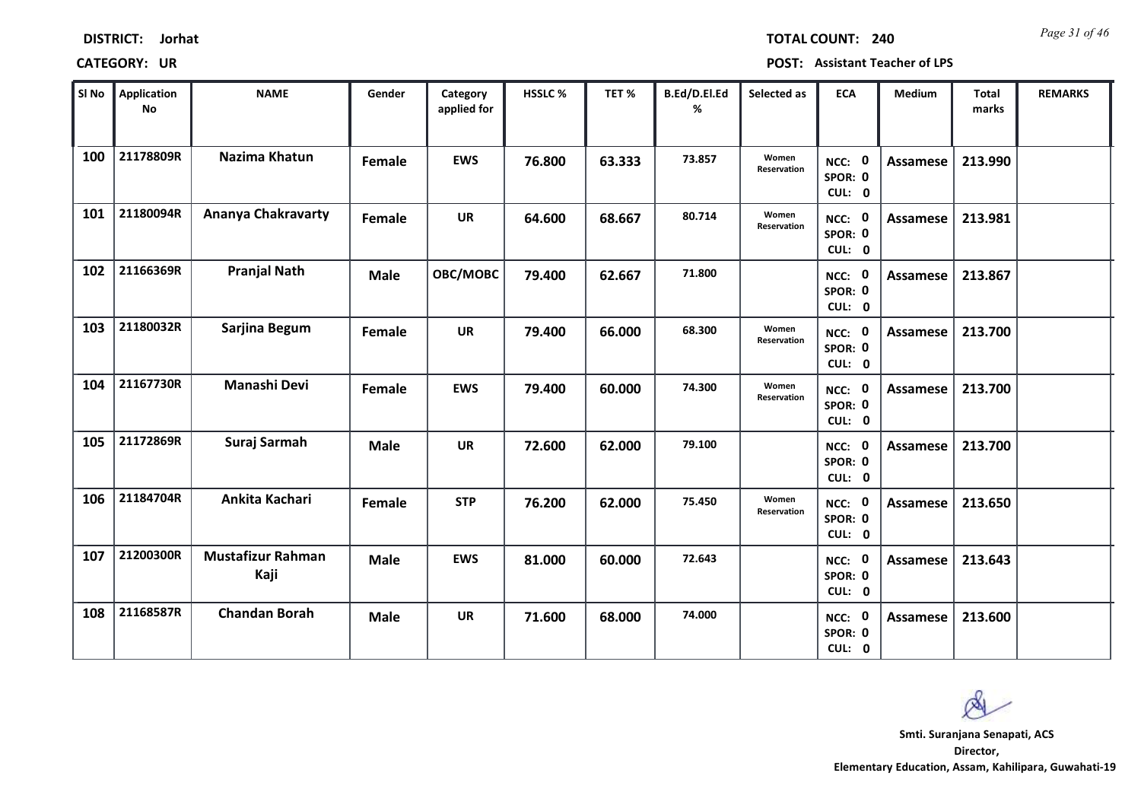| <b>DISTRICT:</b> | Jorhat |
|------------------|--------|
|------------------|--------|

*Page 31 of 46* **TOTAL COUNT: 240**

| SI No | Application<br><b>No</b> | <b>NAME</b>                      | Gender      | Category<br>applied for | <b>HSSLC %</b> | TET %  | B.Ed/D.El.Ed<br>% | Selected as          | <b>ECA</b>                     | Medium          | <b>Total</b><br>marks | <b>REMARKS</b> |
|-------|--------------------------|----------------------------------|-------------|-------------------------|----------------|--------|-------------------|----------------------|--------------------------------|-----------------|-----------------------|----------------|
| 100   | 21178809R                | Nazima Khatun                    | Female      | <b>EWS</b>              | 76.800         | 63.333 | 73.857            | Women<br>Reservation | NCC: 0<br>SPOR: 0<br>CUL: 0    | Assamese        | 213.990               |                |
| 101   | 21180094R                | Ananya Chakravarty               | Female      | <b>UR</b>               | 64.600         | 68.667 | 80.714            | Women<br>Reservation | NCC: 0<br>SPOR: 0<br>CUL: 0    | Assamese        | 213.981               |                |
| 102   | 21166369R                | <b>Pranjal Nath</b>              | <b>Male</b> | OBC/MOBC                | 79.400         | 62.667 | 71.800            |                      | NCC: 0<br>SPOR: 0<br>CUL: 0    | Assamese        | 213.867               |                |
| 103   | 21180032R                | Sarjina Begum                    | Female      | <b>UR</b>               | 79.400         | 66.000 | 68.300            | Women<br>Reservation | 0<br>NCC:<br>SPOR: 0<br>CUL: 0 | Assamese        | 213.700               |                |
| 104   | 21167730R                | Manashi Devi                     | Female      | <b>EWS</b>              | 79.400         | 60.000 | 74.300            | Women<br>Reservation | NCC: 0<br>SPOR: 0<br>CUL: 0    | <b>Assamese</b> | 213.700               |                |
| 105   | 21172869R                | Suraj Sarmah                     | <b>Male</b> | <b>UR</b>               | 72.600         | 62.000 | 79.100            |                      | NCC: 0<br>SPOR: 0<br>CUL: 0    | <b>Assamese</b> | 213.700               |                |
| 106   | 21184704R                | Ankita Kachari                   | Female      | <b>STP</b>              | 76.200         | 62.000 | 75.450            | Women<br>Reservation | NCC: 0<br>SPOR: 0<br>CUL: 0    | <b>Assamese</b> | 213.650               |                |
| 107   | 21200300R                | <b>Mustafizur Rahman</b><br>Kaji | <b>Male</b> | <b>EWS</b>              | 81.000         | 60.000 | 72.643            |                      | NCC: 0<br>SPOR: 0<br>CUL: 0    | <b>Assamese</b> | 213.643               |                |
| 108   | 21168587R                | <b>Chandan Borah</b>             | <b>Male</b> | UR                      | 71.600         | 68.000 | 74.000            |                      | NCC: 0<br>SPOR: 0<br>CUL: 0    | Assamese        | 213.600               |                |

 $\infty$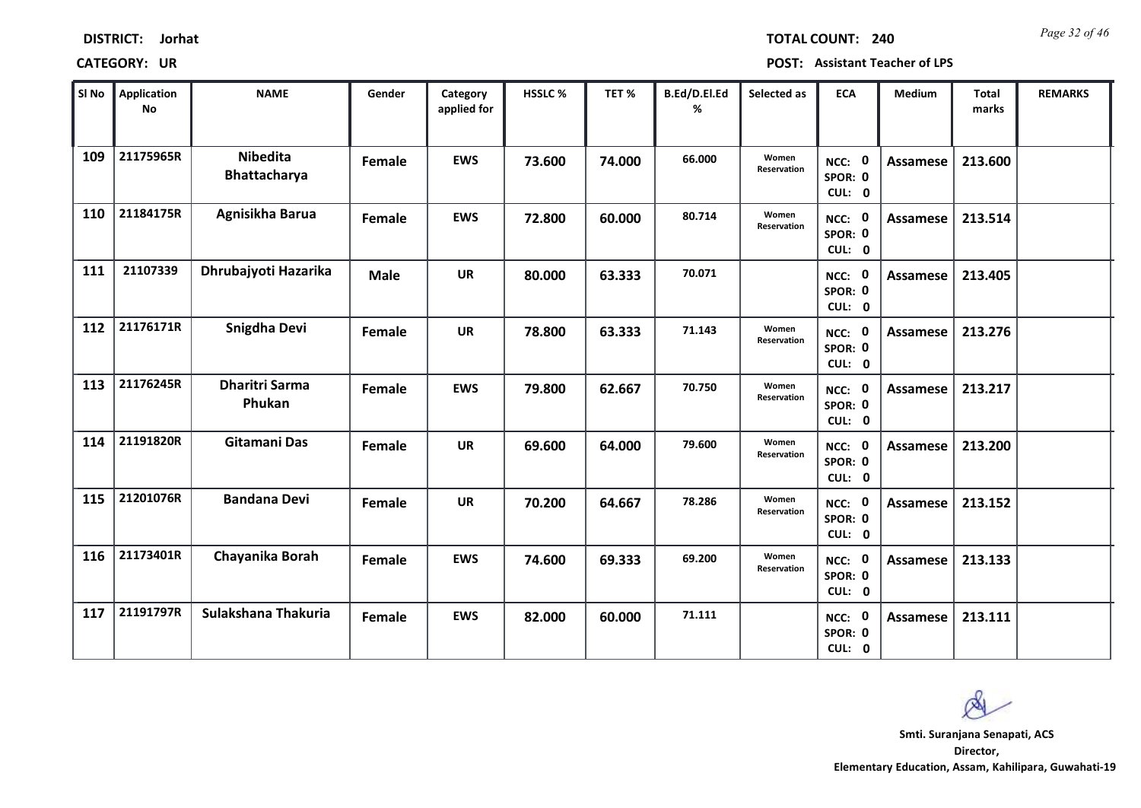| <b>DISTRICT:</b> | Jorhat |
|------------------|--------|
|------------------|--------|

*Page 32 of 46* **TOTAL COUNT: 240**

| SI No | <b>Application</b><br><b>No</b> | <b>NAME</b>                     | Gender      | Category<br>applied for | HSSLC % | TET %  | B.Ed/D.El.Ed<br>% | Selected as          | <b>ECA</b>                  | Medium          | <b>Total</b><br>marks | <b>REMARKS</b> |
|-------|---------------------------------|---------------------------------|-------------|-------------------------|---------|--------|-------------------|----------------------|-----------------------------|-----------------|-----------------------|----------------|
| 109   | 21175965R                       | <b>Nibedita</b><br>Bhattacharya | Female      | <b>EWS</b>              | 73.600  | 74.000 | 66.000            | Women<br>Reservation | NCC: 0<br>SPOR: 0<br>CUL: 0 | <b>Assamese</b> | 213.600               |                |
| 110   | 21184175R                       | Agnisikha Barua                 | Female      | <b>EWS</b>              | 72.800  | 60.000 | 80.714            | Women<br>Reservation | NCC: 0<br>SPOR: 0<br>CUL: 0 | Assamese        | 213.514               |                |
| 111   | 21107339                        | Dhrubajyoti Hazarika            | <b>Male</b> | <b>UR</b>               | 80.000  | 63.333 | 70.071            |                      | NCC: 0<br>SPOR: 0<br>CUL: 0 | Assamese        | 213.405               |                |
| 112   | 21176171R                       | Snigdha Devi                    | Female      | <b>UR</b>               | 78.800  | 63.333 | 71.143            | Women<br>Reservation | NCC: 0<br>SPOR: 0<br>CUL: 0 | <b>Assamese</b> | 213.276               |                |
| 113   | 21176245R                       | <b>Dharitri Sarma</b><br>Phukan | Female      | <b>EWS</b>              | 79.800  | 62.667 | 70.750            | Women<br>Reservation | NCC: 0<br>SPOR: 0<br>CUL: 0 | <b>Assamese</b> | 213.217               |                |
| 114   | 21191820R                       | Gitamani Das                    | Female      | <b>UR</b>               | 69.600  | 64.000 | 79.600            | Women<br>Reservation | NCC: 0<br>SPOR: 0<br>CUL: 0 | <b>Assamese</b> | 213.200               |                |
| 115   | 21201076R                       | <b>Bandana Devi</b>             | Female      | <b>UR</b>               | 70.200  | 64.667 | 78.286            | Women<br>Reservation | NCC: 0<br>SPOR: 0<br>CUL: 0 | Assamese        | 213.152               |                |
| 116   | 21173401R                       | Chayanika Borah                 | Female      | <b>EWS</b>              | 74.600  | 69.333 | 69.200            | Women<br>Reservation | NCC: 0<br>SPOR: 0<br>CUL: 0 | <b>Assamese</b> | 213.133               |                |
| 117   | 21191797R                       | Sulakshana Thakuria             | Female      | <b>EWS</b>              | 82.000  | 60.000 | 71.111            |                      | NCC: 0<br>SPOR: 0<br>CUL: 0 | Assamese        | 213.111               |                |

 $\infty$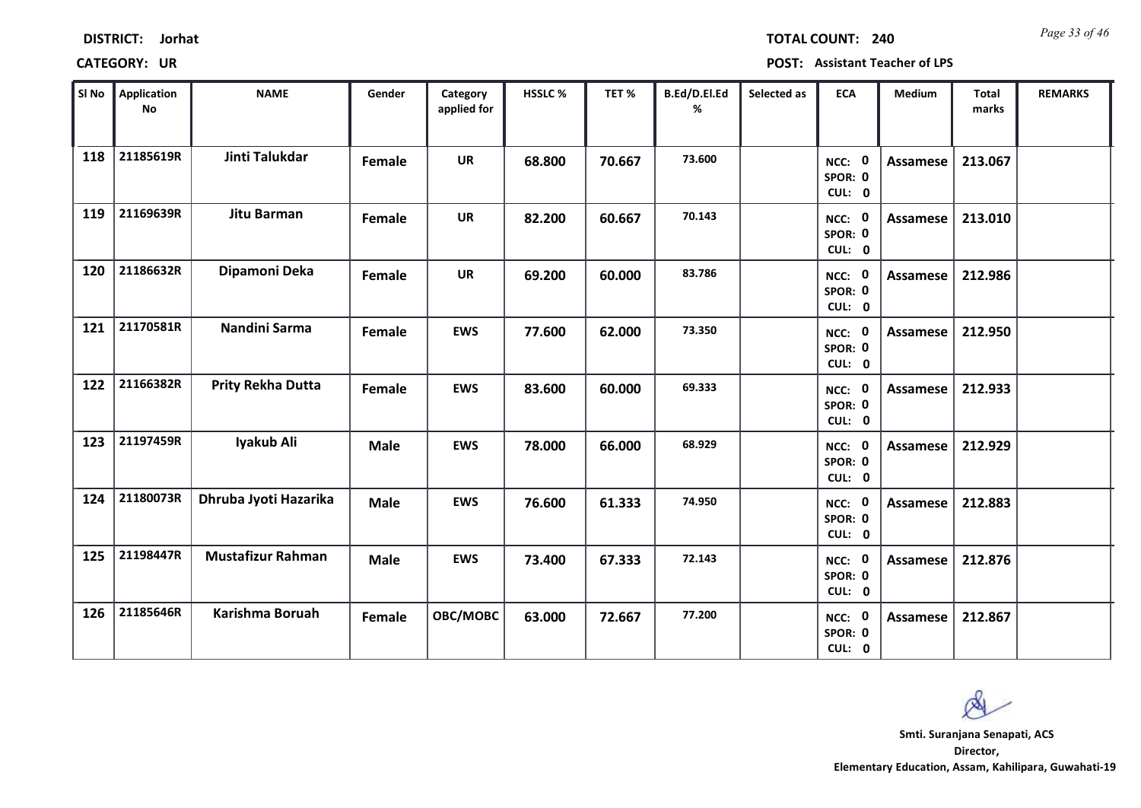| Sl No | Application<br><b>No</b> | <b>NAME</b>              | Gender      | Category<br>applied for | HSSLC% | TET%   | B.Ed/D.El.Ed<br>% | Selected as | <b>ECA</b>                  | Medium          | Total<br>marks | <b>REMARKS</b> |
|-------|--------------------------|--------------------------|-------------|-------------------------|--------|--------|-------------------|-------------|-----------------------------|-----------------|----------------|----------------|
| 118   | 21185619R                | Jinti Talukdar           | Female      | <b>UR</b>               | 68.800 | 70.667 | 73.600            |             | NCC: 0<br>SPOR: 0<br>CUL: 0 | Assamese        | 213.067        |                |
| 119   | 21169639R                | Jitu Barman              | Female      | <b>UR</b>               | 82.200 | 60.667 | 70.143            |             | NCC: 0<br>SPOR: 0<br>CUL: 0 | Assamese        | 213.010        |                |
| 120   | 21186632R                | Dipamoni Deka            | Female      | <b>UR</b>               | 69.200 | 60.000 | 83.786            |             | NCC: 0<br>SPOR: 0<br>CUL: 0 | Assamese        | 212.986        |                |
| 121   | 21170581R                | Nandini Sarma            | Female      | <b>EWS</b>              | 77.600 | 62.000 | 73.350            |             | NCC: 0<br>SPOR: 0<br>CUL: 0 | <b>Assamese</b> | 212.950        |                |
| 122   | 21166382R                | <b>Prity Rekha Dutta</b> | Female      | <b>EWS</b>              | 83.600 | 60.000 | 69.333            |             | NCC: 0<br>SPOR: 0<br>CUL: 0 | Assamese        | 212.933        |                |
| 123   | 21197459R                | Iyakub Ali               | <b>Male</b> | <b>EWS</b>              | 78.000 | 66.000 | 68.929            |             | NCC: 0<br>SPOR: 0<br>CUL: 0 | <b>Assamese</b> | 212.929        |                |
| 124   | 21180073R                | Dhruba Jyoti Hazarika    | <b>Male</b> | <b>EWS</b>              | 76.600 | 61.333 | 74.950            |             | NCC: 0<br>SPOR: 0<br>CUL: 0 | Assamese        | 212.883        |                |
| 125   | 21198447R                | <b>Mustafizur Rahman</b> | <b>Male</b> | <b>EWS</b>              | 73.400 | 67.333 | 72.143            |             | NCC: 0<br>SPOR: 0<br>CUL: 0 | Assamese        | 212.876        |                |
| 126   | 21185646R                | Karishma Boruah          | Female      | OBC/MOBC                | 63.000 | 72.667 | 77.200            |             | NCC: 0<br>SPOR: 0<br>CUL: 0 | Assamese        | 212.867        |                |

*Page 33 of 46* **TOTAL COUNT: 240**

**DISTRICT: Jorhat**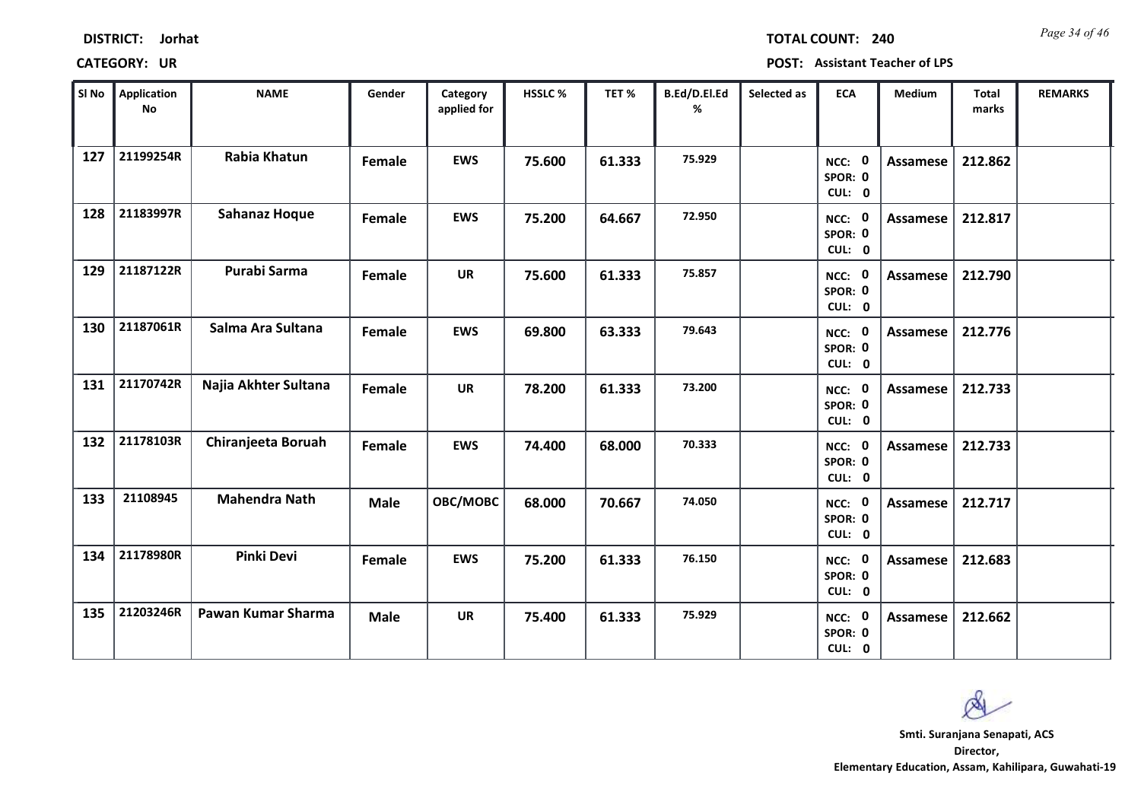| Sl No | Application<br>No | <b>NAME</b>          | Gender      | Category<br>applied for | <b>HSSLC %</b> | TET %  | B.Ed/D.El.Ed<br>% | Selected as | <b>ECA</b>                     | Medium          | <b>Total</b><br>marks | <b>REMARKS</b> |
|-------|-------------------|----------------------|-------------|-------------------------|----------------|--------|-------------------|-------------|--------------------------------|-----------------|-----------------------|----------------|
| 127   | 21199254R         | Rabia Khatun         | Female      | <b>EWS</b>              | 75.600         | 61.333 | 75.929            |             | NCC: 0<br>SPOR: 0<br>CUL: 0    | Assamese        | 212.862               |                |
| 128   | 21183997R         | <b>Sahanaz Hoque</b> | Female      | <b>EWS</b>              | 75.200         | 64.667 | 72.950            |             | NCC: 0<br>SPOR: 0<br>CUL: 0    | Assamese        | 212.817               |                |
| 129   | 21187122R         | Purabi Sarma         | Female      | <b>UR</b>               | 75.600         | 61.333 | 75.857            |             | NCC: 0<br>SPOR: 0<br>CUL: 0    | Assamese        | 212.790               |                |
| 130   | 21187061R         | Salma Ara Sultana    | Female      | <b>EWS</b>              | 69.800         | 63.333 | 79.643            |             | NCC: 0<br>SPOR: 0<br>CUL: 0    | Assamese        | 212.776               |                |
| 131   | 21170742R         | Najia Akhter Sultana | Female      | <b>UR</b>               | 78.200         | 61.333 | 73.200            |             | NCC: 0<br>SPOR: 0<br>CUL: 0    | Assamese        | 212.733               |                |
| 132   | 21178103R         | Chiranjeeta Boruah   | Female      | <b>EWS</b>              | 74.400         | 68.000 | 70.333            |             | NCC: 0<br>SPOR: 0<br>CUL: 0    | Assamese        | 212.733               |                |
| 133   | 21108945          | <b>Mahendra Nath</b> | <b>Male</b> | OBC/MOBC                | 68.000         | 70.667 | 74.050            |             | NCC: 0<br>SPOR: 0<br>CUL: 0    | Assamese        | 212.717               |                |
| 134   | 21178980R         | Pinki Devi           | Female      | <b>EWS</b>              | 75.200         | 61.333 | 76.150            |             | 0<br>NCC:<br>SPOR: 0<br>CUL: 0 | <b>Assamese</b> | 212.683               |                |
| 135   | 21203246R         | Pawan Kumar Sharma   | <b>Male</b> | <b>UR</b>               | 75.400         | 61.333 | 75.929            |             | NCC: 0<br>SPOR: 0<br>CUL: 0    | Assamese        | 212.662               |                |

## **CATEGORY: UR POST: Assistant Teacher of LPS**

*Page 34 of 46* **TOTAL COUNT: 240**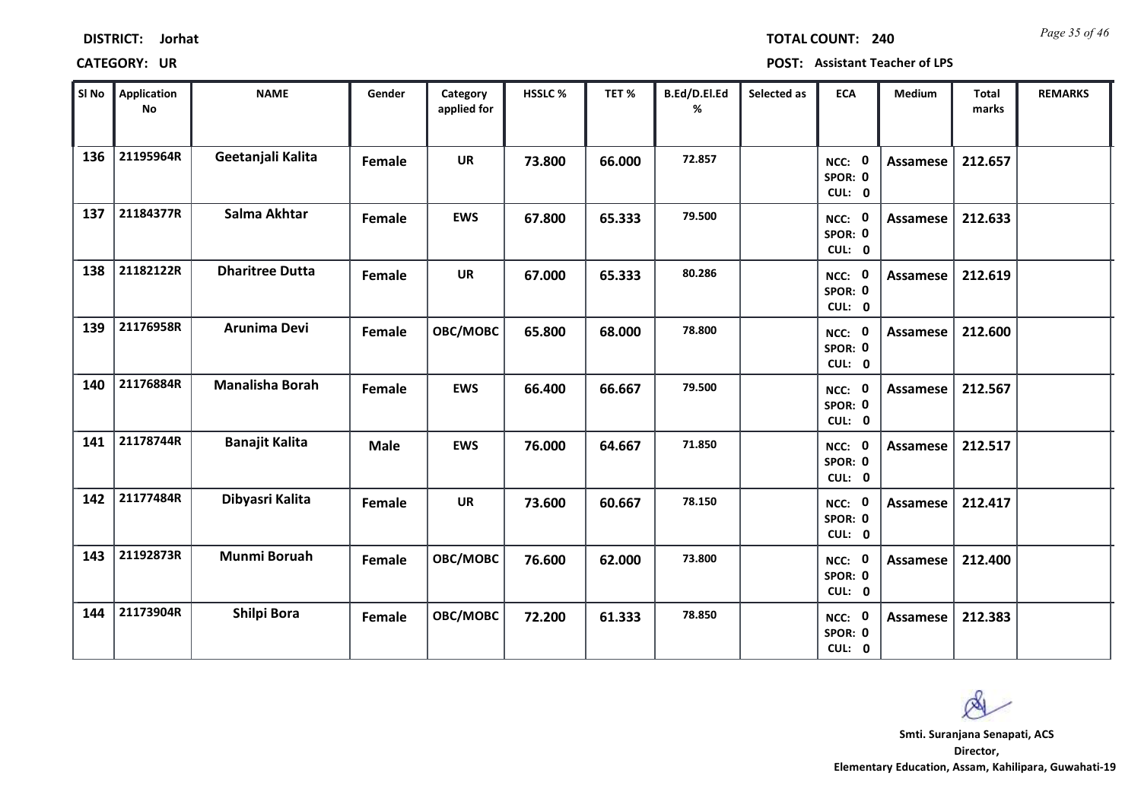| <b>DISTRICT:</b> | Jorhat |
|------------------|--------|
|------------------|--------|

*Page 35 of 46* **TOTAL COUNT: 240**

| SI No | <b>Application</b><br>$\mathsf{No}$ | <b>NAME</b>            | Gender      | Category<br>applied for | <b>HSSLC %</b> | TET%   | B.Ed/D.El.Ed<br>% | Selected as | <b>ECA</b>                  | <b>Medium</b>   | <b>Total</b><br>marks | <b>REMARKS</b> |
|-------|-------------------------------------|------------------------|-------------|-------------------------|----------------|--------|-------------------|-------------|-----------------------------|-----------------|-----------------------|----------------|
| 136   | 21195964R                           | Geetanjali Kalita      | Female      | <b>UR</b>               | 73.800         | 66.000 | 72.857            |             | NCC: 0<br>SPOR: 0<br>CUL: 0 | <b>Assamese</b> | 212.657               |                |
| 137   | 21184377R                           | Salma Akhtar           | Female      | <b>EWS</b>              | 67.800         | 65.333 | 79.500            |             | NCC: 0<br>SPOR: 0<br>CUL: 0 | Assamese        | 212.633               |                |
| 138   | 21182122R                           | <b>Dharitree Dutta</b> | Female      | <b>UR</b>               | 67.000         | 65.333 | 80.286            |             | NCC: 0<br>SPOR: 0<br>CUL: 0 | Assamese        | 212.619               |                |
| 139   | 21176958R                           | Arunima Devi           | Female      | OBC/MOBC                | 65.800         | 68.000 | 78.800            |             | NCC: 0<br>SPOR: 0<br>CUL: 0 | Assamese        | 212.600               |                |
| 140   | 21176884R                           | <b>Manalisha Borah</b> | Female      | <b>EWS</b>              | 66.400         | 66.667 | 79.500            |             | NCC: 0<br>SPOR: 0<br>CUL: 0 | Assamese        | 212.567               |                |
| 141   | 21178744R                           | <b>Banajit Kalita</b>  | <b>Male</b> | <b>EWS</b>              | 76.000         | 64.667 | 71.850            |             | NCC: 0<br>SPOR: 0<br>CUL: 0 | Assamese        | 212.517               |                |
| 142   | 21177484R                           | Dibyasri Kalita        | Female      | <b>UR</b>               | 73.600         | 60.667 | 78.150            |             | NCC: 0<br>SPOR: 0<br>CUL: 0 | Assamese        | 212.417               |                |
| 143   | 21192873R                           | <b>Munmi Boruah</b>    | Female      | OBC/MOBC                | 76.600         | 62.000 | 73.800            |             | NCC: 0<br>SPOR: 0<br>CUL: 0 | <b>Assamese</b> | 212.400               |                |
| 144   | 21173904R                           | Shilpi Bora            | Female      | OBC/MOBC                | 72.200         | 61.333 | 78.850            |             | NCC: 0<br>SPOR: 0<br>CUL: 0 | Assamese        | 212.383               |                |

 $\infty$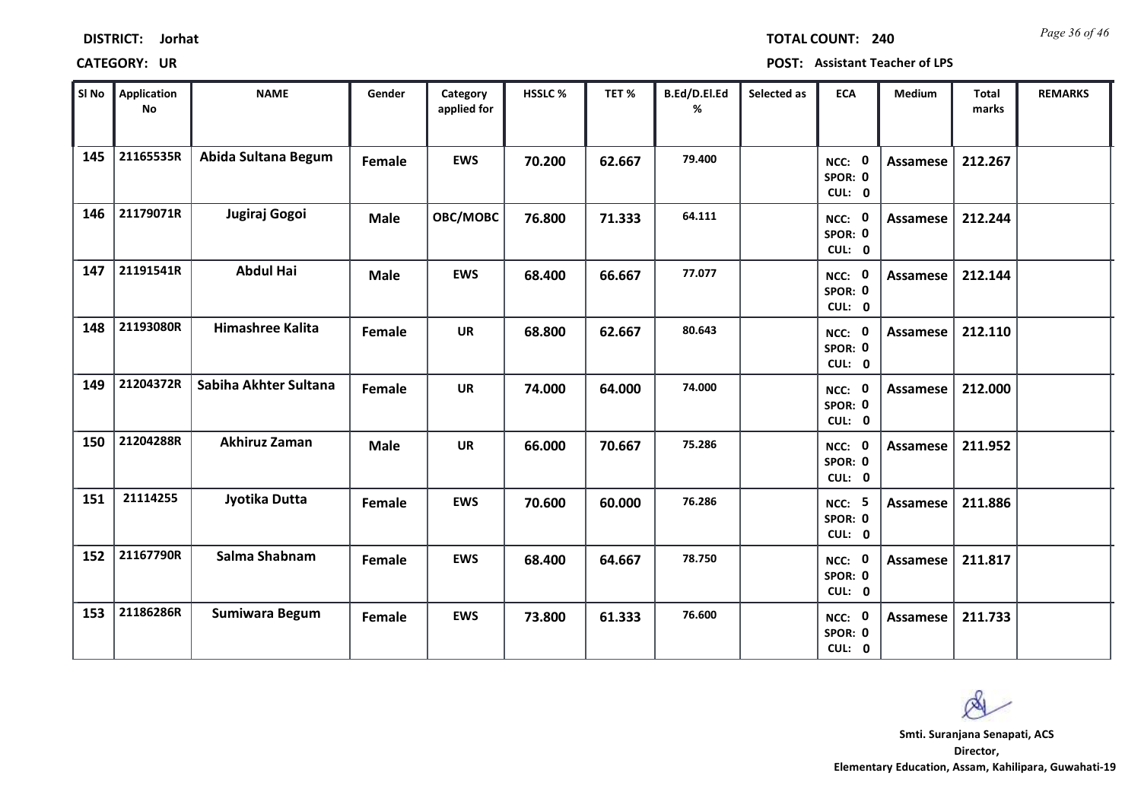| <b>DISTRICT:</b> | Jorhat |
|------------------|--------|
|------------------|--------|

*Page 36 of 46* **TOTAL COUNT: 240**

| SI No | Application<br>No | <b>NAME</b>           | Gender        | Category<br>applied for | <b>HSSLC%</b> | TET %  | B.Ed/D.El.Ed<br>% | Selected as | <b>ECA</b>                         | <b>Medium</b>   | <b>Total</b><br>marks | <b>REMARKS</b> |
|-------|-------------------|-----------------------|---------------|-------------------------|---------------|--------|-------------------|-------------|------------------------------------|-----------------|-----------------------|----------------|
| 145   | 21165535R         | Abida Sultana Begum   | Female        | <b>EWS</b>              | 70.200        | 62.667 | 79.400            |             | NCC: 0<br>SPOR: 0<br>CUL: 0        | <b>Assamese</b> | 212.267               |                |
| 146   | 21179071R         | Jugiraj Gogoi         | <b>Male</b>   | OBC/MOBC                | 76.800        | 71.333 | 64.111            |             | NCC: 0<br>SPOR: 0<br>CUL: 0        | Assamese        | 212.244               |                |
| 147   | 21191541R         | <b>Abdul Hai</b>      | <b>Male</b>   | <b>EWS</b>              | 68.400        | 66.667 | 77.077            |             | NCC: 0<br>SPOR: 0<br>CUL: 0        | <b>Assamese</b> | 212.144               |                |
| 148   | 21193080R         | Himashree Kalita      | Female        | <b>UR</b>               | 68.800        | 62.667 | 80.643            |             | NCC: 0<br>SPOR: 0<br>CUL: 0        | Assamese        | 212.110               |                |
| 149   | 21204372R         | Sabiha Akhter Sultana | Female        | <b>UR</b>               | 74.000        | 64.000 | 74.000            |             | NCC: 0<br>SPOR: 0<br>CUL: 0        | Assamese        | 212.000               |                |
| 150   | 21204288R         | Akhiruz Zaman         | <b>Male</b>   | <b>UR</b>               | 66.000        | 70.667 | 75.286            |             | NCC: 0<br>SPOR: 0<br>CUL: 0        | <b>Assamese</b> | 211.952               |                |
| 151   | 21114255          | Jyotika Dutta         | <b>Female</b> | <b>EWS</b>              | 70.600        | 60.000 | 76.286            |             | <b>NCC: 5</b><br>SPOR: 0<br>CUL: 0 | <b>Assamese</b> | 211.886               |                |
| 152   | 21167790R         | Salma Shabnam         | Female        | <b>EWS</b>              | 68.400        | 64.667 | 78.750            |             | NCC: 0<br>SPOR: 0<br>CUL: 0        | Assamese        | 211.817               |                |
| 153   | 21186286R         | <b>Sumiwara Begum</b> | Female        | <b>EWS</b>              | 73.800        | 61.333 | 76.600            |             | NCC: 0<br>SPOR: 0<br>CUL: 0        | <b>Assamese</b> | 211.733               |                |

 $\infty$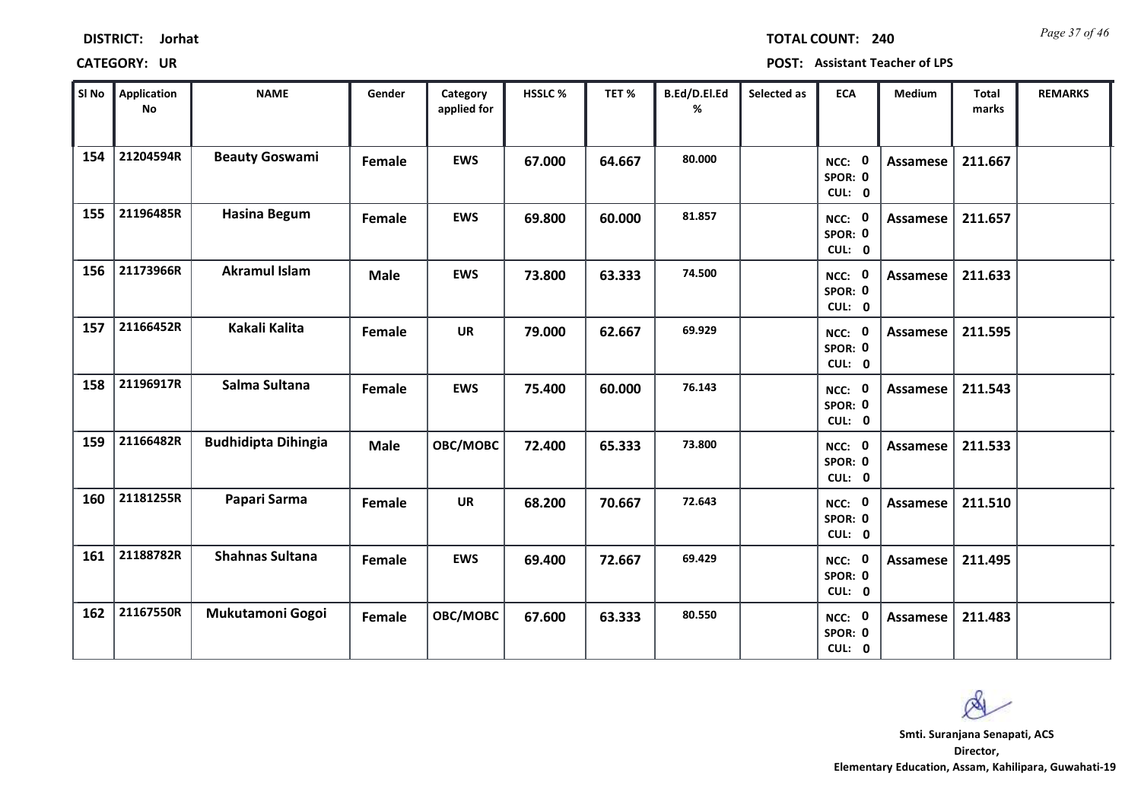| <b>DISTRICT:</b> | Jorhat |
|------------------|--------|
|------------------|--------|

*Page 37 of 46* **TOTAL COUNT: 240**

| SI No | <b>Application</b><br><b>No</b> | <b>NAME</b>                | Gender      | Category<br>applied for | HSSLC % | TET%   | B.Ed/D.El.Ed<br>% | Selected as | <b>ECA</b>                  | <b>Medium</b>   | <b>Total</b><br>marks | <b>REMARKS</b> |
|-------|---------------------------------|----------------------------|-------------|-------------------------|---------|--------|-------------------|-------------|-----------------------------|-----------------|-----------------------|----------------|
| 154   | 21204594R                       | <b>Beauty Goswami</b>      | Female      | <b>EWS</b>              | 67.000  | 64.667 | 80.000            |             | NCC: 0<br>SPOR: 0<br>CUL: 0 | <b>Assamese</b> | 211.667               |                |
| 155   | 21196485R                       | <b>Hasina Begum</b>        | Female      | <b>EWS</b>              | 69.800  | 60.000 | 81.857            |             | NCC: 0<br>SPOR: 0<br>CUL: 0 | Assamese        | 211.657               |                |
| 156   | 21173966R                       | <b>Akramul Islam</b>       | <b>Male</b> | <b>EWS</b>              | 73.800  | 63.333 | 74.500            |             | NCC: 0<br>SPOR: 0<br>CUL: 0 | Assamese        | 211.633               |                |
| 157   | 21166452R                       | Kakali Kalita              | Female      | <b>UR</b>               | 79.000  | 62.667 | 69.929            |             | NCC: 0<br>SPOR: 0<br>CUL: 0 | Assamese        | 211.595               |                |
| 158   | 21196917R                       | Salma Sultana              | Female      | <b>EWS</b>              | 75.400  | 60.000 | 76.143            |             | NCC: 0<br>SPOR: 0<br>CUL: 0 | <b>Assamese</b> | 211.543               |                |
| 159   | 21166482R                       | <b>Budhidipta Dihingia</b> | <b>Male</b> | OBC/MOBC                | 72.400  | 65.333 | 73.800            |             | NCC: 0<br>SPOR: 0<br>CUL: 0 | <b>Assamese</b> | 211.533               |                |
| 160   | 21181255R                       | Papari Sarma               | Female      | <b>UR</b>               | 68.200  | 70.667 | 72.643            |             | NCC: 0<br>SPOR: 0<br>CUL: 0 | <b>Assamese</b> | 211.510               |                |
| 161   | 21188782R                       | <b>Shahnas Sultana</b>     | Female      | <b>EWS</b>              | 69.400  | 72.667 | 69.429            |             | NCC: 0<br>SPOR: 0<br>CUL: 0 | <b>Assamese</b> | 211.495               |                |
| 162   | 21167550R                       | Mukutamoni Gogoi           | Female      | OBC/MOBC                | 67.600  | 63.333 | 80.550            |             | NCC: 0<br>SPOR: 0<br>CUL: 0 | <b>Assamese</b> | 211.483               |                |

 $\infty$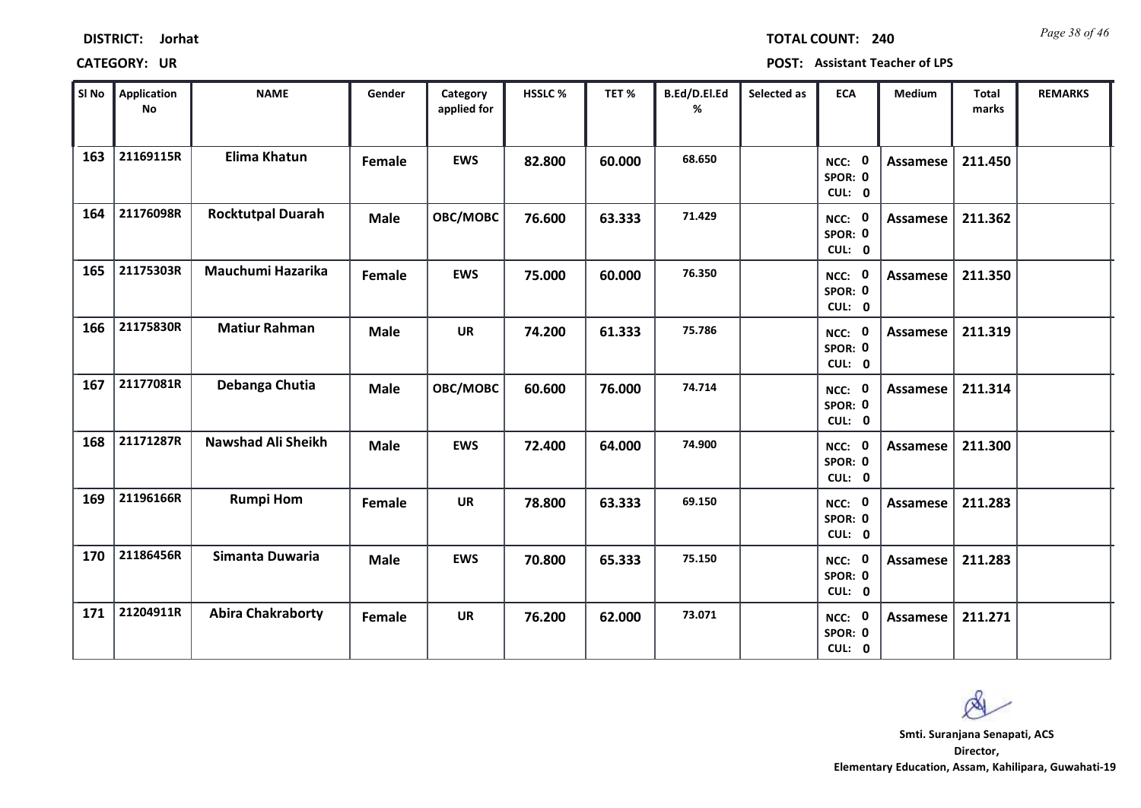| Sl No | Application<br>No | <b>NAME</b>               | Gender      | Category<br>applied for | HSSLC% | TET%   | B.Ed/D.El.Ed<br>% | Selected as | <b>ECA</b>                  | Medium          | <b>Total</b><br>marks | <b>REMARKS</b> |
|-------|-------------------|---------------------------|-------------|-------------------------|--------|--------|-------------------|-------------|-----------------------------|-----------------|-----------------------|----------------|
| 163   | 21169115R         | <b>Elima Khatun</b>       | Female      | <b>EWS</b>              | 82.800 | 60.000 | 68.650            |             | NCC: 0<br>SPOR: 0<br>CUL: 0 | Assamese        | 211.450               |                |
| 164   | 21176098R         | <b>Rocktutpal Duarah</b>  | <b>Male</b> | OBC/MOBC                | 76.600 | 63.333 | 71.429            |             | NCC: 0<br>SPOR: 0<br>CUL: 0 | Assamese        | 211.362               |                |
| 165   | 21175303R         | Mauchumi Hazarika         | Female      | <b>EWS</b>              | 75.000 | 60.000 | 76.350            |             | NCC: 0<br>SPOR: 0<br>CUL: 0 | <b>Assamese</b> | 211.350               |                |
| 166   | 21175830R         | <b>Matiur Rahman</b>      | <b>Male</b> | <b>UR</b>               | 74.200 | 61.333 | 75.786            |             | NCC: 0<br>SPOR: 0<br>CUL: 0 | Assamese        | 211.319               |                |
| 167   | 21177081R         | Debanga Chutia            | <b>Male</b> | OBC/MOBC                | 60.600 | 76.000 | 74.714            |             | NCC: 0<br>SPOR: 0<br>CUL: 0 | Assamese        | 211.314               |                |
| 168   | 21171287R         | <b>Nawshad Ali Sheikh</b> | <b>Male</b> | <b>EWS</b>              | 72.400 | 64.000 | 74.900            |             | NCC: 0<br>SPOR: 0<br>CUL: 0 | <b>Assamese</b> | 211.300               |                |
| 169   | 21196166R         | <b>Rumpi Hom</b>          | Female      | <b>UR</b>               | 78.800 | 63.333 | 69.150            |             | NCC: 0<br>SPOR: 0<br>CUL: 0 | Assamese        | 211.283               |                |
| 170   | 21186456R         | Simanta Duwaria           | Male        | <b>EWS</b>              | 70.800 | 65.333 | 75.150            |             | NCC: 0<br>SPOR: 0<br>CUL: 0 | Assamese        | 211.283               |                |
| 171   | 21204911R         | <b>Abira Chakraborty</b>  | Female      | <b>UR</b>               | 76.200 | 62.000 | 73.071            |             | NCC: 0<br>SPOR: 0<br>CUL: 0 | Assamese        | 211.271               |                |

## **CATEGORY: UR POST: Assistant Teacher of LPS**

**Director, Elementary Education, Assam, Kahilipara, Guwahati-19 Smti. Suranjana Senapati, ACS**

Q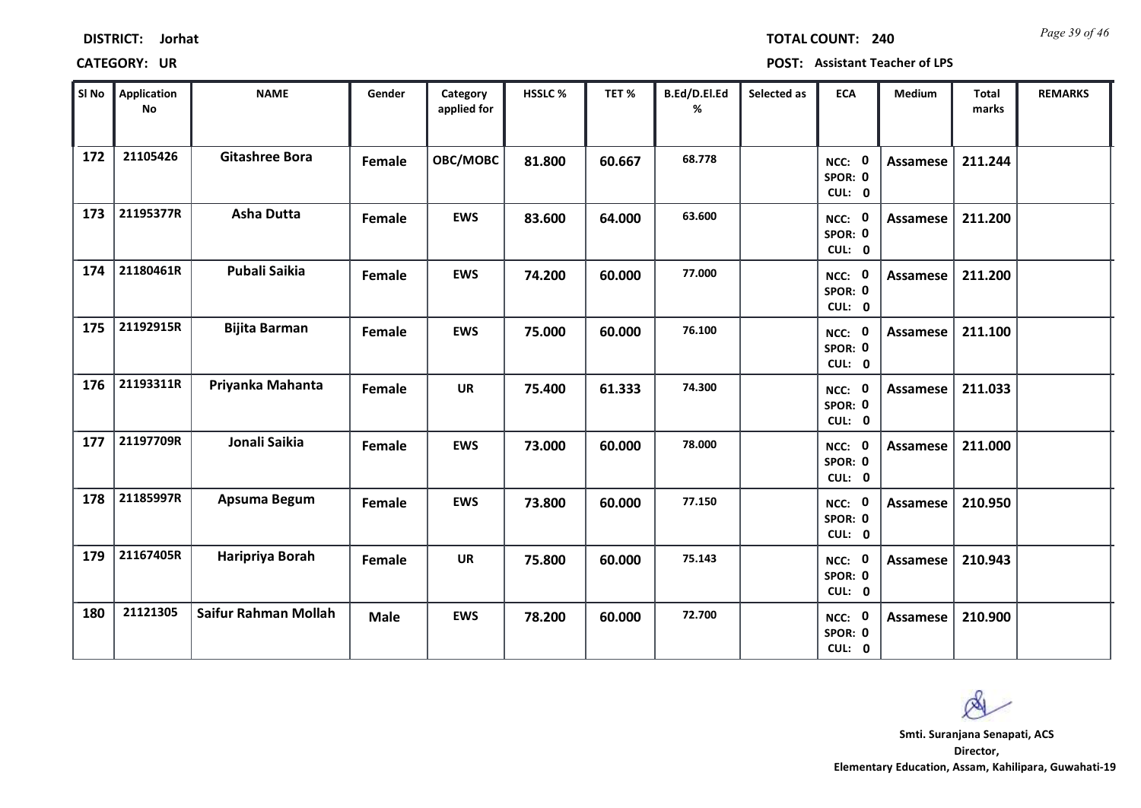| <b>DISTRICT:</b> | Jorhat |
|------------------|--------|
|------------------|--------|

*Page 39 of 46* **TOTAL COUNT: 240**

| SI No | Application<br>No | <b>NAME</b>           | Gender      | Category<br>applied for | HSSLC % | TET%   | B.Ed/D.El.Ed<br>% | Selected as | <b>ECA</b>                  | Medium          | <b>Total</b><br>marks | <b>REMARKS</b> |
|-------|-------------------|-----------------------|-------------|-------------------------|---------|--------|-------------------|-------------|-----------------------------|-----------------|-----------------------|----------------|
| 172   | 21105426          | <b>Gitashree Bora</b> | Female      | OBC/MOBC                | 81.800  | 60.667 | 68.778            |             | NCC: 0<br>SPOR: 0<br>CUL: 0 | Assamese        | 211.244               |                |
| 173   | 21195377R         | <b>Asha Dutta</b>     | Female      | <b>EWS</b>              | 83.600  | 64.000 | 63.600            |             | NCC: 0<br>SPOR: 0<br>CUL: 0 | Assamese        | 211.200               |                |
| 174   | 21180461R         | <b>Pubali Saikia</b>  | Female      | <b>EWS</b>              | 74.200  | 60.000 | 77.000            |             | NCC: 0<br>SPOR: 0<br>CUL: 0 | Assamese        | 211.200               |                |
| 175   | 21192915R         | <b>Bijita Barman</b>  | Female      | <b>EWS</b>              | 75.000  | 60.000 | 76.100            |             | NCC: 0<br>SPOR: 0<br>CUL: 0 | Assamese        | 211.100               |                |
| 176   | 21193311R         | Priyanka Mahanta      | Female      | <b>UR</b>               | 75.400  | 61.333 | 74.300            |             | NCC: 0<br>SPOR: 0<br>CUL: 0 | Assamese        | 211.033               |                |
| 177   | 21197709R         | Jonali Saikia         | Female      | <b>EWS</b>              | 73.000  | 60.000 | 78.000            |             | NCC: 0<br>SPOR: 0<br>CUL: 0 | <b>Assamese</b> | 211.000               |                |
| 178   | 21185997R         | Apsuma Begum          | Female      | <b>EWS</b>              | 73.800  | 60.000 | 77.150            |             | NCC: 0<br>SPOR: 0<br>CUL: 0 | <b>Assamese</b> | 210.950               |                |
| 179   | 21167405R         | Haripriya Borah       | Female      | <b>UR</b>               | 75.800  | 60.000 | 75.143            |             | NCC: 0<br>SPOR: 0<br>CUL: 0 | Assamese        | 210.943               |                |
| 180   | 21121305          | Saifur Rahman Mollah  | <b>Male</b> | <b>EWS</b>              | 78.200  | 60.000 | 72.700            |             | NCC: 0<br>SPOR: 0<br>CUL: 0 | <b>Assamese</b> | 210.900               |                |

 $\infty$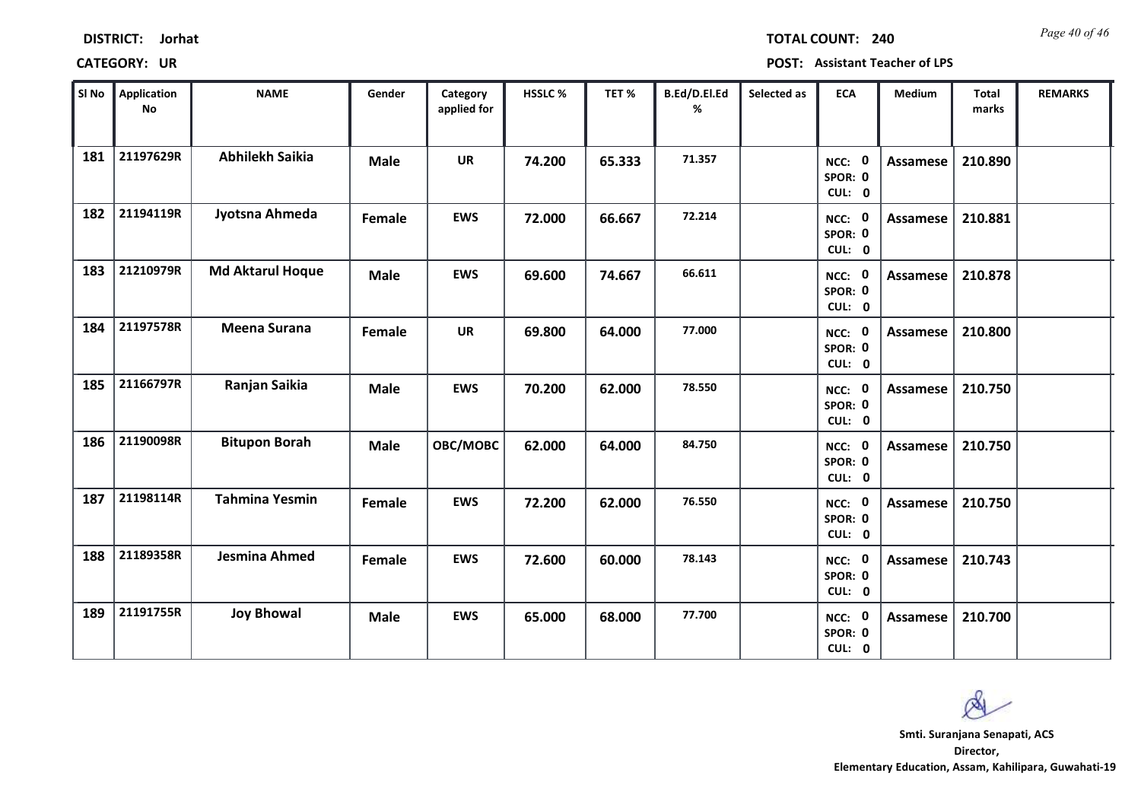| <b>DISTRICT:</b> | Jorhat |
|------------------|--------|
|------------------|--------|

*Page 40 of 46* **TOTAL COUNT: 240**

| SI No | <b>Application</b><br>No | <b>NAME</b>             | Gender      | Category<br>applied for | <b>HSSLC %</b> | TET%   | B.Ed/D.El.Ed<br>% | Selected as | <b>ECA</b>                  | Medium          | <b>Total</b><br>marks | <b>REMARKS</b> |
|-------|--------------------------|-------------------------|-------------|-------------------------|----------------|--------|-------------------|-------------|-----------------------------|-----------------|-----------------------|----------------|
| 181   | 21197629R                | <b>Abhilekh Saikia</b>  | <b>Male</b> | <b>UR</b>               | 74.200         | 65.333 | 71.357            |             | NCC: 0<br>SPOR: 0<br>CUL: 0 | <b>Assamese</b> | 210.890               |                |
| 182   | 21194119R                | Jyotsna Ahmeda          | Female      | <b>EWS</b>              | 72.000         | 66.667 | 72.214            |             | NCC: 0<br>SPOR: 0<br>CUL: 0 | Assamese        | 210.881               |                |
| 183   | 21210979R                | <b>Md Aktarul Hoque</b> | <b>Male</b> | <b>EWS</b>              | 69.600         | 74.667 | 66.611            |             | NCC: 0<br>SPOR: 0<br>CUL: 0 | <b>Assamese</b> | 210.878               |                |
| 184   | 21197578R                | <b>Meena Surana</b>     | Female      | <b>UR</b>               | 69.800         | 64.000 | 77.000            |             | NCC: 0<br>SPOR: 0<br>CUL: 0 | Assamese        | 210.800               |                |
| 185   | 21166797R                | Ranjan Saikia           | <b>Male</b> | <b>EWS</b>              | 70.200         | 62.000 | 78.550            |             | NCC: 0<br>SPOR: 0<br>CUL: 0 | Assamese        | 210.750               |                |
| 186   | 21190098R                | <b>Bitupon Borah</b>    | <b>Male</b> | OBC/MOBC                | 62.000         | 64.000 | 84.750            |             | NCC: 0<br>SPOR: 0<br>CUL: 0 | <b>Assamese</b> | 210.750               |                |
| 187   | 21198114R                | <b>Tahmina Yesmin</b>   | Female      | <b>EWS</b>              | 72.200         | 62.000 | 76.550            |             | NCC: 0<br>SPOR: 0<br>CUL: 0 | <b>Assamese</b> | 210.750               |                |
| 188   | 21189358R                | Jesmina Ahmed           | Female      | <b>EWS</b>              | 72.600         | 60.000 | 78.143            |             | NCC: 0<br>SPOR: 0<br>CUL: 0 | <b>Assamese</b> | 210.743               |                |
| 189   | 21191755R                | <b>Joy Bhowal</b>       | <b>Male</b> | <b>EWS</b>              | 65.000         | 68.000 | 77.700            |             | NCC: 0<br>SPOR: 0<br>CUL: 0 | Assamese        | 210.700               |                |

 $\infty$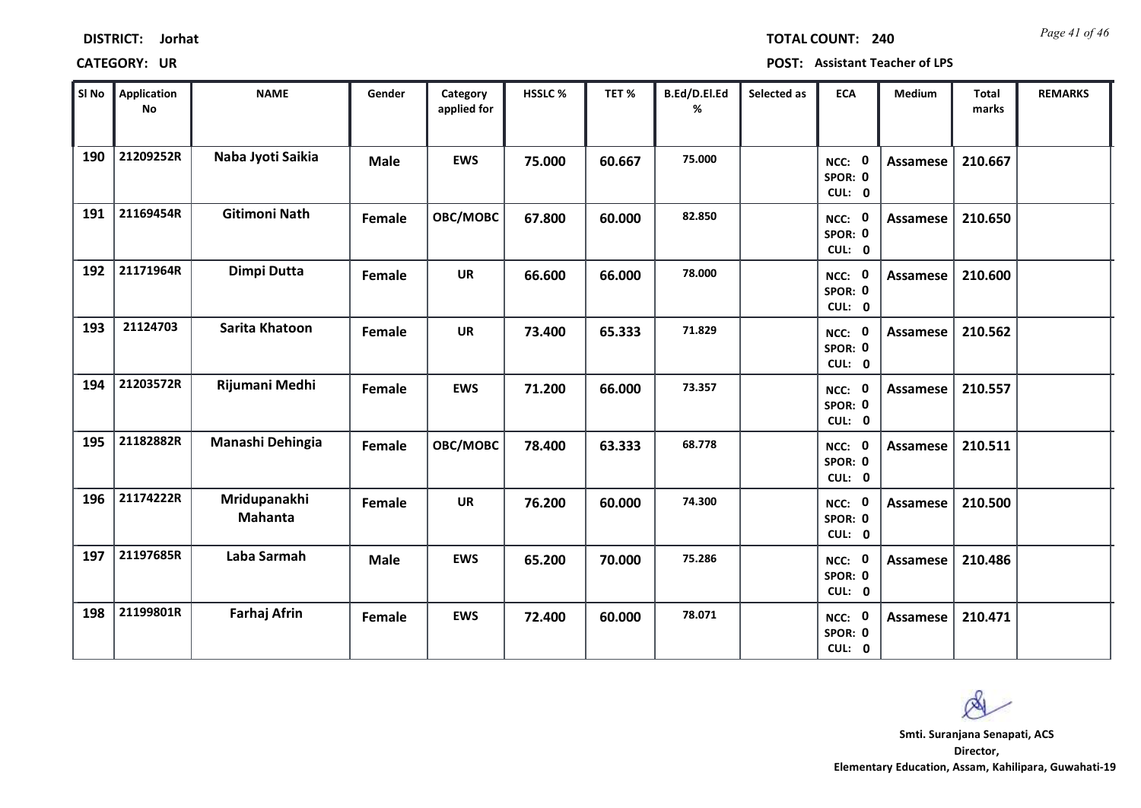| <b>DISTRICT:</b> | Jorhat |
|------------------|--------|
|------------------|--------|

*Page 41 of 46* **TOTAL COUNT: 240**

| SI No | <b>Application</b><br>$\mathsf{No}$ | <b>NAME</b>             | Gender      | Category<br>applied for | HSSLC % | TET%   | B.Ed/D.El.Ed<br>% | Selected as | <b>ECA</b>                  | <b>Medium</b>   | <b>Total</b><br>marks | <b>REMARKS</b> |
|-------|-------------------------------------|-------------------------|-------------|-------------------------|---------|--------|-------------------|-------------|-----------------------------|-----------------|-----------------------|----------------|
| 190   | 21209252R                           | Naba Jyoti Saikia       | <b>Male</b> | <b>EWS</b>              | 75.000  | 60.667 | 75.000            |             | NCC: 0<br>SPOR: 0<br>CUL: 0 | <b>Assamese</b> | 210.667               |                |
| 191   | 21169454R                           | <b>Gitimoni Nath</b>    | Female      | OBC/MOBC                | 67.800  | 60.000 | 82.850            |             | NCC: 0<br>SPOR: 0<br>CUL: 0 | Assamese        | 210.650               |                |
| 192   | 21171964R                           | Dimpi Dutta             | Female      | <b>UR</b>               | 66.600  | 66.000 | 78.000            |             | NCC: 0<br>SPOR: 0<br>CUL: 0 | <b>Assamese</b> | 210.600               |                |
| 193   | 21124703                            | Sarita Khatoon          | Female      | <b>UR</b>               | 73.400  | 65.333 | 71.829            |             | NCC: 0<br>SPOR: 0<br>CUL: 0 | Assamese        | 210.562               |                |
| 194   | 21203572R                           | Rijumani Medhi          | Female      | <b>EWS</b>              | 71.200  | 66.000 | 73.357            |             | NCC: 0<br>SPOR: 0<br>CUL: 0 | Assamese        | 210.557               |                |
| 195   | 21182882R                           | Manashi Dehingia        | Female      | OBC/MOBC                | 78.400  | 63.333 | 68.778            |             | NCC: 0<br>SPOR: 0<br>CUL: 0 | <b>Assamese</b> | 210.511               |                |
| 196   | 21174222R                           | Mridupanakhi<br>Mahanta | Female      | <b>UR</b>               | 76.200  | 60.000 | 74.300            |             | NCC: 0<br>SPOR: 0<br>CUL: 0 | <b>Assamese</b> | 210.500               |                |
| 197   | 21197685R                           | Laba Sarmah             | <b>Male</b> | <b>EWS</b>              | 65.200  | 70.000 | 75.286            |             | NCC: 0<br>SPOR: 0<br>CUL: 0 | <b>Assamese</b> | 210.486               |                |
| 198   | 21199801R                           | <b>Farhaj Afrin</b>     | Female      | <b>EWS</b>              | 72.400  | 60.000 | 78.071            |             | NCC: 0<br>SPOR: 0<br>CUL: 0 | Assamese        | 210.471               |                |

 $\infty$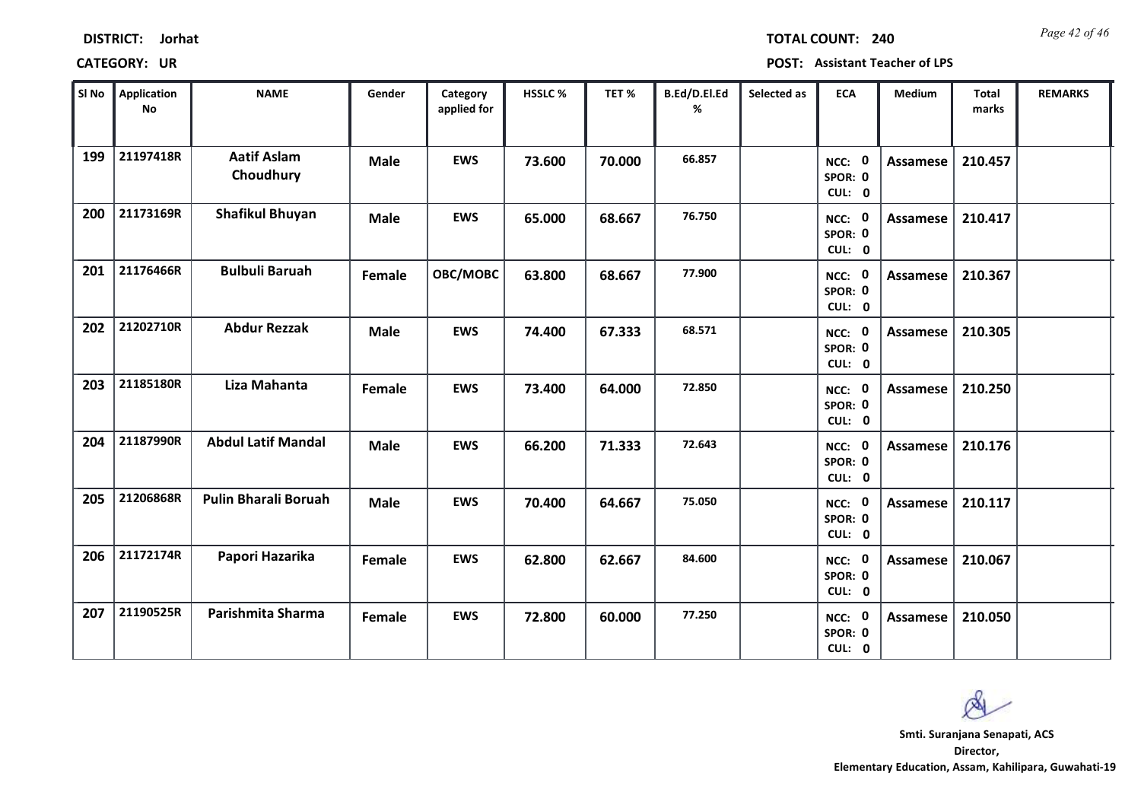| <b>DISTRICT:</b> | Jorhat |
|------------------|--------|
|------------------|--------|

*Page 42 of 46* **TOTAL COUNT: 240**

| SI No | Application<br><b>No</b> | <b>NAME</b>                     | Gender        | Category<br>applied for | <b>HSSLC %</b> | TET %  | B.Ed/D.El.Ed<br>% | Selected as | <b>ECA</b>                         | <b>Medium</b>   | <b>Total</b><br>marks | <b>REMARKS</b> |
|-------|--------------------------|---------------------------------|---------------|-------------------------|----------------|--------|-------------------|-------------|------------------------------------|-----------------|-----------------------|----------------|
| 199   | 21197418R                | <b>Aatif Aslam</b><br>Choudhury | <b>Male</b>   | <b>EWS</b>              | 73.600         | 70.000 | 66.857            |             | NCC: 0<br>SPOR: 0<br>CUL: 0        | <b>Assamese</b> | 210.457               |                |
| 200   | 21173169R                | <b>Shafikul Bhuyan</b>          | <b>Male</b>   | <b>EWS</b>              | 65.000         | 68.667 | 76.750            |             | NCC: 0<br>SPOR: 0<br>CUL: 0        | <b>Assamese</b> | 210.417               |                |
| 201   | 21176466R                | <b>Bulbuli Baruah</b>           | Female        | OBC/MOBC                | 63.800         | 68.667 | 77.900            |             | NCC: 0<br>SPOR: 0<br>CUL: 0        | <b>Assamese</b> | 210.367               |                |
| 202   | 21202710R                | <b>Abdur Rezzak</b>             | <b>Male</b>   | <b>EWS</b>              | 74.400         | 67.333 | 68.571            |             | <b>NCC: 0</b><br>SPOR: 0<br>CUL: 0 | Assamese        | 210.305               |                |
| 203   | 21185180R                | Liza Mahanta                    | <b>Female</b> | <b>EWS</b>              | 73.400         | 64.000 | 72.850            |             | NCC: 0<br>SPOR: 0<br>CUL: 0        | <b>Assamese</b> | 210.250               |                |
| 204   | 21187990R                | <b>Abdul Latif Mandal</b>       | <b>Male</b>   | <b>EWS</b>              | 66.200         | 71.333 | 72.643            |             | NCC: 0<br>SPOR: 0<br>CUL: 0        | Assamese        | 210.176               |                |
| 205   | 21206868R                | <b>Pulin Bharali Boruah</b>     | <b>Male</b>   | <b>EWS</b>              | 70.400         | 64.667 | 75.050            |             | NCC: 0<br>SPOR: 0<br>CUL: 0        | Assamese        | 210.117               |                |
| 206   | 21172174R                | Papori Hazarika                 | Female        | <b>EWS</b>              | 62.800         | 62.667 | 84.600            |             | NCC: 0<br>SPOR: 0<br>CUL: 0        | <b>Assamese</b> | 210.067               |                |
| 207   | 21190525R                | Parishmita Sharma               | Female        | <b>EWS</b>              | 72.800         | 60.000 | 77.250            |             | NCC: 0<br>SPOR: 0<br>CUL: 0        | <b>Assamese</b> | 210.050               |                |

 $\infty$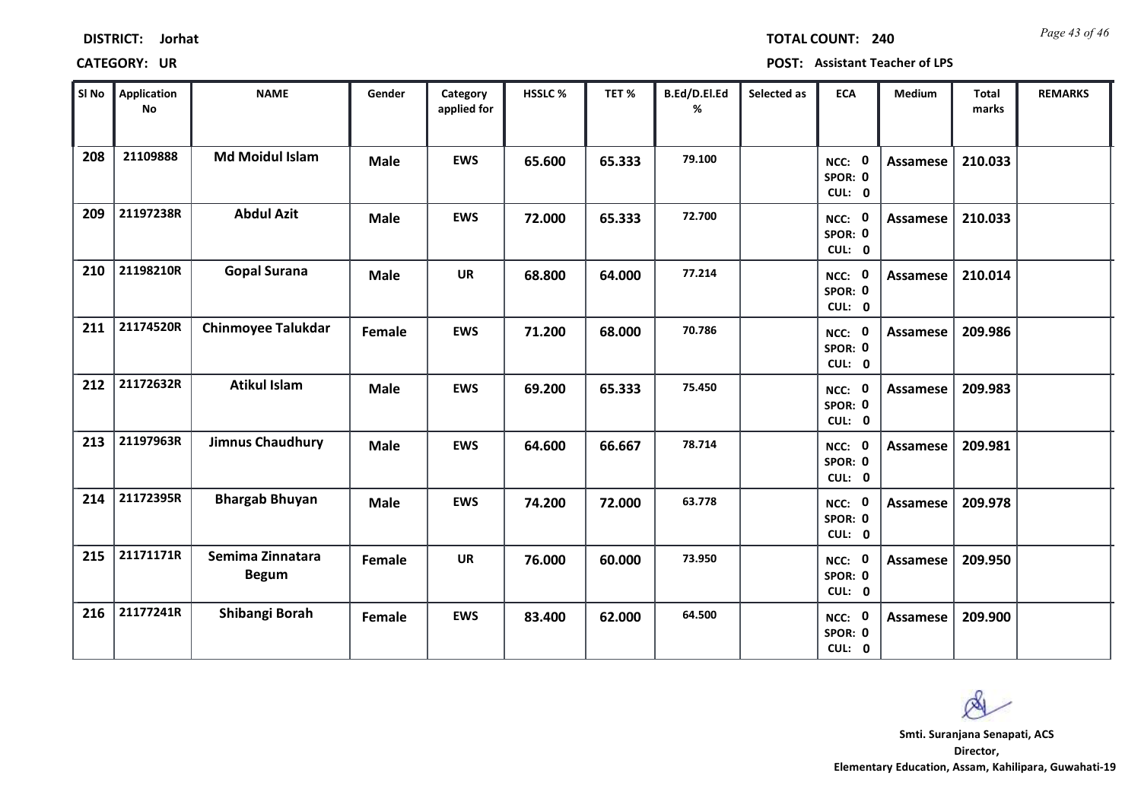*Page 43 of 46* **TOTAL COUNT: 240**

| SI No | <b>Application</b><br>No | <b>NAME</b>                      | Gender      | Category<br>applied for | <b>HSSLC%</b> | TET%   | B.Ed/D.El.Ed<br>% | Selected as | <b>ECA</b>                  | <b>Medium</b>   | <b>Total</b><br>marks | <b>REMARKS</b> |
|-------|--------------------------|----------------------------------|-------------|-------------------------|---------------|--------|-------------------|-------------|-----------------------------|-----------------|-----------------------|----------------|
| 208   | 21109888                 | <b>Md Moidul Islam</b>           | <b>Male</b> | <b>EWS</b>              | 65.600        | 65.333 | 79.100            |             | NCC: 0<br>SPOR: 0<br>CUL: 0 | Assamese        | 210.033               |                |
| 209   | 21197238R                | <b>Abdul Azit</b>                | <b>Male</b> | <b>EWS</b>              | 72.000        | 65.333 | 72.700            |             | NCC: 0<br>SPOR: 0<br>CUL: 0 | Assamese        | 210.033               |                |
| 210   | 21198210R                | <b>Gopal Surana</b>              | <b>Male</b> | <b>UR</b>               | 68.800        | 64.000 | 77.214            |             | NCC: 0<br>SPOR: 0<br>CUL: 0 | <b>Assamese</b> | 210.014               |                |
| 211   | 21174520R                | <b>Chinmoyee Talukdar</b>        | Female      | <b>EWS</b>              | 71.200        | 68.000 | 70.786            |             | NCC: 0<br>SPOR: 0<br>CUL: 0 | <b>Assamese</b> | 209.986               |                |
| 212   | 21172632R                | <b>Atikul Islam</b>              | <b>Male</b> | <b>EWS</b>              | 69.200        | 65.333 | 75.450            |             | NCC: 0<br>SPOR: 0<br>CUL: 0 | <b>Assamese</b> | 209.983               |                |
| 213   | 21197963R                | <b>Jimnus Chaudhury</b>          | <b>Male</b> | <b>EWS</b>              | 64.600        | 66.667 | 78.714            |             | NCC: 0<br>SPOR: 0<br>CUL: 0 | <b>Assamese</b> | 209.981               |                |
| 214   | 21172395R                | <b>Bhargab Bhuyan</b>            | <b>Male</b> | <b>EWS</b>              | 74.200        | 72.000 | 63.778            |             | NCC: 0<br>SPOR: 0<br>CUL: 0 | Assamese        | 209.978               |                |
| 215   | 21171171R                | Semima Zinnatara<br><b>Begum</b> | Female      | <b>UR</b>               | 76.000        | 60.000 | 73.950            |             | NCC: 0<br>SPOR: 0<br>CUL: 0 | Assamese        | 209.950               |                |
| 216   | 21177241R                | Shibangi Borah                   | Female      | <b>EWS</b>              | 83.400        | 62.000 | 64.500            |             | NCC: 0<br>SPOR: 0<br>CUL: 0 | Assamese        | 209.900               |                |

 $\infty$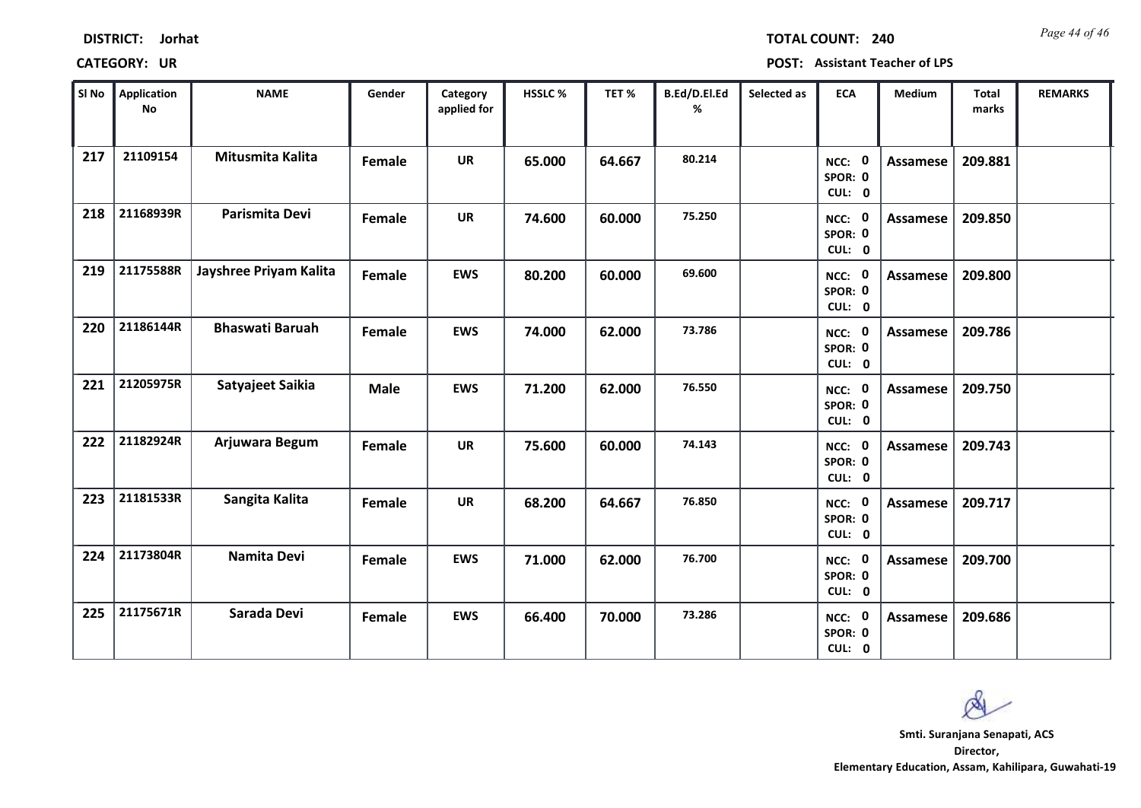|            | <b>CATEGORY: UR</b>      |                  |        |                         |              |
|------------|--------------------------|------------------|--------|-------------------------|--------------|
| SI No      | <b>Application</b><br>No | <b>NAME</b>      | Gender | Category<br>applied for | <b>HSSLC</b> |
| 217        | 21109154                 | Mitusmita Kalita | Female | <b>UR</b>               | 65.00        |
| <b>310</b> | 211600200                | Designation Devi |        |                         |              |

**DISTRICT: Jorhat**

*Page 44 of 46* **TOTAL COUNT: 240**

**CATEGORY: UR POST: Assistant Teacher of LPS**

| SI No | Application<br><b>No</b> | <b>NAME</b>            | Gender      | Category<br>applied for | HSSLC% | TET%   | B.Ed/D.El.Ed<br>% | Selected as | <b>ECA</b>                  | Medium   | <b>Total</b><br>marks | <b>REMARKS</b> |
|-------|--------------------------|------------------------|-------------|-------------------------|--------|--------|-------------------|-------------|-----------------------------|----------|-----------------------|----------------|
| 217   | 21109154                 | Mitusmita Kalita       | Female      | <b>UR</b>               | 65.000 | 64.667 | 80.214            |             | NCC: 0<br>SPOR: 0<br>CUL: 0 | Assamese | 209.881               |                |
| 218   | 21168939R                | Parismita Devi         | Female      | <b>UR</b>               | 74.600 | 60.000 | 75.250            |             | NCC: 0<br>SPOR: 0<br>CUL: 0 | Assamese | 209.850               |                |
| 219   | 21175588R                | Jayshree Priyam Kalita | Female      | <b>EWS</b>              | 80.200 | 60.000 | 69.600            |             | NCC: 0<br>SPOR: 0<br>CUL: 0 | Assamese | 209.800               |                |
| 220   | 21186144R                | <b>Bhaswati Baruah</b> | Female      | <b>EWS</b>              | 74.000 | 62.000 | 73.786            |             | NCC: 0<br>SPOR: 0<br>CUL: 0 | Assamese | 209.786               |                |
| 221   | 21205975R                | Satyajeet Saikia       | <b>Male</b> | <b>EWS</b>              | 71.200 | 62.000 | 76.550            |             | NCC: 0<br>SPOR: 0<br>CUL: 0 | Assamese | 209.750               |                |
| 222   | 21182924R                | Arjuwara Begum         | Female      | <b>UR</b>               | 75.600 | 60.000 | 74.143            |             | NCC: 0<br>SPOR: 0<br>CUL: 0 | Assamese | 209.743               |                |
| 223   | 21181533R                | Sangita Kalita         | Female      | <b>UR</b>               | 68.200 | 64.667 | 76.850            |             | NCC: 0<br>SPOR: 0<br>CUL: 0 | Assamese | 209.717               |                |
| 224   | 21173804R                | Namita Devi            | Female      | <b>EWS</b>              | 71.000 | 62.000 | 76.700            |             | NCC: 0<br>SPOR: 0<br>CUL: 0 | Assamese | 209.700               |                |
| 225   | 21175671R                | Sarada Devi            | Female      | <b>EWS</b>              | 66.400 | 70.000 | 73.286            |             | NCC: 0<br>SPOR: 0<br>CUL: 0 | Assamese | 209.686               |                |

Ø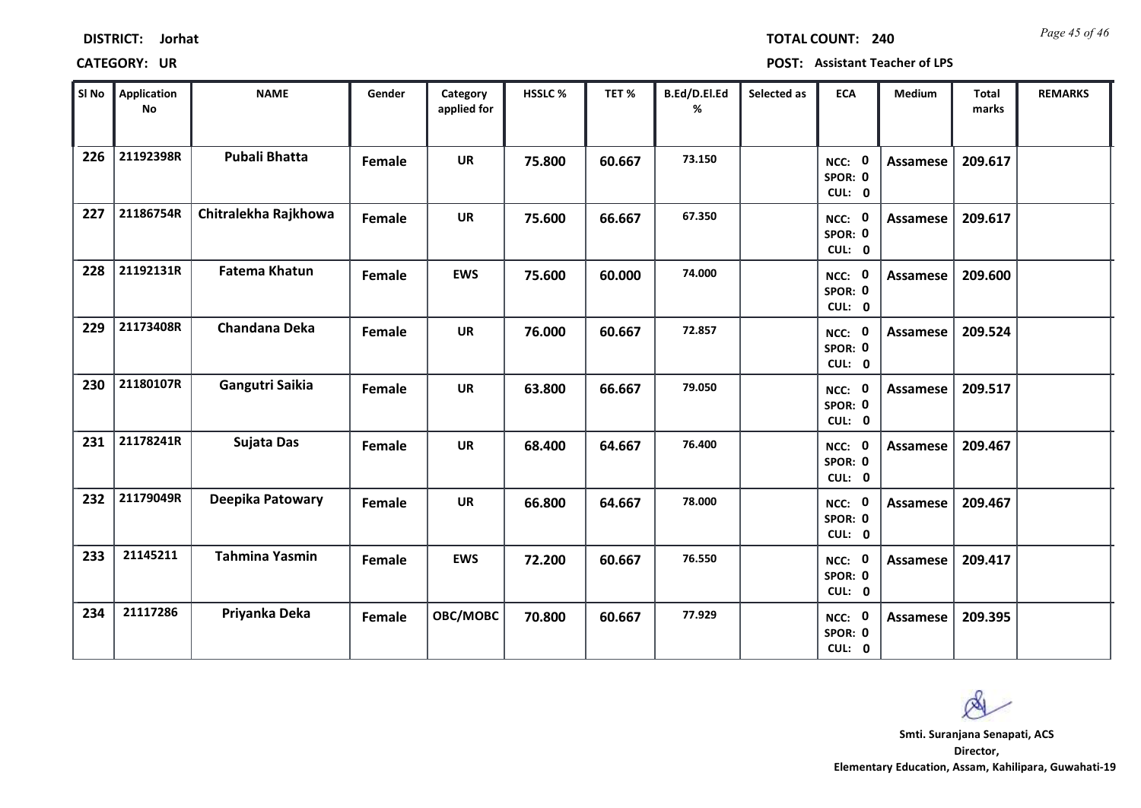| SI <sub>No</sub> | <b>Application</b><br>$\mathsf{No}$ | <b>NAME</b>           | Gender        | Category<br>applied for | HSSLC % | TET%   | B.Ed/D.El.Ed<br>% | Selected as | <b>ECA</b>                               | <b>Medium</b>   | <b>Total</b><br>marks | <b>REMARKS</b> |
|------------------|-------------------------------------|-----------------------|---------------|-------------------------|---------|--------|-------------------|-------------|------------------------------------------|-----------------|-----------------------|----------------|
| 226              | 21192398R                           | <b>Pubali Bhatta</b>  | <b>Female</b> | <b>UR</b>               | 75.800  | 60.667 | 73.150            |             | NCC: 0<br>SPOR: 0<br>CUL: 0              | Assamese        | 209.617               |                |
| 227              | 21186754R                           | Chitralekha Rajkhowa  | Female        | <b>UR</b>               | 75.600  | 66.667 | 67.350            |             | $\mathbf 0$<br>NCC:<br>SPOR: 0<br>CUL: 0 | Assamese        | 209.617               |                |
| 228              | 21192131R                           | <b>Fatema Khatun</b>  | Female        | <b>EWS</b>              | 75.600  | 60.000 | 74.000            |             | NCC: 0<br>SPOR: 0<br>CUL: 0              | Assamese        | 209.600               |                |
| 229              | 21173408R                           | <b>Chandana Deka</b>  | Female        | <b>UR</b>               | 76.000  | 60.667 | 72.857            |             | NCC: 0<br>SPOR: 0<br>CUL: 0              | Assamese        | 209.524               |                |
| 230              | 21180107R                           | Gangutri Saikia       | Female        | <b>UR</b>               | 63.800  | 66.667 | 79.050            |             | NCC: 0<br>SPOR: 0<br>CUL: 0              | <b>Assamese</b> | 209.517               |                |
| 231              | 21178241R                           | Sujata Das            | Female        | <b>UR</b>               | 68.400  | 64.667 | 76.400            |             | NCC: 0<br>SPOR: 0<br>CUL: 0              | Assamese        | 209.467               |                |
| 232              | 21179049R                           | Deepika Patowary      | Female        | <b>UR</b>               | 66.800  | 64.667 | 78.000            |             | NCC: 0<br>SPOR: 0<br>CUL: 0              | <b>Assamese</b> | 209.467               |                |
| 233              | 21145211                            | <b>Tahmina Yasmin</b> | Female        | <b>EWS</b>              | 72.200  | 60.667 | 76.550            |             | NCC: 0<br>SPOR: 0<br>CUL: 0              | Assamese        | 209.417               |                |
| 234              | 21117286                            | Priyanka Deka         | Female        | OBC/MOBC                | 70.800  | 60.667 | 77.929            |             | NCC: 0                                   | Assamese        | 209.395               |                |

**DISTRICT: Jorhat**

## **CATEGORY: UR POST: Assistant Teacher of LPS**

*Page 45 of 46* **TOTAL COUNT: 240**

**Director, Elementary Education, Assam, Kahilipara, Guwahati-19 Smti. Suranjana Senapati, ACS**

**0 0 CUL:**

**SPOR:**